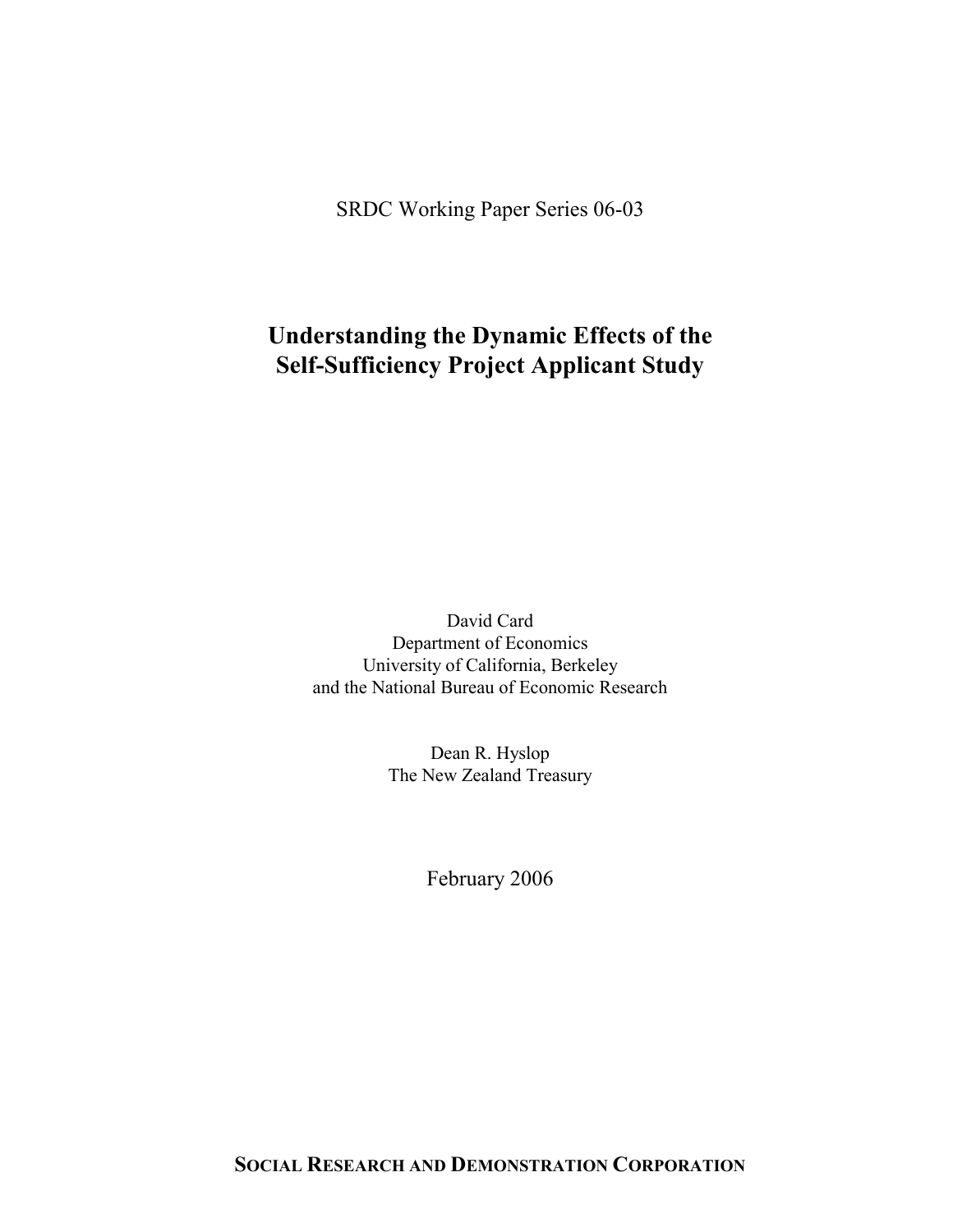SRDC Working Paper Series 06-03

## **Understanding the Dynamic Effects of the Self-Sufficiency Project Applicant Study**

David Card Department of Economics University of California, Berkeley and the National Bureau of Economic Research

> Dean R. Hyslop The New Zealand Treasury

> > February 2006

**SOCIAL RESEARCH AND DEMONSTRATION CORPORATION**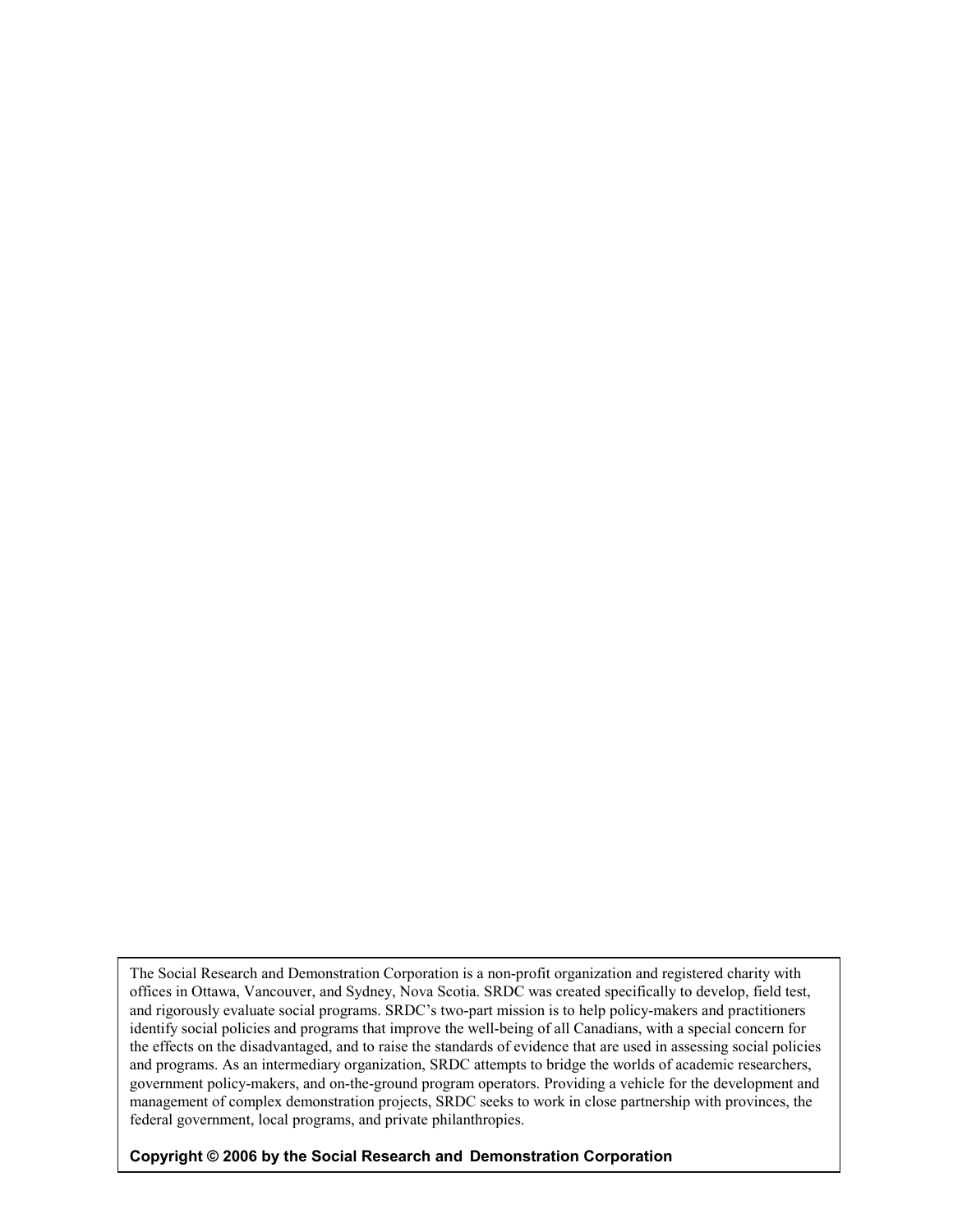The Social Research and Demonstration Corporation is a non-profit organization and registered charity with offices in Ottawa, Vancouver, and Sydney, Nova Scotia. SRDC was created specifically to develop, field test, and rigorously evaluate social programs. SRDC's two-part mission is to help policy-makers and practitioners identify social policies and programs that improve the well-being of all Canadians, with a special concern for the effects on the disadvantaged, and to raise the standards of evidence that are used in assessing social policies and programs. As an intermediary organization, SRDC attempts to bridge the worlds of academic researchers, government policy-makers, and on-the-ground program operators. Providing a vehicle for the development and management of complex demonstration projects, SRDC seeks to work in close partnership with provinces, the federal government, local programs, and private philanthropies.

**Copyright © 2006 by the Social Research and Demonstration Corporation**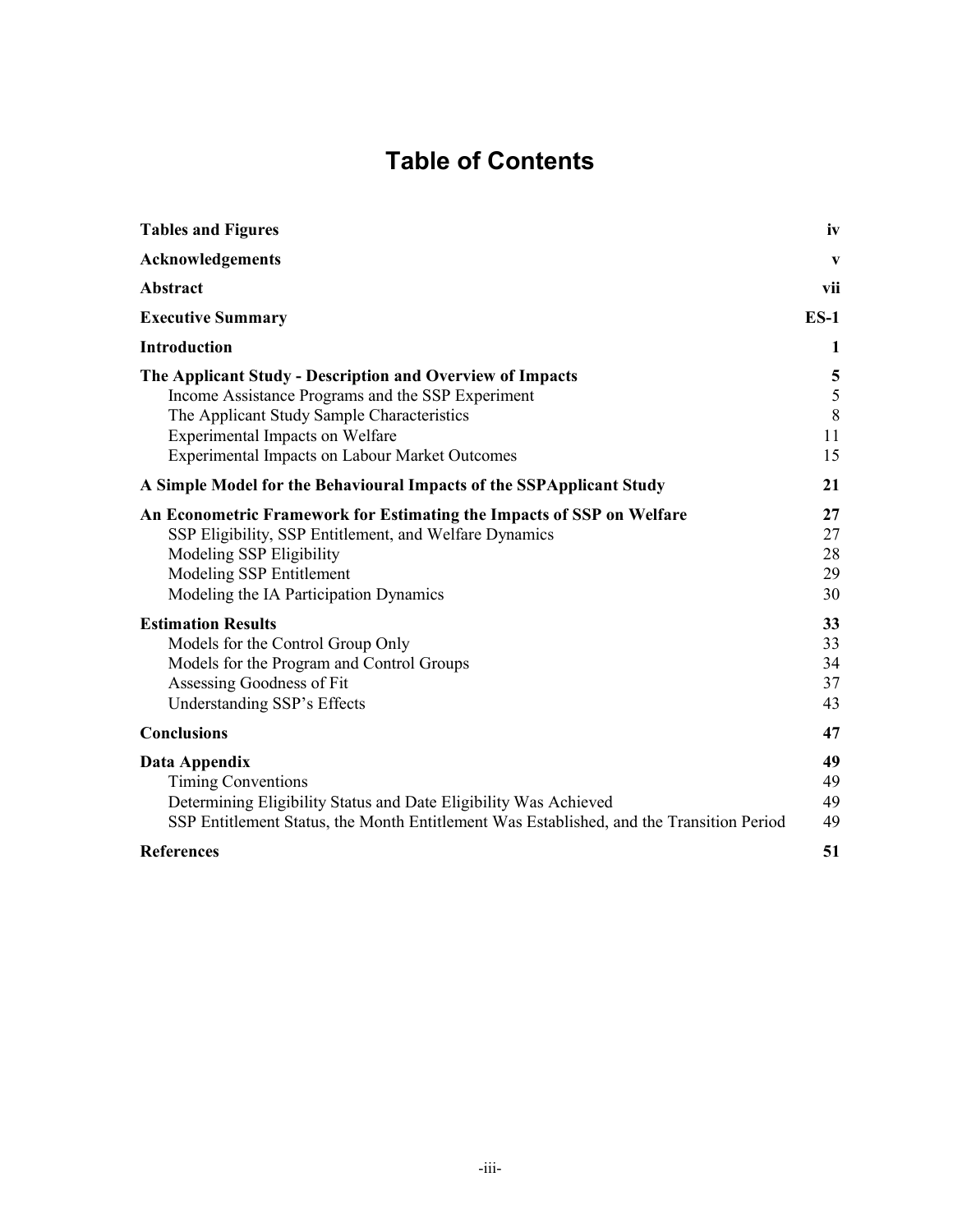# **Table of Contents**

| <b>Tables and Figures</b>                                                                                                                                                                                                                                       | iv                         |
|-----------------------------------------------------------------------------------------------------------------------------------------------------------------------------------------------------------------------------------------------------------------|----------------------------|
| Acknowledgements                                                                                                                                                                                                                                                | V                          |
| <b>Abstract</b>                                                                                                                                                                                                                                                 | vii                        |
| <b>Executive Summary</b>                                                                                                                                                                                                                                        | $ES-1$                     |
| <b>Introduction</b>                                                                                                                                                                                                                                             | 1                          |
| The Applicant Study - Description and Overview of Impacts<br>Income Assistance Programs and the SSP Experiment<br>The Applicant Study Sample Characteristics<br><b>Experimental Impacts on Welfare</b><br><b>Experimental Impacts on Labour Market Outcomes</b> | 5<br>5<br>8<br>11<br>15    |
| A Simple Model for the Behavioural Impacts of the SSPApplicant Study                                                                                                                                                                                            | 21                         |
| An Econometric Framework for Estimating the Impacts of SSP on Welfare<br>SSP Eligibility, SSP Entitlement, and Welfare Dynamics<br>Modeling SSP Eligibility<br>Modeling SSP Entitlement<br>Modeling the IA Participation Dynamics                               | 27<br>27<br>28<br>29<br>30 |
| <b>Estimation Results</b><br>Models for the Control Group Only<br>Models for the Program and Control Groups<br>Assessing Goodness of Fit<br>Understanding SSP's Effects                                                                                         | 33<br>33<br>34<br>37<br>43 |
| <b>Conclusions</b>                                                                                                                                                                                                                                              | 47                         |
| Data Appendix<br><b>Timing Conventions</b><br>Determining Eligibility Status and Date Eligibility Was Achieved<br>SSP Entitlement Status, the Month Entitlement Was Established, and the Transition Period                                                      | 49<br>49<br>49<br>49       |
| <b>References</b>                                                                                                                                                                                                                                               | 51                         |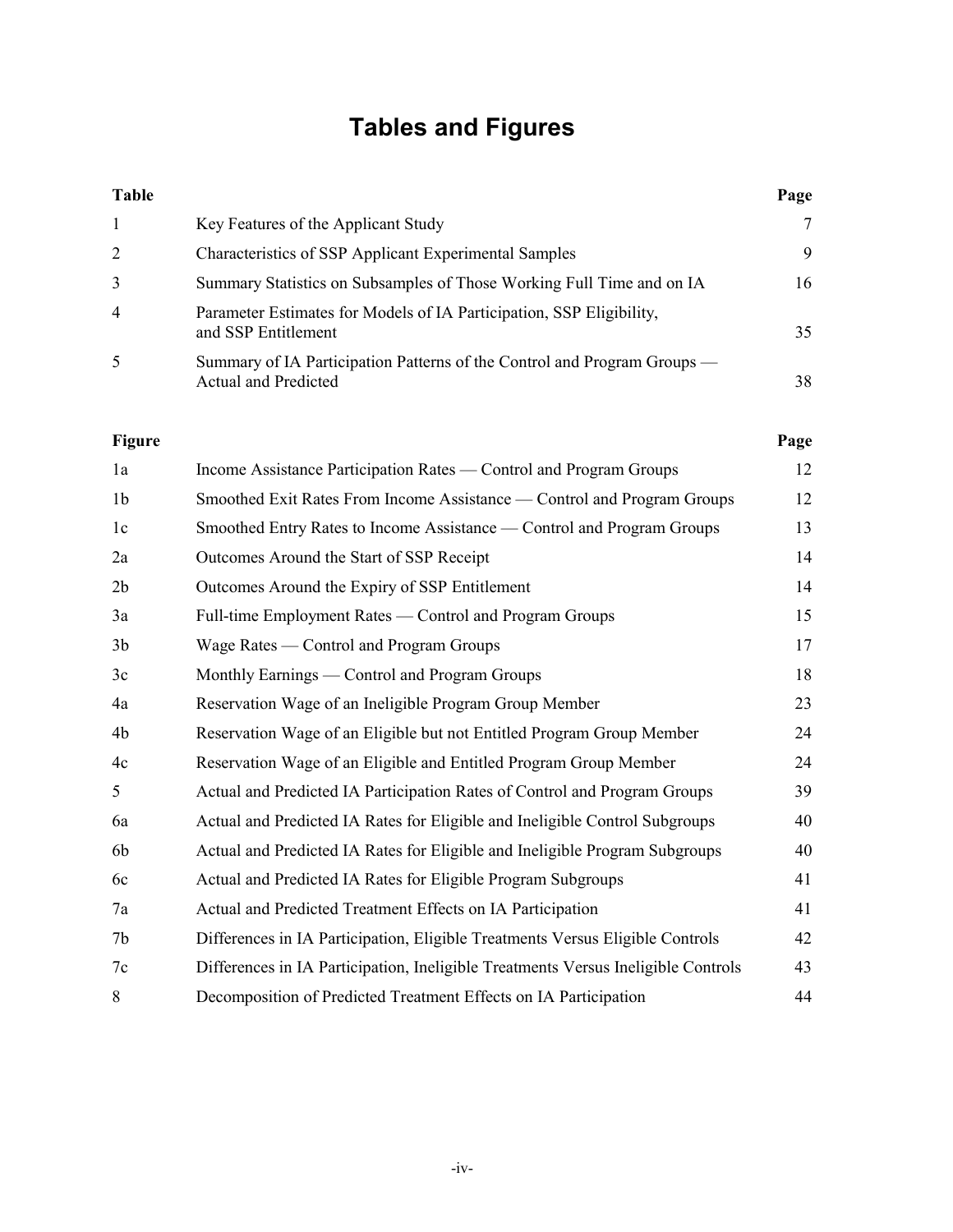# **Tables and Figures**

| <b>Table</b>   |                                                                                                  | Page |
|----------------|--------------------------------------------------------------------------------------------------|------|
| $\mathbf{1}$   | Key Features of the Applicant Study                                                              | 7    |
| $\overline{2}$ | Characteristics of SSP Applicant Experimental Samples                                            | 9    |
| 3              | Summary Statistics on Subsamples of Those Working Full Time and on IA                            | 16   |
| 4              | Parameter Estimates for Models of IA Participation, SSP Eligibility,<br>and SSP Entitlement      | 35   |
| 5              | Summary of IA Participation Patterns of the Control and Program Groups -<br>Actual and Predicted | 38   |
| <b>Figure</b>  |                                                                                                  | Page |
| 1a             | Income Assistance Participation Rates — Control and Program Groups                               | 12   |
| 1 <sub>b</sub> | Smoothed Exit Rates From Income Assistance — Control and Program Groups                          | 12   |
| 1c             | Smoothed Entry Rates to Income Assistance — Control and Program Groups                           | 13   |
| 2a             | Outcomes Around the Start of SSP Receipt                                                         | 14   |
| 2 <sub>b</sub> | Outcomes Around the Expiry of SSP Entitlement                                                    | 14   |
| 3a             | Full-time Employment Rates — Control and Program Groups                                          | 15   |
| 3 <sub>b</sub> | Wage Rates — Control and Program Groups                                                          | 17   |
| 3c             | Monthly Earnings — Control and Program Groups                                                    | 18   |
| 4a             | Reservation Wage of an Ineligible Program Group Member                                           | 23   |
| 4b             | Reservation Wage of an Eligible but not Entitled Program Group Member                            | 24   |
| 4c             | Reservation Wage of an Eligible and Entitled Program Group Member                                | 24   |
| 5              | Actual and Predicted IA Participation Rates of Control and Program Groups                        | 39   |
| 6a             | Actual and Predicted IA Rates for Eligible and Ineligible Control Subgroups                      | 40   |
| 6 <sub>b</sub> | Actual and Predicted IA Rates for Eligible and Ineligible Program Subgroups                      | 40   |
| 6c             | Actual and Predicted IA Rates for Eligible Program Subgroups                                     | 41   |
| 7a             | Actual and Predicted Treatment Effects on IA Participation                                       | 41   |
| 7 <sub>b</sub> | Differences in IA Participation, Eligible Treatments Versus Eligible Controls                    | 42   |
| 7c             | Differences in IA Participation, Ineligible Treatments Versus Ineligible Controls                | 43   |
| $\,8\,$        | Decomposition of Predicted Treatment Effects on IA Participation                                 | 44   |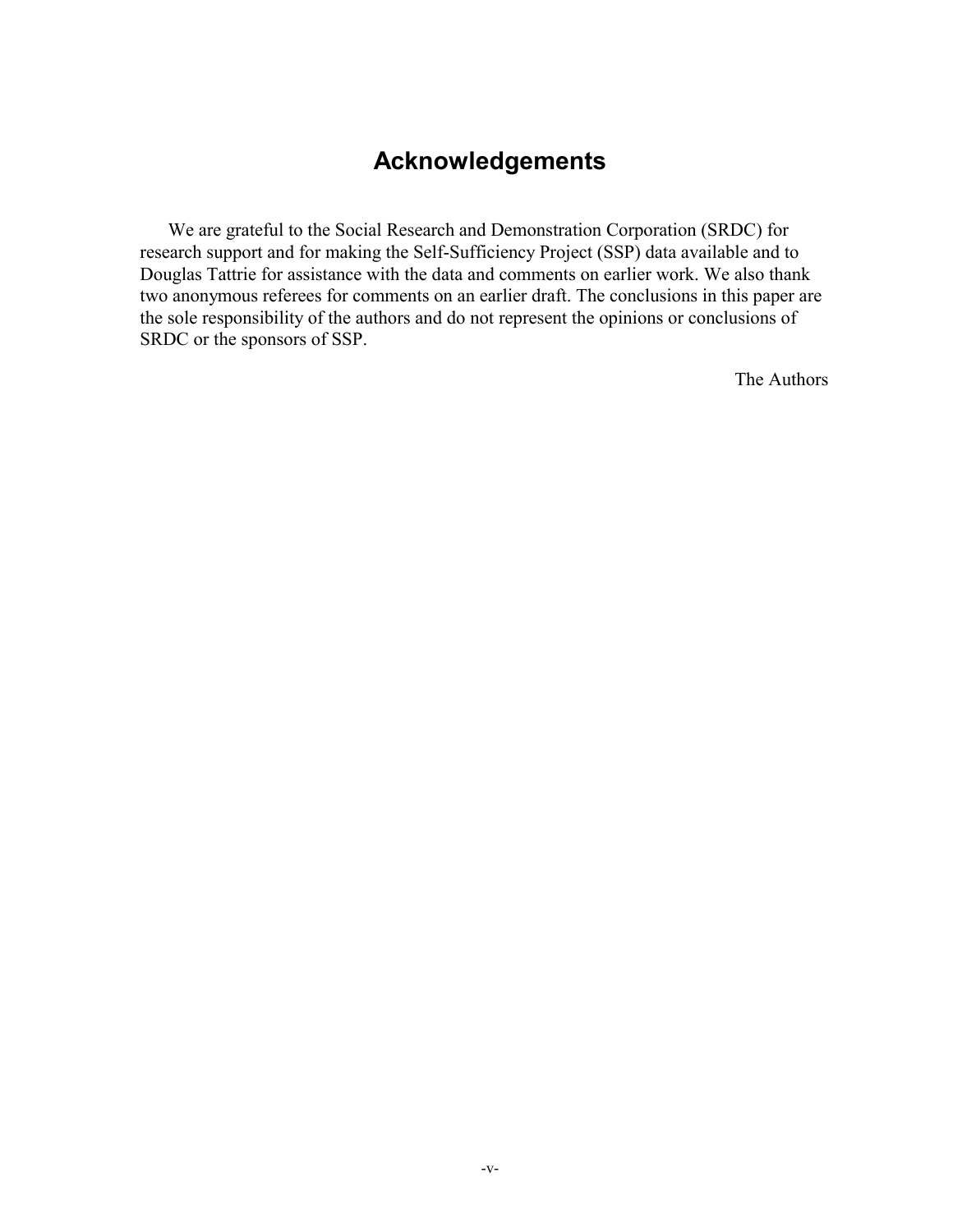## **Acknowledgements**

We are grateful to the Social Research and Demonstration Corporation (SRDC) for research support and for making the Self-Sufficiency Project (SSP) data available and to Douglas Tattrie for assistance with the data and comments on earlier work. We also thank two anonymous referees for comments on an earlier draft. The conclusions in this paper are the sole responsibility of the authors and do not represent the opinions or conclusions of SRDC or the sponsors of SSP.

The Authors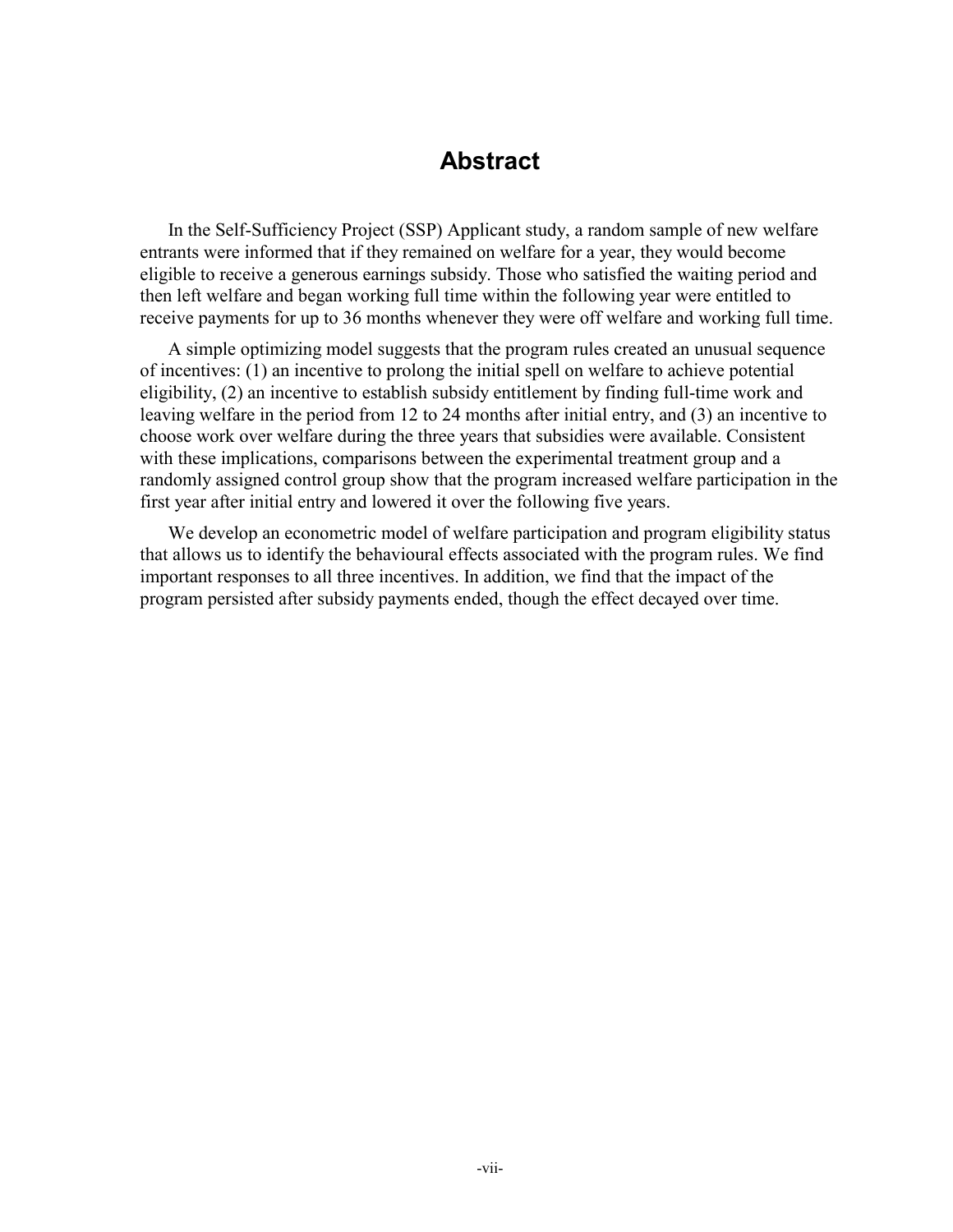## **Abstract**

In the Self-Sufficiency Project (SSP) Applicant study, a random sample of new welfare entrants were informed that if they remained on welfare for a year, they would become eligible to receive a generous earnings subsidy. Those who satisfied the waiting period and then left welfare and began working full time within the following year were entitled to receive payments for up to 36 months whenever they were off welfare and working full time.

A simple optimizing model suggests that the program rules created an unusual sequence of incentives: (1) an incentive to prolong the initial spell on welfare to achieve potential eligibility, (2) an incentive to establish subsidy entitlement by finding full-time work and leaving welfare in the period from 12 to 24 months after initial entry, and (3) an incentive to choose work over welfare during the three years that subsidies were available. Consistent with these implications, comparisons between the experimental treatment group and a randomly assigned control group show that the program increased welfare participation in the first year after initial entry and lowered it over the following five years.

We develop an econometric model of welfare participation and program eligibility status that allows us to identify the behavioural effects associated with the program rules. We find important responses to all three incentives. In addition, we find that the impact of the program persisted after subsidy payments ended, though the effect decayed over time.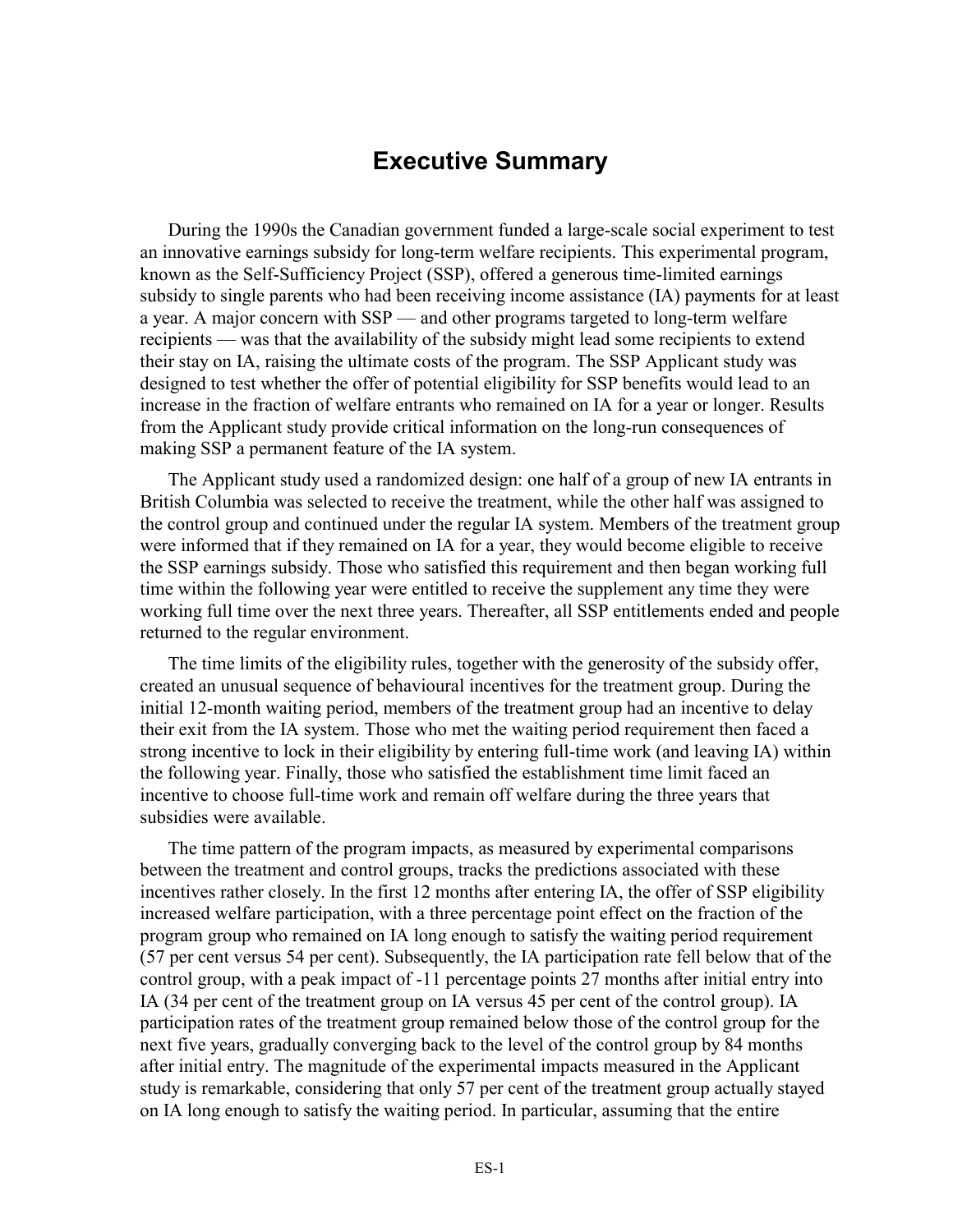## **Executive Summary**

During the 1990s the Canadian government funded a large-scale social experiment to test an innovative earnings subsidy for long-term welfare recipients. This experimental program, known as the Self-Sufficiency Project (SSP), offered a generous time-limited earnings subsidy to single parents who had been receiving income assistance (IA) payments for at least a year. A major concern with SSP — and other programs targeted to long-term welfare recipients — was that the availability of the subsidy might lead some recipients to extend their stay on IA, raising the ultimate costs of the program. The SSP Applicant study was designed to test whether the offer of potential eligibility for SSP benefits would lead to an increase in the fraction of welfare entrants who remained on IA for a year or longer. Results from the Applicant study provide critical information on the long-run consequences of making SSP a permanent feature of the IA system.

The Applicant study used a randomized design: one half of a group of new IA entrants in British Columbia was selected to receive the treatment, while the other half was assigned to the control group and continued under the regular IA system. Members of the treatment group were informed that if they remained on IA for a year, they would become eligible to receive the SSP earnings subsidy. Those who satisfied this requirement and then began working full time within the following year were entitled to receive the supplement any time they were working full time over the next three years. Thereafter, all SSP entitlements ended and people returned to the regular environment.

The time limits of the eligibility rules, together with the generosity of the subsidy offer, created an unusual sequence of behavioural incentives for the treatment group. During the initial 12-month waiting period, members of the treatment group had an incentive to delay their exit from the IA system. Those who met the waiting period requirement then faced a strong incentive to lock in their eligibility by entering full-time work (and leaving IA) within the following year. Finally, those who satisfied the establishment time limit faced an incentive to choose full-time work and remain off welfare during the three years that subsidies were available.

The time pattern of the program impacts, as measured by experimental comparisons between the treatment and control groups, tracks the predictions associated with these incentives rather closely. In the first 12 months after entering IA, the offer of SSP eligibility increased welfare participation, with a three percentage point effect on the fraction of the program group who remained on IA long enough to satisfy the waiting period requirement (57 per cent versus 54 per cent). Subsequently, the IA participation rate fell below that of the control group, with a peak impact of -11 percentage points 27 months after initial entry into IA (34 per cent of the treatment group on IA versus 45 per cent of the control group). IA participation rates of the treatment group remained below those of the control group for the next five years, gradually converging back to the level of the control group by 84 months after initial entry. The magnitude of the experimental impacts measured in the Applicant study is remarkable, considering that only 57 per cent of the treatment group actually stayed on IA long enough to satisfy the waiting period. In particular, assuming that the entire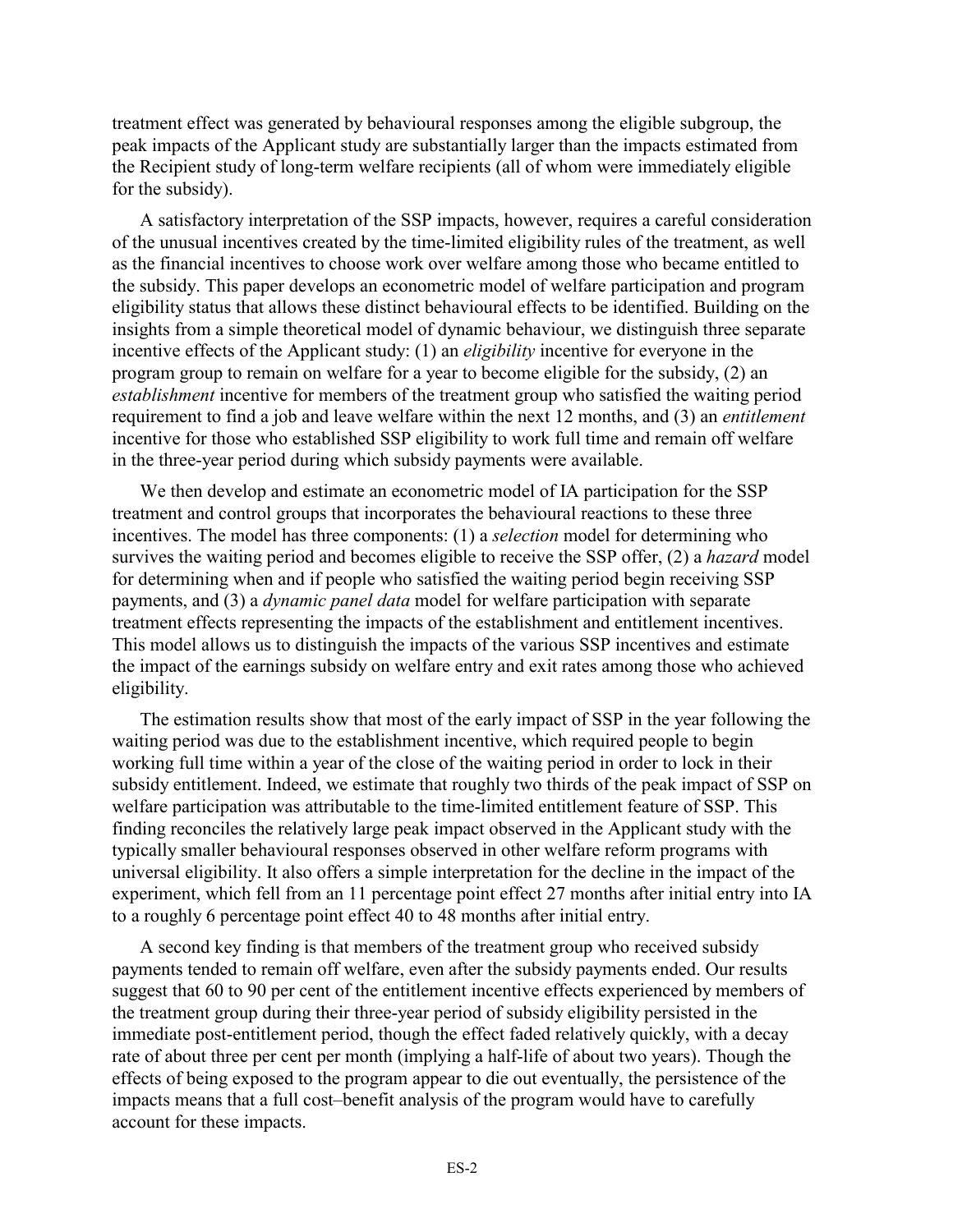treatment effect was generated by behavioural responses among the eligible subgroup, the peak impacts of the Applicant study are substantially larger than the impacts estimated from the Recipient study of long-term welfare recipients (all of whom were immediately eligible for the subsidy).

A satisfactory interpretation of the SSP impacts, however, requires a careful consideration of the unusual incentives created by the time-limited eligibility rules of the treatment, as well as the financial incentives to choose work over welfare among those who became entitled to the subsidy. This paper develops an econometric model of welfare participation and program eligibility status that allows these distinct behavioural effects to be identified. Building on the insights from a simple theoretical model of dynamic behaviour, we distinguish three separate incentive effects of the Applicant study: (1) an *eligibility* incentive for everyone in the program group to remain on welfare for a year to become eligible for the subsidy, (2) an *establishment* incentive for members of the treatment group who satisfied the waiting period requirement to find a job and leave welfare within the next 12 months, and (3) an *entitlement* incentive for those who established SSP eligibility to work full time and remain off welfare in the three-year period during which subsidy payments were available.

We then develop and estimate an econometric model of IA participation for the SSP treatment and control groups that incorporates the behavioural reactions to these three incentives. The model has three components: (1) a *selection* model for determining who survives the waiting period and becomes eligible to receive the SSP offer, (2) a *hazard* model for determining when and if people who satisfied the waiting period begin receiving SSP payments, and (3) a *dynamic panel data* model for welfare participation with separate treatment effects representing the impacts of the establishment and entitlement incentives. This model allows us to distinguish the impacts of the various SSP incentives and estimate the impact of the earnings subsidy on welfare entry and exit rates among those who achieved eligibility.

The estimation results show that most of the early impact of SSP in the year following the waiting period was due to the establishment incentive, which required people to begin working full time within a year of the close of the waiting period in order to lock in their subsidy entitlement. Indeed, we estimate that roughly two thirds of the peak impact of SSP on welfare participation was attributable to the time-limited entitlement feature of SSP. This finding reconciles the relatively large peak impact observed in the Applicant study with the typically smaller behavioural responses observed in other welfare reform programs with universal eligibility. It also offers a simple interpretation for the decline in the impact of the experiment, which fell from an 11 percentage point effect 27 months after initial entry into IA to a roughly 6 percentage point effect 40 to 48 months after initial entry.

A second key finding is that members of the treatment group who received subsidy payments tended to remain off welfare, even after the subsidy payments ended. Our results suggest that 60 to 90 per cent of the entitlement incentive effects experienced by members of the treatment group during their three-year period of subsidy eligibility persisted in the immediate post-entitlement period, though the effect faded relatively quickly, with a decay rate of about three per cent per month (implying a half-life of about two years). Though the effects of being exposed to the program appear to die out eventually, the persistence of the impacts means that a full cost–benefit analysis of the program would have to carefully account for these impacts.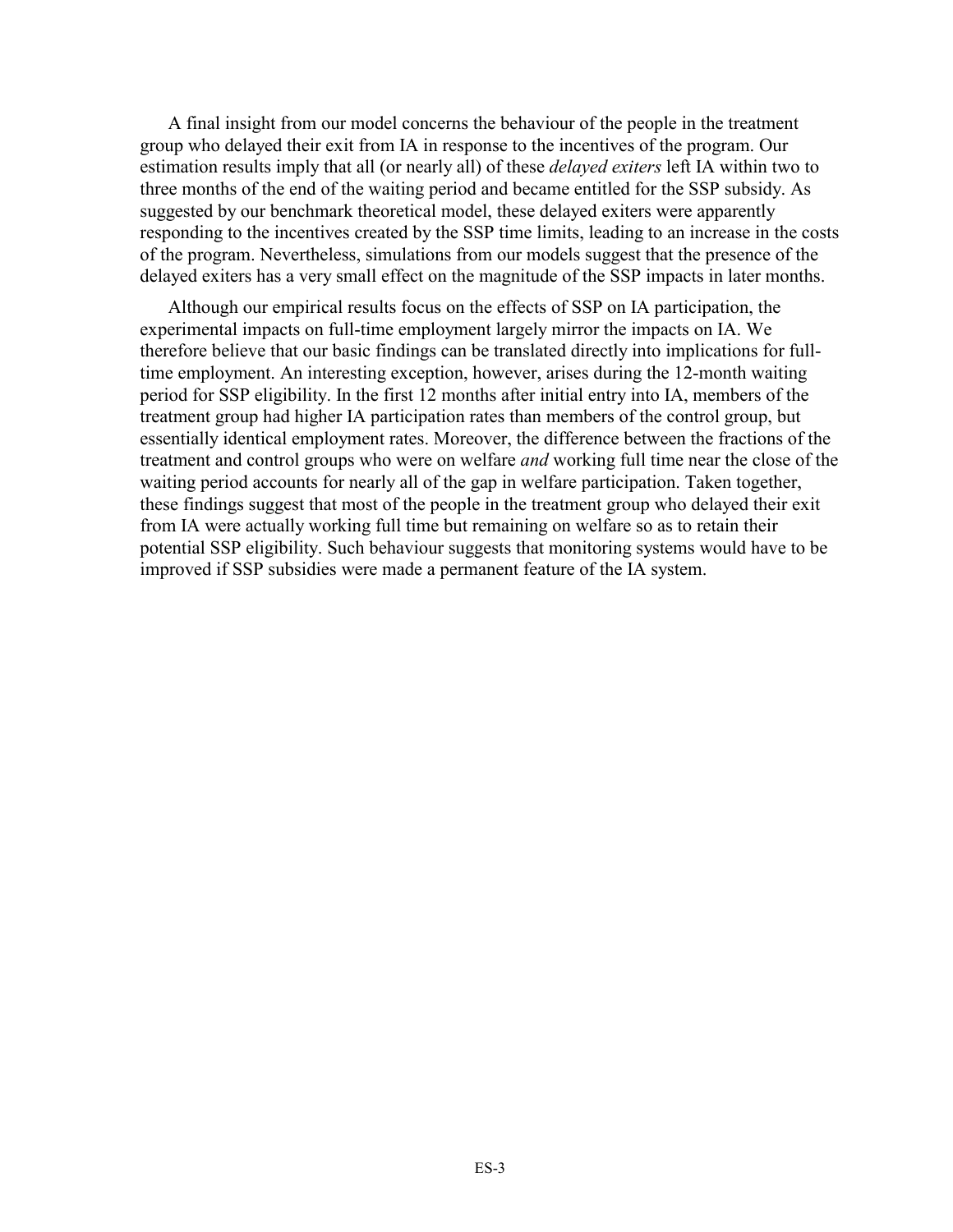A final insight from our model concerns the behaviour of the people in the treatment group who delayed their exit from IA in response to the incentives of the program. Our estimation results imply that all (or nearly all) of these *delayed exiters* left IA within two to three months of the end of the waiting period and became entitled for the SSP subsidy. As suggested by our benchmark theoretical model, these delayed exiters were apparently responding to the incentives created by the SSP time limits, leading to an increase in the costs of the program. Nevertheless, simulations from our models suggest that the presence of the delayed exiters has a very small effect on the magnitude of the SSP impacts in later months.

Although our empirical results focus on the effects of SSP on IA participation, the experimental impacts on full-time employment largely mirror the impacts on IA. We therefore believe that our basic findings can be translated directly into implications for fulltime employment. An interesting exception, however, arises during the 12-month waiting period for SSP eligibility. In the first 12 months after initial entry into IA, members of the treatment group had higher IA participation rates than members of the control group, but essentially identical employment rates. Moreover, the difference between the fractions of the treatment and control groups who were on welfare *and* working full time near the close of the waiting period accounts for nearly all of the gap in welfare participation. Taken together, these findings suggest that most of the people in the treatment group who delayed their exit from IA were actually working full time but remaining on welfare so as to retain their potential SSP eligibility. Such behaviour suggests that monitoring systems would have to be improved if SSP subsidies were made a permanent feature of the IA system.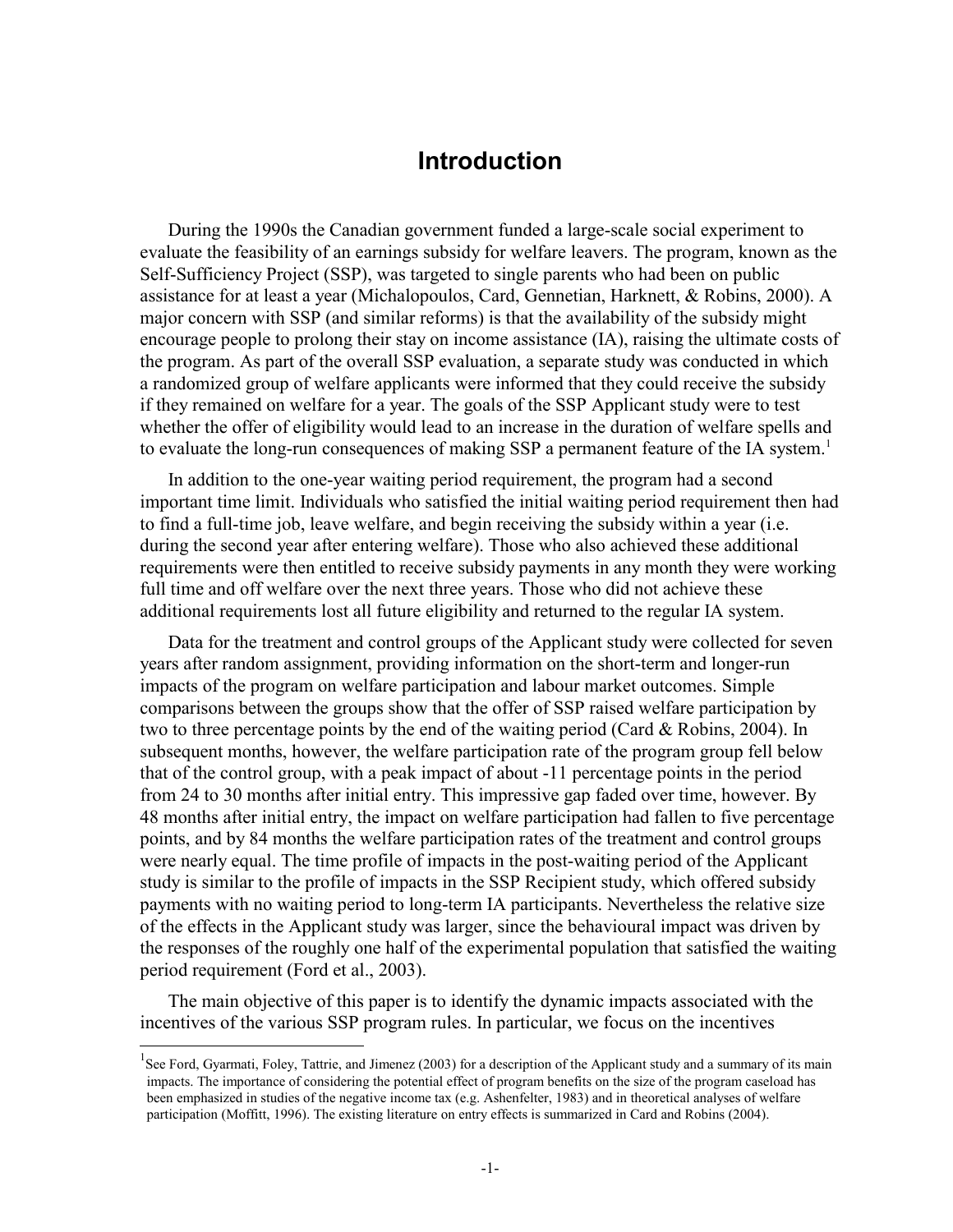## **Introduction**

During the 1990s the Canadian government funded a large-scale social experiment to evaluate the feasibility of an earnings subsidy for welfare leavers. The program, known as the Self-Sufficiency Project (SSP), was targeted to single parents who had been on public assistance for at least a year (Michalopoulos, Card, Gennetian, Harknett, & Robins, 2000). A major concern with SSP (and similar reforms) is that the availability of the subsidy might encourage people to prolong their stay on income assistance (IA), raising the ultimate costs of the program. As part of the overall SSP evaluation, a separate study was conducted in which a randomized group of welfare applicants were informed that they could receive the subsidy if they remained on welfare for a year. The goals of the SSP Applicant study were to test whether the offer of eligibility would lead to an increase in the duration of welfare spells and to evaluate the long-run consequences of making SSP a permanent feature of the IA system.<sup>1</sup>

In addition to the one-year waiting period requirement, the program had a second important time limit. Individuals who satisfied the initial waiting period requirement then had to find a full-time job, leave welfare, and begin receiving the subsidy within a year (i.e. during the second year after entering welfare). Those who also achieved these additional requirements were then entitled to receive subsidy payments in any month they were working full time and off welfare over the next three years. Those who did not achieve these additional requirements lost all future eligibility and returned to the regular IA system.

Data for the treatment and control groups of the Applicant study were collected for seven years after random assignment, providing information on the short-term and longer-run impacts of the program on welfare participation and labour market outcomes. Simple comparisons between the groups show that the offer of SSP raised welfare participation by two to three percentage points by the end of the waiting period (Card & Robins, 2004). In subsequent months, however, the welfare participation rate of the program group fell below that of the control group, with a peak impact of about -11 percentage points in the period from 24 to 30 months after initial entry. This impressive gap faded over time, however. By 48 months after initial entry, the impact on welfare participation had fallen to five percentage points, and by 84 months the welfare participation rates of the treatment and control groups were nearly equal. The time profile of impacts in the post-waiting period of the Applicant study is similar to the profile of impacts in the SSP Recipient study, which offered subsidy payments with no waiting period to long-term IA participants. Nevertheless the relative size of the effects in the Applicant study was larger, since the behavioural impact was driven by the responses of the roughly one half of the experimental population that satisfied the waiting period requirement (Ford et al., 2003).

The main objective of this paper is to identify the dynamic impacts associated with the incentives of the various SSP program rules. In particular, we focus on the incentives

l

<sup>&</sup>lt;sup>1</sup>See Ford, Gyarmati, Foley, Tattrie, and Jimenez (2003) for a description of the Applicant study and a summary of its main impacts. The importance of considering the potential effect of program benefits on the size of the program caseload has been emphasized in studies of the negative income tax (e.g. Ashenfelter, 1983) and in theoretical analyses of welfare participation (Moffitt, 1996). The existing literature on entry effects is summarized in Card and Robins (2004).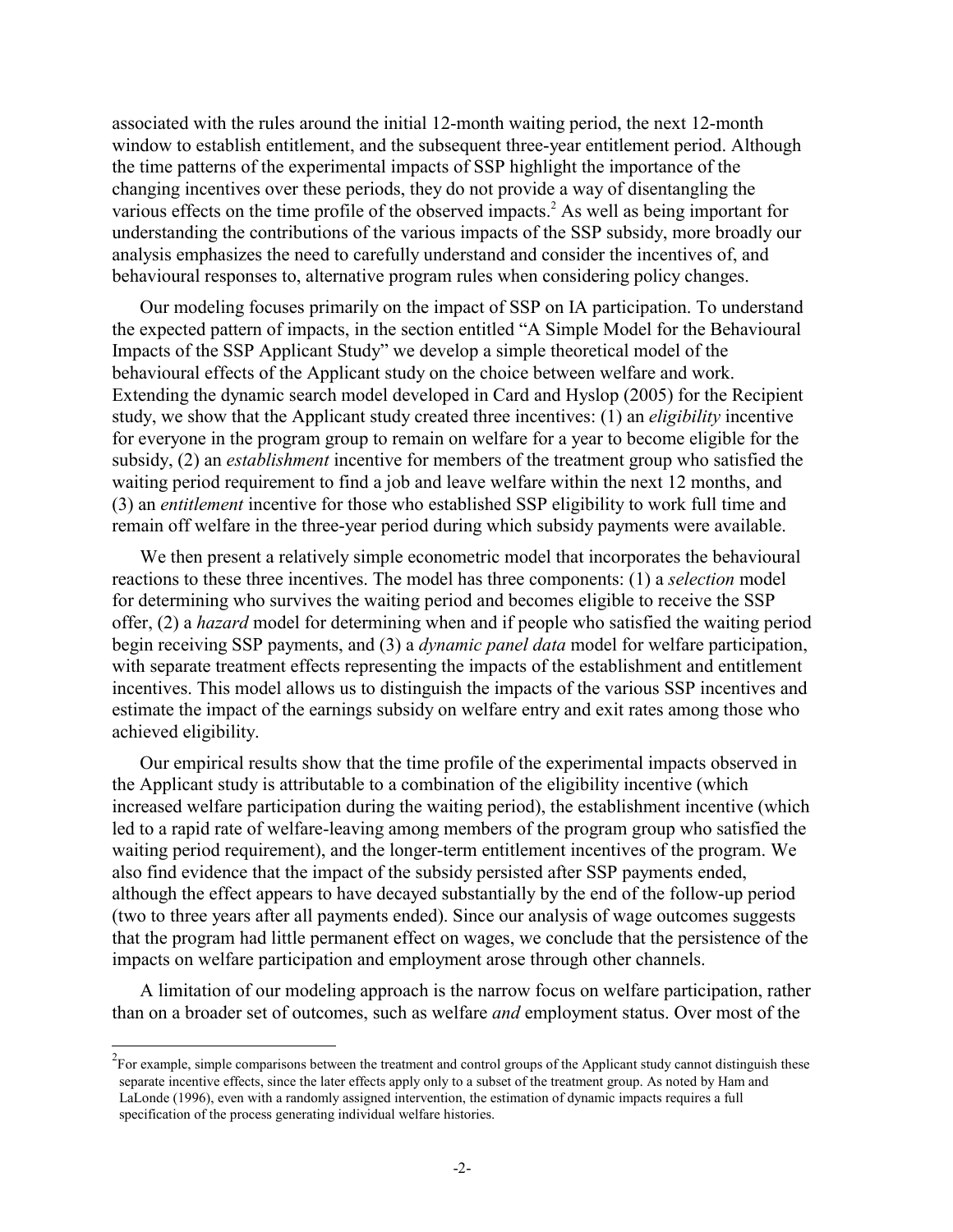associated with the rules around the initial 12-month waiting period, the next 12-month window to establish entitlement, and the subsequent three-year entitlement period. Although the time patterns of the experimental impacts of SSP highlight the importance of the changing incentives over these periods, they do not provide a way of disentangling the various effects on the time profile of the observed impacts.<sup>2</sup> As well as being important for understanding the contributions of the various impacts of the SSP subsidy, more broadly our analysis emphasizes the need to carefully understand and consider the incentives of, and behavioural responses to, alternative program rules when considering policy changes.

Our modeling focuses primarily on the impact of SSP on IA participation. To understand the expected pattern of impacts, in the section entitled "A Simple Model for the Behavioural Impacts of the SSP Applicant Study" we develop a simple theoretical model of the behavioural effects of the Applicant study on the choice between welfare and work. Extending the dynamic search model developed in Card and Hyslop (2005) for the Recipient study, we show that the Applicant study created three incentives: (1) an *eligibility* incentive for everyone in the program group to remain on welfare for a year to become eligible for the subsidy, (2) an *establishment* incentive for members of the treatment group who satisfied the waiting period requirement to find a job and leave welfare within the next 12 months, and (3) an *entitlement* incentive for those who established SSP eligibility to work full time and remain off welfare in the three-year period during which subsidy payments were available.

We then present a relatively simple econometric model that incorporates the behavioural reactions to these three incentives. The model has three components: (1) a *selection* model for determining who survives the waiting period and becomes eligible to receive the SSP offer, (2) a *hazard* model for determining when and if people who satisfied the waiting period begin receiving SSP payments, and (3) a *dynamic panel data* model for welfare participation, with separate treatment effects representing the impacts of the establishment and entitlement incentives. This model allows us to distinguish the impacts of the various SSP incentives and estimate the impact of the earnings subsidy on welfare entry and exit rates among those who achieved eligibility.

Our empirical results show that the time profile of the experimental impacts observed in the Applicant study is attributable to a combination of the eligibility incentive (which increased welfare participation during the waiting period), the establishment incentive (which led to a rapid rate of welfare-leaving among members of the program group who satisfied the waiting period requirement), and the longer-term entitlement incentives of the program. We also find evidence that the impact of the subsidy persisted after SSP payments ended, although the effect appears to have decayed substantially by the end of the follow-up period (two to three years after all payments ended). Since our analysis of wage outcomes suggests that the program had little permanent effect on wages, we conclude that the persistence of the impacts on welfare participation and employment arose through other channels.

A limitation of our modeling approach is the narrow focus on welfare participation, rather than on a broader set of outcomes, such as welfare *and* employment status. Over most of the

l

 $2^{\circ}$ For example, simple comparisons between the treatment and control groups of the Applicant study cannot distinguish these separate incentive effects, since the later effects apply only to a subset of the treatment group. As noted by Ham and LaLonde (1996), even with a randomly assigned intervention, the estimation of dynamic impacts requires a full specification of the process generating individual welfare histories.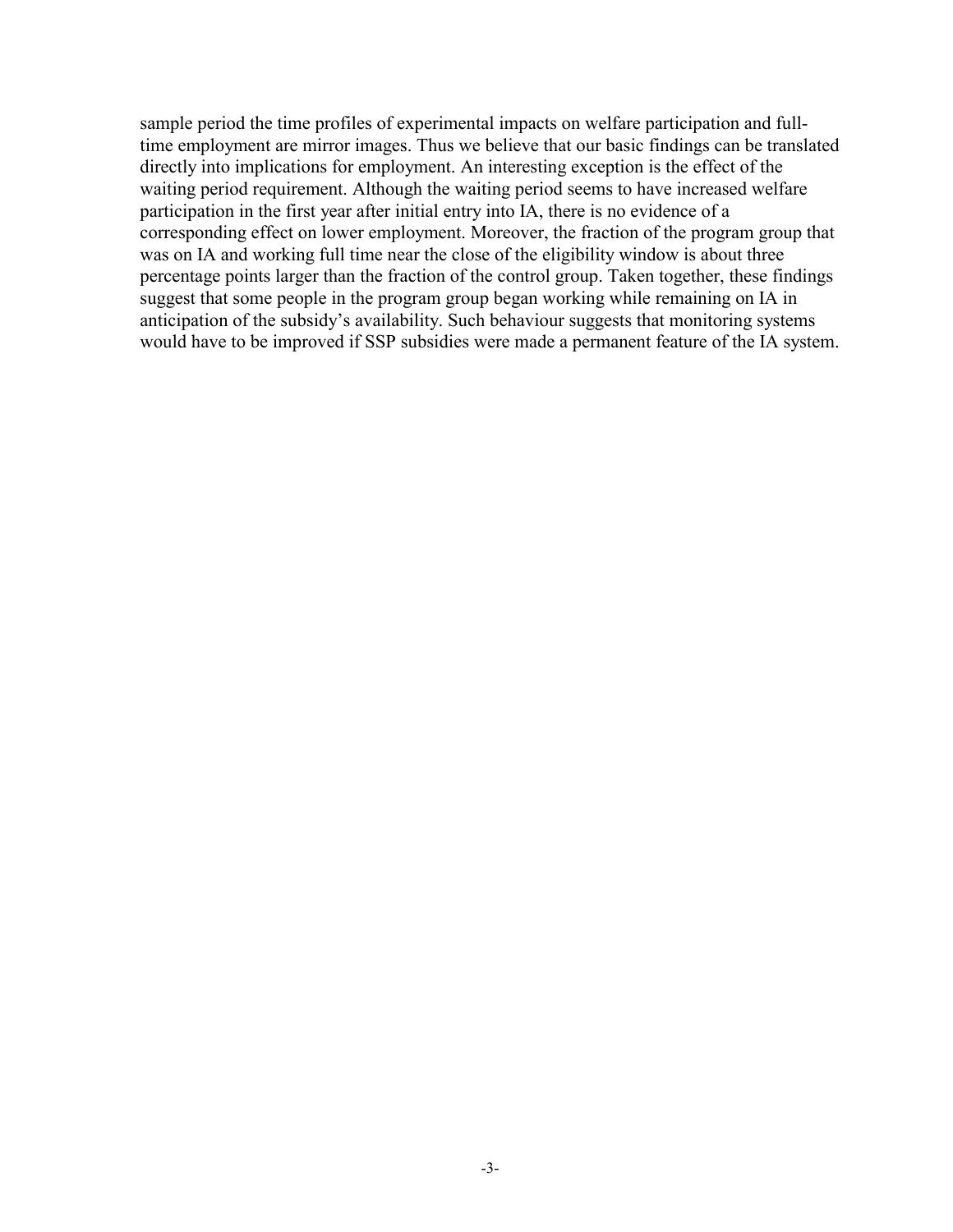sample period the time profiles of experimental impacts on welfare participation and fulltime employment are mirror images. Thus we believe that our basic findings can be translated directly into implications for employment. An interesting exception is the effect of the waiting period requirement. Although the waiting period seems to have increased welfare participation in the first year after initial entry into IA, there is no evidence of a corresponding effect on lower employment. Moreover, the fraction of the program group that was on IA and working full time near the close of the eligibility window is about three percentage points larger than the fraction of the control group. Taken together, these findings suggest that some people in the program group began working while remaining on IA in anticipation of the subsidy's availability. Such behaviour suggests that monitoring systems would have to be improved if SSP subsidies were made a permanent feature of the IA system.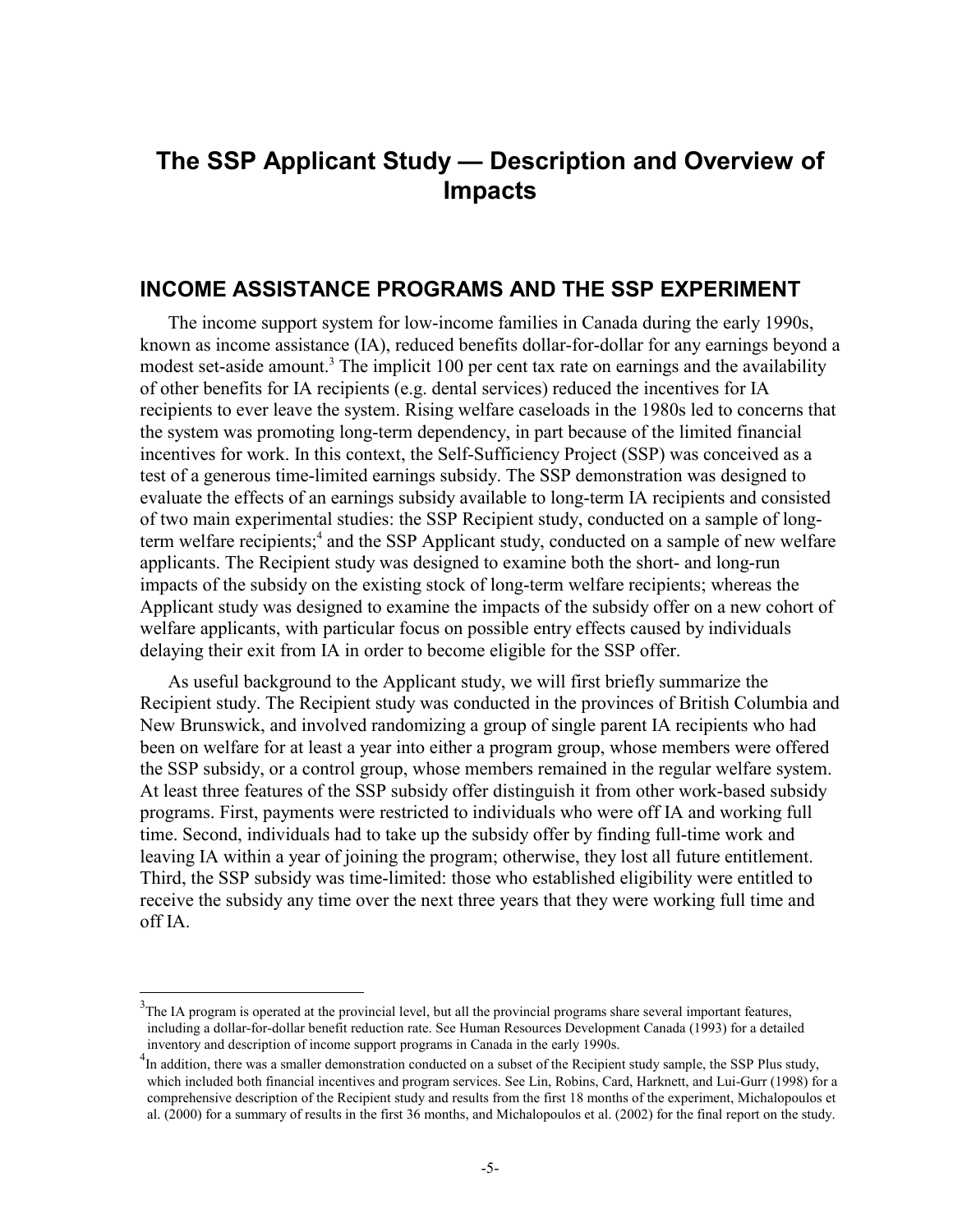## **The SSP Applicant Study — Description and Overview of Impacts**

### **INCOME ASSISTANCE PROGRAMS AND THE SSP EXPERIMENT**

The income support system for low-income families in Canada during the early 1990s, known as income assistance (IA), reduced benefits dollar-for-dollar for any earnings beyond a modest set-aside amount.<sup>3</sup> The implicit 100 per cent tax rate on earnings and the availability of other benefits for IA recipients (e.g. dental services) reduced the incentives for IA recipients to ever leave the system. Rising welfare caseloads in the 1980s led to concerns that the system was promoting long-term dependency, in part because of the limited financial incentives for work. In this context, the Self-Sufficiency Project (SSP) was conceived as a test of a generous time-limited earnings subsidy. The SSP demonstration was designed to evaluate the effects of an earnings subsidy available to long-term IA recipients and consisted of two main experimental studies: the SSP Recipient study, conducted on a sample of longterm welfare recipients;<sup>4</sup> and the SSP Applicant study, conducted on a sample of new welfare applicants. The Recipient study was designed to examine both the short- and long-run impacts of the subsidy on the existing stock of long-term welfare recipients; whereas the Applicant study was designed to examine the impacts of the subsidy offer on a new cohort of welfare applicants, with particular focus on possible entry effects caused by individuals delaying their exit from IA in order to become eligible for the SSP offer.

As useful background to the Applicant study, we will first briefly summarize the Recipient study. The Recipient study was conducted in the provinces of British Columbia and New Brunswick, and involved randomizing a group of single parent IA recipients who had been on welfare for at least a year into either a program group, whose members were offered the SSP subsidy, or a control group, whose members remained in the regular welfare system. At least three features of the SSP subsidy offer distinguish it from other work-based subsidy programs. First, payments were restricted to individuals who were off IA and working full time. Second, individuals had to take up the subsidy offer by finding full-time work and leaving IA within a year of joining the program; otherwise, they lost all future entitlement. Third, the SSP subsidy was time-limited: those who established eligibility were entitled to receive the subsidy any time over the next three years that they were working full time and off IA.

 $\overline{a}$ 

 $3$ The IA program is operated at the provincial level, but all the provincial programs share several important features, including a dollar-for-dollar benefit reduction rate. See Human Resources Development Canada (1993) for a detailed inventory and description of income support programs in Canada in the early 1990s.

<sup>&</sup>lt;sup>4</sup>In addition, there was a smaller demonstration conducted on a subset of the Recipient study sample, the SSP Plus study, which included both financial incentives and program services. See Lin, Robins, Card, Harknett, and Lui-Gurr (1998) for a comprehensive description of the Recipient study and results from the first 18 months of the experiment, Michalopoulos et al. (2000) for a summary of results in the first 36 months, and Michalopoulos et al. (2002) for the final report on the study.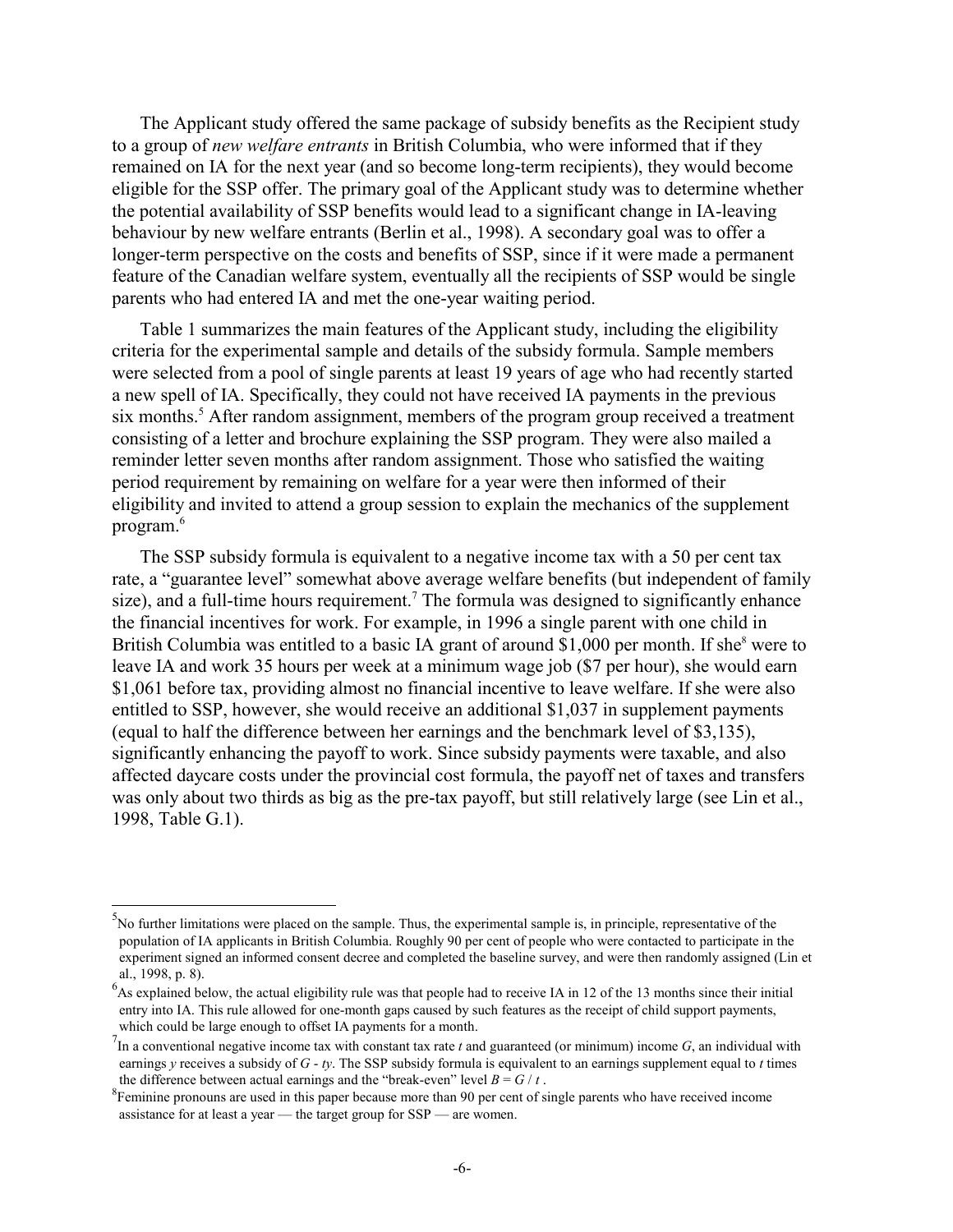The Applicant study offered the same package of subsidy benefits as the Recipient study to a group of *new welfare entrants* in British Columbia, who were informed that if they remained on IA for the next year (and so become long-term recipients), they would become eligible for the SSP offer. The primary goal of the Applicant study was to determine whether the potential availability of SSP benefits would lead to a significant change in IA-leaving behaviour by new welfare entrants (Berlin et al., 1998). A secondary goal was to offer a longer-term perspective on the costs and benefits of SSP, since if it were made a permanent feature of the Canadian welfare system, eventually all the recipients of SSP would be single parents who had entered IA and met the one-year waiting period.

Table 1 summarizes the main features of the Applicant study, including the eligibility criteria for the experimental sample and details of the subsidy formula. Sample members were selected from a pool of single parents at least 19 years of age who had recently started a new spell of IA. Specifically, they could not have received IA payments in the previous six months.<sup>5</sup> After random assignment, members of the program group received a treatment consisting of a letter and brochure explaining the SSP program. They were also mailed a reminder letter seven months after random assignment. Those who satisfied the waiting period requirement by remaining on welfare for a year were then informed of their eligibility and invited to attend a group session to explain the mechanics of the supplement program.<sup>6</sup>

The SSP subsidy formula is equivalent to a negative income tax with a 50 per cent tax rate, a "guarantee level" somewhat above average welfare benefits (but independent of family size), and a full-time hours requirement.<sup>7</sup> The formula was designed to significantly enhance the financial incentives for work. For example, in 1996 a single parent with one child in British Columbia was entitled to a basic IA grant of around \$1,000 per month. If she<sup>8</sup> were to leave IA and work 35 hours per week at a minimum wage job (\$7 per hour), she would earn \$1,061 before tax, providing almost no financial incentive to leave welfare. If she were also entitled to SSP, however, she would receive an additional \$1,037 in supplement payments (equal to half the difference between her earnings and the benchmark level of \$3,135), significantly enhancing the payoff to work. Since subsidy payments were taxable, and also affected daycare costs under the provincial cost formula, the payoff net of taxes and transfers was only about two thirds as big as the pre-tax payoff, but still relatively large (see Lin et al., 1998, Table G.1).

 $\overline{a}$ 

<sup>&</sup>lt;sup>5</sup>No further limitations were placed on the sample. Thus, the experimental sample is, in principle, representative of the population of IA applicants in British Columbia. Roughly 90 per cent of people who were contacted to participate in the experiment signed an informed consent decree and completed the baseline survey, and were then randomly assigned (Lin et al., 1998, p. 8).

 $<sup>6</sup>$ As explained below, the actual eligibility rule was that people had to receive IA in 12 of the 13 months since their initial</sup> entry into IA. This rule allowed for one-month gaps caused by such features as the receipt of child support payments, which could be large enough to offset IA payments for a month.

 $^{7}$ In a conventional negative income tax with constant tax rate  $t$  and guaranteed (or minimum) income  $G$ , an individual with earnings *y* receives a subsidy of *G* - *ty*. The SSP subsidy formula is equivalent to an earnings supplement equal to *t* times the difference between actual earnings and the "break-even" level  $B = G / t$ .

<sup>&</sup>lt;sup>8</sup>Feminine pronouns are used in this paper because more than 90 per cent of single parents who have received income assistance for at least a year — the target group for SSP — are women.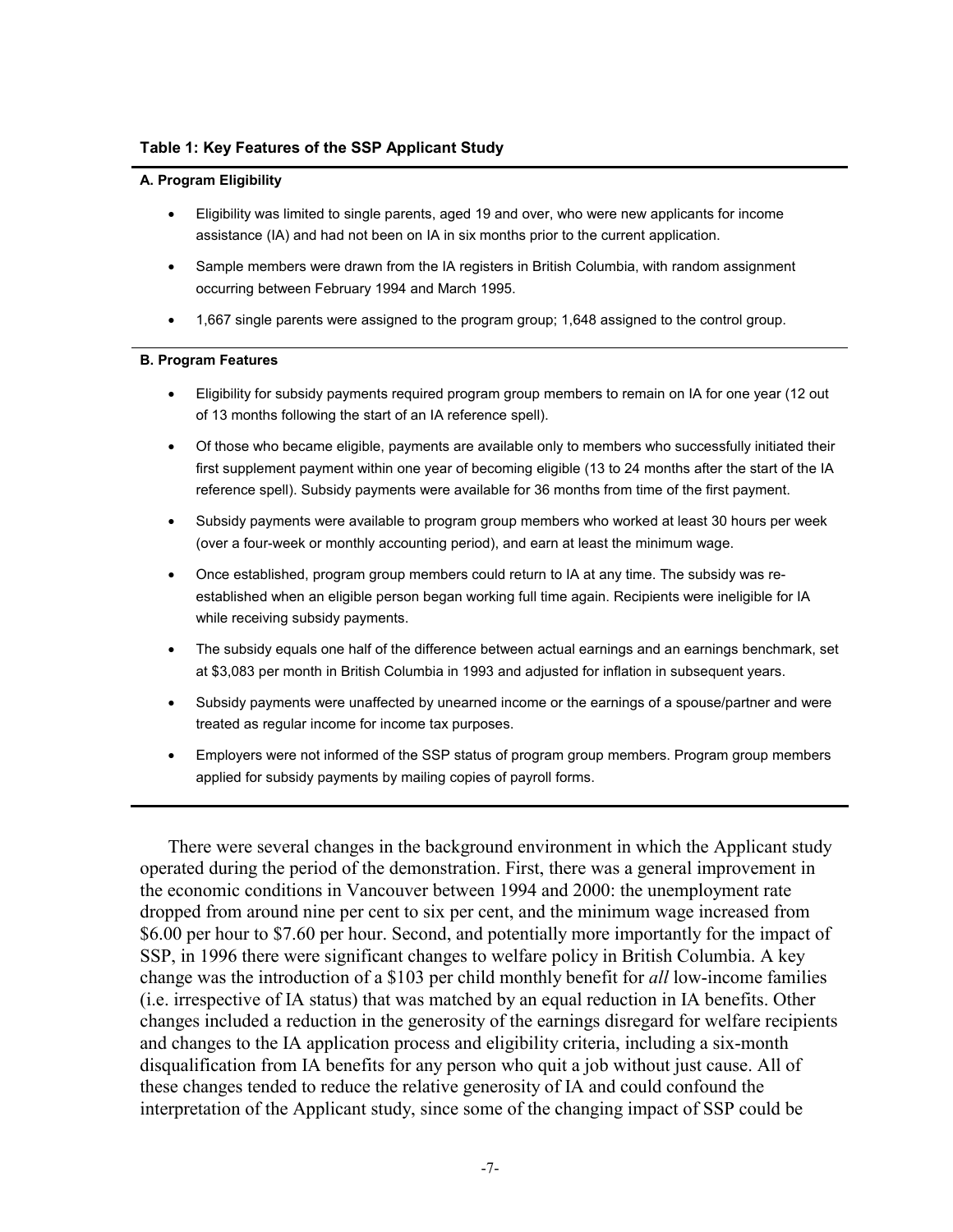#### **Table 1: Key Features of the SSP Applicant Study**

#### **A. Program Eligibility**

- Eligibility was limited to single parents, aged 19 and over, who were new applicants for income assistance (IA) and had not been on IA in six months prior to the current application.
- Sample members were drawn from the IA registers in British Columbia, with random assignment occurring between February 1994 and March 1995.
- 1,667 single parents were assigned to the program group; 1,648 assigned to the control group.

#### **B. Program Features**

- Eligibility for subsidy payments required program group members to remain on IA for one year (12 out of 13 months following the start of an IA reference spell).
- Of those who became eligible, payments are available only to members who successfully initiated their first supplement payment within one year of becoming eligible (13 to 24 months after the start of the IA reference spell). Subsidy payments were available for 36 months from time of the first payment.
- Subsidy payments were available to program group members who worked at least 30 hours per week (over a four-week or monthly accounting period), and earn at least the minimum wage.
- Once established, program group members could return to IA at any time. The subsidy was reestablished when an eligible person began working full time again. Recipients were ineligible for IA while receiving subsidy payments.
- The subsidy equals one half of the difference between actual earnings and an earnings benchmark, set at \$3,083 per month in British Columbia in 1993 and adjusted for inflation in subsequent years.
- Subsidy payments were unaffected by unearned income or the earnings of a spouse/partner and were treated as regular income for income tax purposes.
- Employers were not informed of the SSP status of program group members. Program group members applied for subsidy payments by mailing copies of payroll forms.

There were several changes in the background environment in which the Applicant study operated during the period of the demonstration. First, there was a general improvement in the economic conditions in Vancouver between 1994 and 2000: the unemployment rate dropped from around nine per cent to six per cent, and the minimum wage increased from \$6.00 per hour to \$7.60 per hour. Second, and potentially more importantly for the impact of SSP, in 1996 there were significant changes to welfare policy in British Columbia. A key change was the introduction of a \$103 per child monthly benefit for *all* low-income families (i.e. irrespective of IA status) that was matched by an equal reduction in IA benefits. Other changes included a reduction in the generosity of the earnings disregard for welfare recipients and changes to the IA application process and eligibility criteria, including a six-month disqualification from IA benefits for any person who quit a job without just cause. All of these changes tended to reduce the relative generosity of IA and could confound the interpretation of the Applicant study, since some of the changing impact of SSP could be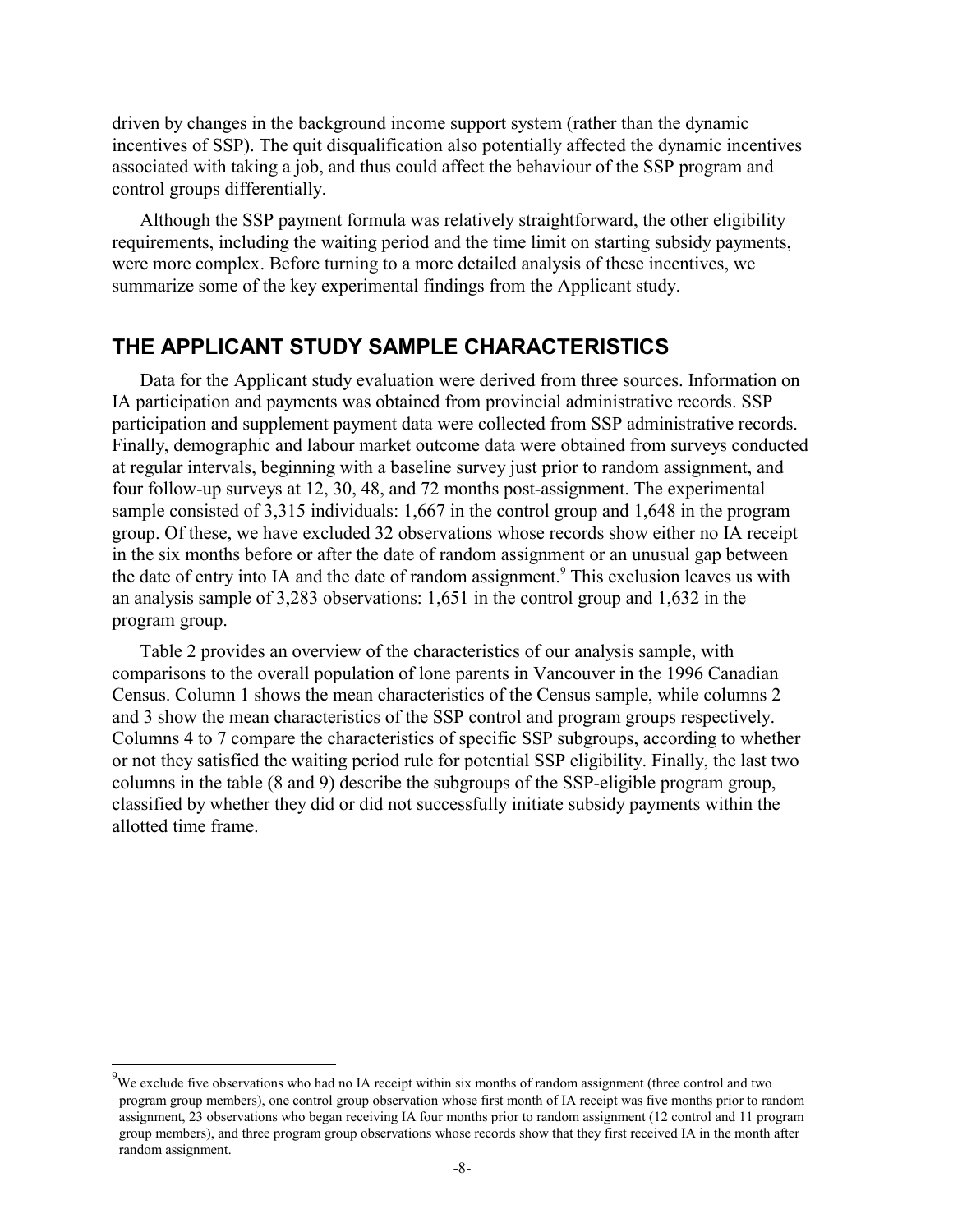driven by changes in the background income support system (rather than the dynamic incentives of SSP). The quit disqualification also potentially affected the dynamic incentives associated with taking a job, and thus could affect the behaviour of the SSP program and control groups differentially.

Although the SSP payment formula was relatively straightforward, the other eligibility requirements, including the waiting period and the time limit on starting subsidy payments, were more complex. Before turning to a more detailed analysis of these incentives, we summarize some of the key experimental findings from the Applicant study.

#### **THE APPLICANT STUDY SAMPLE CHARACTERISTICS**

Data for the Applicant study evaluation were derived from three sources. Information on IA participation and payments was obtained from provincial administrative records. SSP participation and supplement payment data were collected from SSP administrative records. Finally, demographic and labour market outcome data were obtained from surveys conducted at regular intervals, beginning with a baseline survey just prior to random assignment, and four follow-up surveys at 12, 30, 48, and 72 months post-assignment. The experimental sample consisted of 3,315 individuals: 1,667 in the control group and 1,648 in the program group. Of these, we have excluded 32 observations whose records show either no IA receipt in the six months before or after the date of random assignment or an unusual gap between the date of entry into IA and the date of random assignment.<sup>9</sup> This exclusion leaves us with an analysis sample of 3,283 observations: 1,651 in the control group and 1,632 in the program group.

Table 2 provides an overview of the characteristics of our analysis sample, with comparisons to the overall population of lone parents in Vancouver in the 1996 Canadian Census. Column 1 shows the mean characteristics of the Census sample, while columns 2 and 3 show the mean characteristics of the SSP control and program groups respectively. Columns 4 to 7 compare the characteristics of specific SSP subgroups, according to whether or not they satisfied the waiting period rule for potential SSP eligibility. Finally, the last two columns in the table (8 and 9) describe the subgroups of the SSP-eligible program group, classified by whether they did or did not successfully initiate subsidy payments within the allotted time frame.

 $\overline{a}$ 

 $9$ We exclude five observations who had no IA receipt within six months of random assignment (three control and two program group members), one control group observation whose first month of IA receipt was five months prior to random assignment, 23 observations who began receiving IA four months prior to random assignment (12 control and 11 program group members), and three program group observations whose records show that they first received IA in the month after random assignment.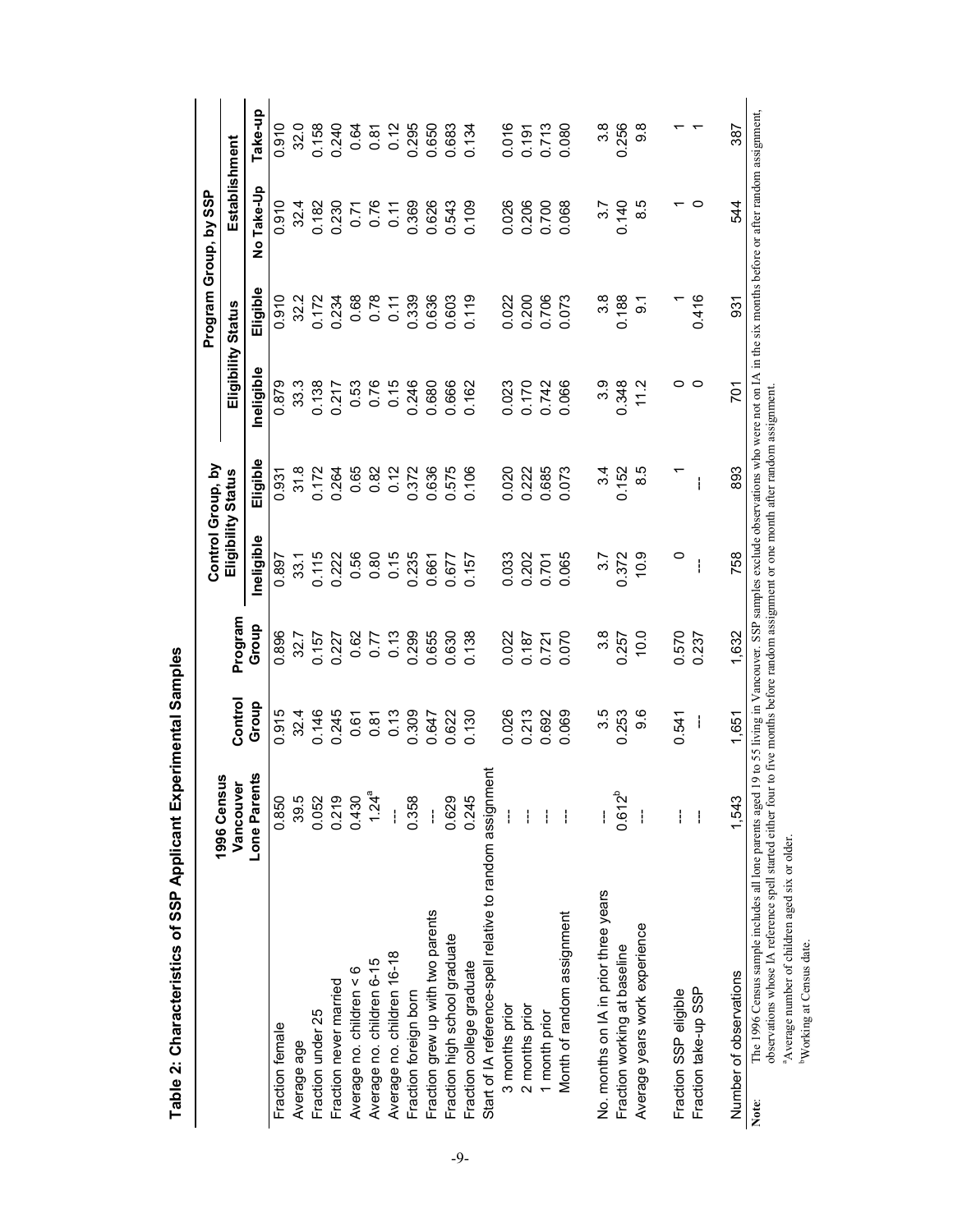|                                                                                                                                                                                                                                                                    |                               |         |         |                                                                              | Control Group, by  |                    |          | Program Group, by SSP |                |
|--------------------------------------------------------------------------------------------------------------------------------------------------------------------------------------------------------------------------------------------------------------------|-------------------------------|---------|---------|------------------------------------------------------------------------------|--------------------|--------------------|----------|-----------------------|----------------|
|                                                                                                                                                                                                                                                                    | U)<br>1996 Censu<br>Vancouver | Control | Program |                                                                              | Eligibility Status | Eligibility Status |          | Establishment         |                |
|                                                                                                                                                                                                                                                                    | 'n.<br>Lone Parent            | Group   | Group   | Ineligible                                                                   | Eligible           | neligible          | Eligible | No Take-Up            | Take-up        |
| Fraction female                                                                                                                                                                                                                                                    | 0.850                         | 0.915   | 0.896   | 0.897                                                                        | 0.931              | 0.879              | 0.910    | 0.910                 | 0.910          |
| Average age                                                                                                                                                                                                                                                        | 39.5                          | 32.4    | 32.7    | 33.1                                                                         | 31.8               | 33.3               | 32.2     | 32.4                  | 32.0           |
| Fraction under 25                                                                                                                                                                                                                                                  | 0.052                         | 0.146   | 0.157   | 0.115                                                                        | 0.172              | 0.138              | 0.172    | 0.182                 | 0.158          |
| Fraction never married                                                                                                                                                                                                                                             | 0.219                         | 0.245   | 0.227   | 0.222                                                                        | 0.264              | 0.217              | 0.234    | 0.230                 | 0.240          |
| Average no. children < 6                                                                                                                                                                                                                                           | 0.430                         | 0.61    | 0.62    | 0.56                                                                         | 0.65               | 0.53               | 0.68     | 0.71                  | 0.64           |
| Average no. children 6-15                                                                                                                                                                                                                                          | $1.24^a$                      | 0.87    | 0.77    | 0.80                                                                         | 0.82               | 0.76               | 0.78     | 0.76                  | 0.81           |
| Average no. children 16-18                                                                                                                                                                                                                                         |                               | 0.13    | 0.13    | 0.15                                                                         | 0.12               | 0.15               | 0.11     | 0.11                  | 0.12           |
| Fraction foreign born                                                                                                                                                                                                                                              | 0.358                         | 0.309   | 0.299   | 0.235                                                                        | 0.372              | 0.246              | 0.339    | 0.369                 | 0.295          |
| Fraction grew up with two parents                                                                                                                                                                                                                                  |                               | 0.647   | 0.655   | 0.661                                                                        | 0.636              | 0.680              | 0.636    | 0.626                 | 0.650          |
| Fraction high school graduate                                                                                                                                                                                                                                      | 0.629                         | 0.622   | 0.630   | 0.677                                                                        | 0.575              | 0.666              | 0.603    | 0.543                 | 0.683          |
| Fraction college graduate                                                                                                                                                                                                                                          | 0.245                         | 0.130   | 0.138   | 0.157                                                                        | 0.106              | 0.162              | 0.119    | 0.109                 | 0.134          |
| Start of IA reference-spell relative to random assignment                                                                                                                                                                                                          |                               |         |         |                                                                              |                    |                    |          |                       |                |
| 3 months prior                                                                                                                                                                                                                                                     |                               | 0.026   | 0.022   | 0.033                                                                        | 0.020              | 0.023              | 0.022    | 0.026                 | 0.016          |
| 2 months prior                                                                                                                                                                                                                                                     |                               | 0.213   | 0.187   | 0.202                                                                        | 0.222              | 0.170              | 0.200    | 0.206                 | 0.191          |
| 1 month prior                                                                                                                                                                                                                                                      |                               | 0.692   | 0.721   | 0.701                                                                        | 0.685              | 0.742              | 0.706    | 0.700                 | 0.713<br>0.080 |
| Month of random assignment                                                                                                                                                                                                                                         |                               | 0.069   |         | 0.065                                                                        | 0.073              | 0.066              | 0.073    | 0.068                 |                |
| No. months on IA in prior three years                                                                                                                                                                                                                              |                               | 3.5     | 3.8     | 3.7                                                                          | 3.4                | 3.9                | 3.8      | 3.7                   | 3.8            |
| Fraction working at baseline                                                                                                                                                                                                                                       | $0.612^{b}$                   | 0.253   | 0.257   | 0.372                                                                        | 0.152              | 0.348              | 0.188    | 0.140                 | 0.256          |
| Average years work experience                                                                                                                                                                                                                                      |                               | 9.6     | 10.0    | 10.9                                                                         | 8.5                | 11.2               | <u>ნ</u> | 8.5                   | 9.8            |
| Fraction SSP eligible                                                                                                                                                                                                                                              |                               | 0.541   | 0.570   | 0                                                                            |                    | 0                  |          |                       |                |
| Fraction take-up SSP                                                                                                                                                                                                                                               |                               | I       | 0.237   |                                                                              | ł                  | 0                  | 0.416    | 0                     | ᠇              |
| Number of observations                                                                                                                                                                                                                                             | 1,543                         | 1.651   | 1,632   | 758                                                                          | 893                | 701                | 931      | 544                   | 387            |
| The 1996 Census sample includes all lone parents aged 19 to 55 living in Vancouver. SSP samples exclude observations who were not on IA in the six months before or after random assignment,<br>observations whose IA reference spell started either four<br>Note: |                               |         |         | to five months before random assignment or one month after random assignment |                    |                    |          |                       |                |
| <sup>a</sup> Average number of children aged six or older.                                                                                                                                                                                                         |                               |         |         |                                                                              |                    |                    |          |                       |                |
| <sup>b</sup> Working at Census date.                                                                                                                                                                                                                               |                               |         |         |                                                                              |                    |                    |          |                       |                |

Table 2: Characteristics of SSP Applicant Experimental Samples **Table 2: Characteristics of SSP Applicant Experimental Samples** 

-9-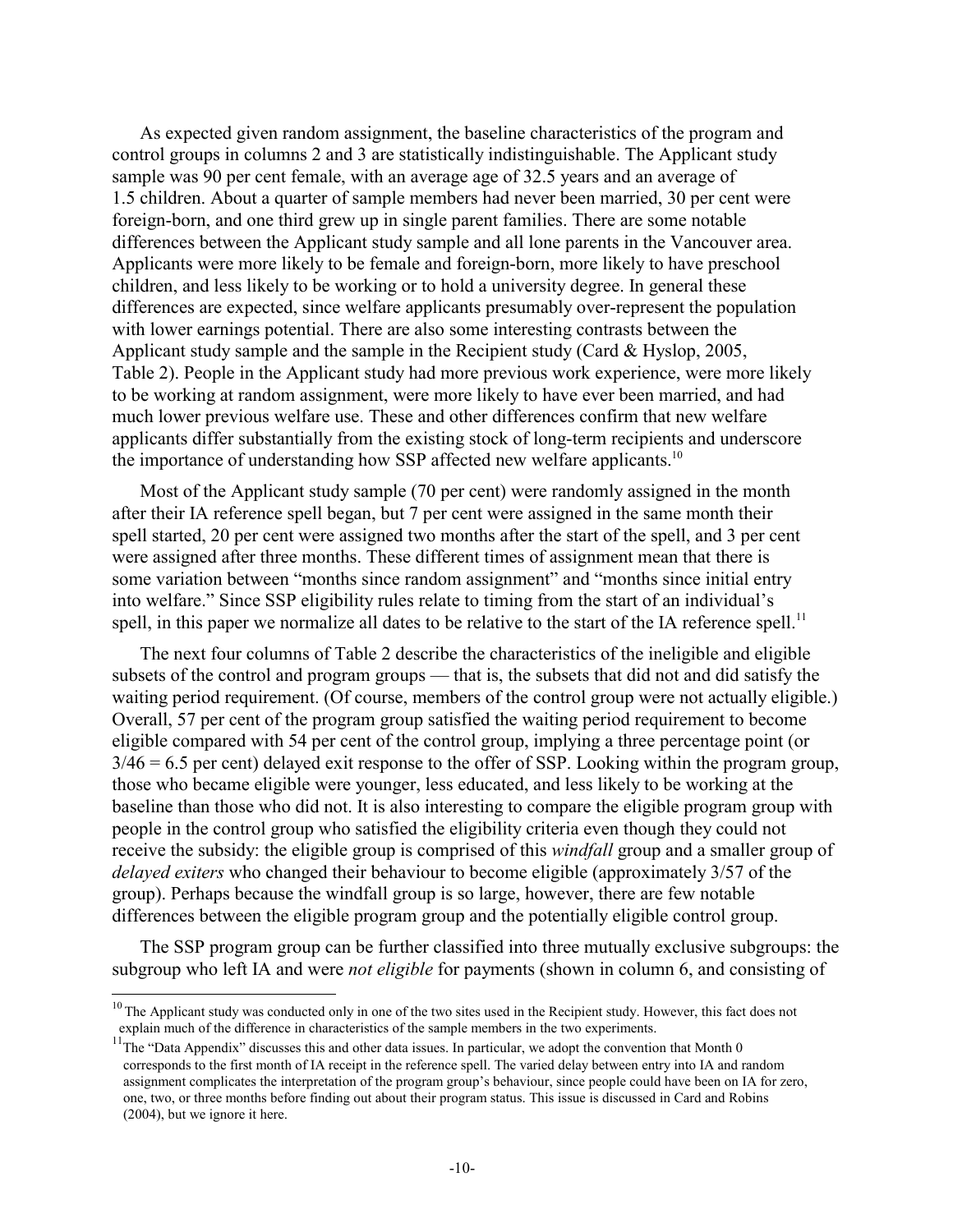As expected given random assignment, the baseline characteristics of the program and control groups in columns 2 and 3 are statistically indistinguishable. The Applicant study sample was 90 per cent female, with an average age of 32.5 years and an average of 1.5 children. About a quarter of sample members had never been married, 30 per cent were foreign-born, and one third grew up in single parent families. There are some notable differences between the Applicant study sample and all lone parents in the Vancouver area. Applicants were more likely to be female and foreign-born, more likely to have preschool children, and less likely to be working or to hold a university degree. In general these differences are expected, since welfare applicants presumably over-represent the population with lower earnings potential. There are also some interesting contrasts between the Applicant study sample and the sample in the Recipient study (Card & Hyslop, 2005, Table 2). People in the Applicant study had more previous work experience, were more likely to be working at random assignment, were more likely to have ever been married, and had much lower previous welfare use. These and other differences confirm that new welfare applicants differ substantially from the existing stock of long-term recipients and underscore the importance of understanding how SSP affected new welfare applicants.<sup>10</sup>

Most of the Applicant study sample (70 per cent) were randomly assigned in the month after their IA reference spell began, but 7 per cent were assigned in the same month their spell started, 20 per cent were assigned two months after the start of the spell, and 3 per cent were assigned after three months. These different times of assignment mean that there is some variation between "months since random assignment" and "months since initial entry into welfare." Since SSP eligibility rules relate to timing from the start of an individual's spell, in this paper we normalize all dates to be relative to the start of the IA reference spell.<sup>11</sup>

The next four columns of Table 2 describe the characteristics of the ineligible and eligible subsets of the control and program groups — that is, the subsets that did not and did satisfy the waiting period requirement. (Of course, members of the control group were not actually eligible.) Overall, 57 per cent of the program group satisfied the waiting period requirement to become eligible compared with 54 per cent of the control group, implying a three percentage point (or  $3/46 = 6.5$  per cent) delayed exit response to the offer of SSP. Looking within the program group, those who became eligible were younger, less educated, and less likely to be working at the baseline than those who did not. It is also interesting to compare the eligible program group with people in the control group who satisfied the eligibility criteria even though they could not receive the subsidy: the eligible group is comprised of this *windfall* group and a smaller group of *delayed exiters* who changed their behaviour to become eligible (approximately 3/57 of the group). Perhaps because the windfall group is so large, however, there are few notable differences between the eligible program group and the potentially eligible control group.

The SSP program group can be further classified into three mutually exclusive subgroups: the subgroup who left IA and were *not eligible* for payments (shown in column 6, and consisting of

 $\overline{a}$ 

 $10$  The Applicant study was conducted only in one of the two sites used in the Recipient study. However, this fact does not explain much of the difference in characteristics of the sample members in the two experiments.

 $11$ The "Data Appendix" discusses this and other data issues. In particular, we adopt the convention that Month 0 corresponds to the first month of IA receipt in the reference spell. The varied delay between entry into IA and random assignment complicates the interpretation of the program group's behaviour, since people could have been on IA for zero, one, two, or three months before finding out about their program status. This issue is discussed in Card and Robins (2004), but we ignore it here.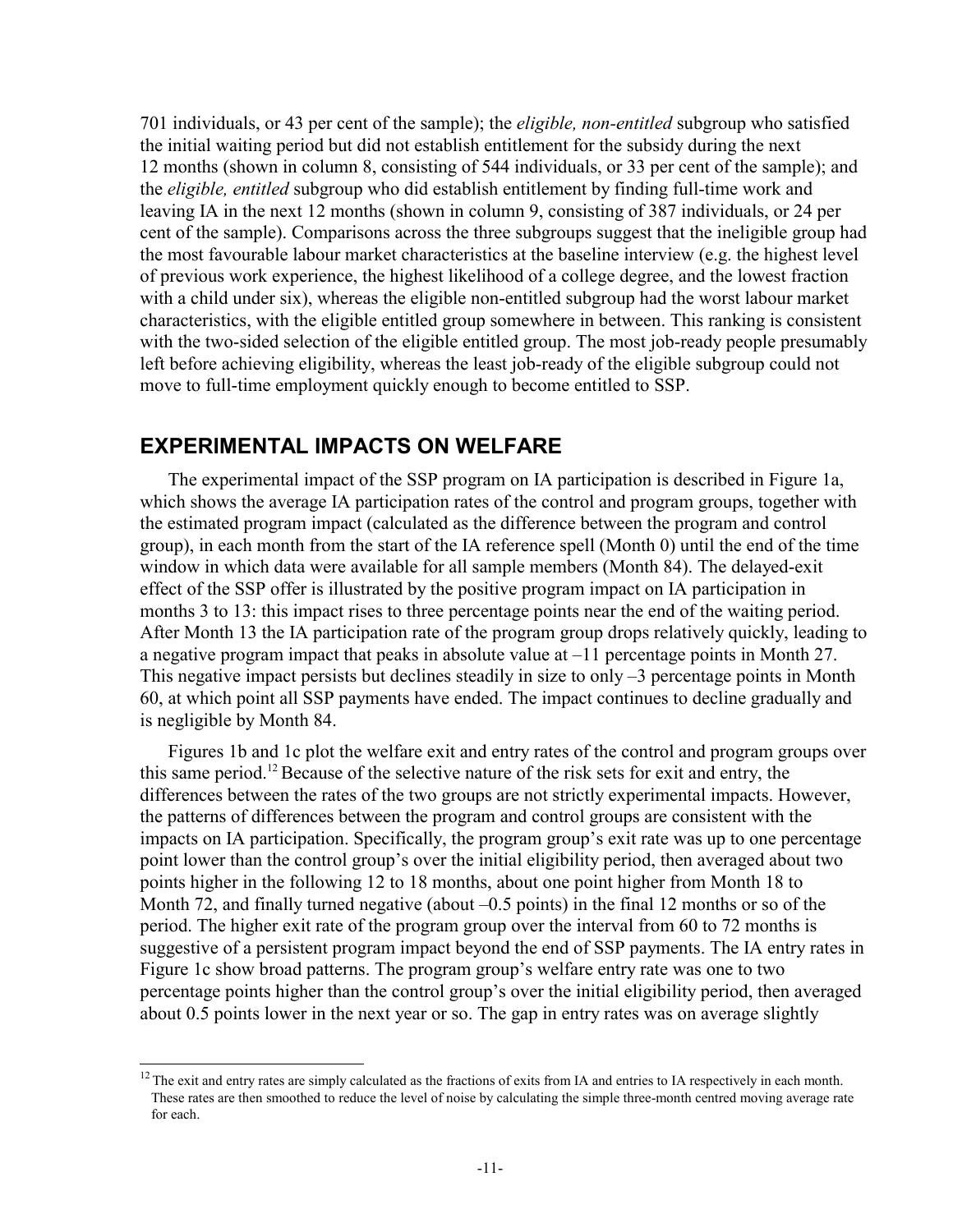701 individuals, or 43 per cent of the sample); the *eligible, non-entitled* subgroup who satisfied the initial waiting period but did not establish entitlement for the subsidy during the next 12 months (shown in column 8, consisting of 544 individuals, or 33 per cent of the sample); and the *eligible, entitled* subgroup who did establish entitlement by finding full-time work and leaving IA in the next 12 months (shown in column 9, consisting of 387 individuals, or 24 per cent of the sample). Comparisons across the three subgroups suggest that the ineligible group had the most favourable labour market characteristics at the baseline interview (e.g. the highest level of previous work experience, the highest likelihood of a college degree, and the lowest fraction with a child under six), whereas the eligible non-entitled subgroup had the worst labour market characteristics, with the eligible entitled group somewhere in between. This ranking is consistent with the two-sided selection of the eligible entitled group. The most job-ready people presumably left before achieving eligibility, whereas the least job-ready of the eligible subgroup could not move to full-time employment quickly enough to become entitled to SSP.

#### **EXPERIMENTAL IMPACTS ON WELFARE**

l

The experimental impact of the SSP program on IA participation is described in Figure 1a, which shows the average IA participation rates of the control and program groups, together with the estimated program impact (calculated as the difference between the program and control group), in each month from the start of the IA reference spell (Month 0) until the end of the time window in which data were available for all sample members (Month 84). The delayed-exit effect of the SSP offer is illustrated by the positive program impact on IA participation in months 3 to 13: this impact rises to three percentage points near the end of the waiting period. After Month 13 the IA participation rate of the program group drops relatively quickly, leading to a negative program impact that peaks in absolute value at –11 percentage points in Month 27. This negative impact persists but declines steadily in size to only –3 percentage points in Month 60, at which point all SSP payments have ended. The impact continues to decline gradually and is negligible by Month 84.

Figures 1b and 1c plot the welfare exit and entry rates of the control and program groups over this same period.<sup>12</sup> Because of the selective nature of the risk sets for exit and entry, the differences between the rates of the two groups are not strictly experimental impacts. However, the patterns of differences between the program and control groups are consistent with the impacts on IA participation. Specifically, the program group's exit rate was up to one percentage point lower than the control group's over the initial eligibility period, then averaged about two points higher in the following 12 to 18 months, about one point higher from Month 18 to Month 72, and finally turned negative (about –0.5 points) in the final 12 months or so of the period. The higher exit rate of the program group over the interval from 60 to 72 months is suggestive of a persistent program impact beyond the end of SSP payments. The IA entry rates in Figure 1c show broad patterns. The program group's welfare entry rate was one to two percentage points higher than the control group's over the initial eligibility period, then averaged about 0.5 points lower in the next year or so. The gap in entry rates was on average slightly

<sup>12</sup> The exit and entry rates are simply calculated as the fractions of exits from IA and entries to IA respectively in each month. These rates are then smoothed to reduce the level of noise by calculating the simple three-month centred moving average rate for each.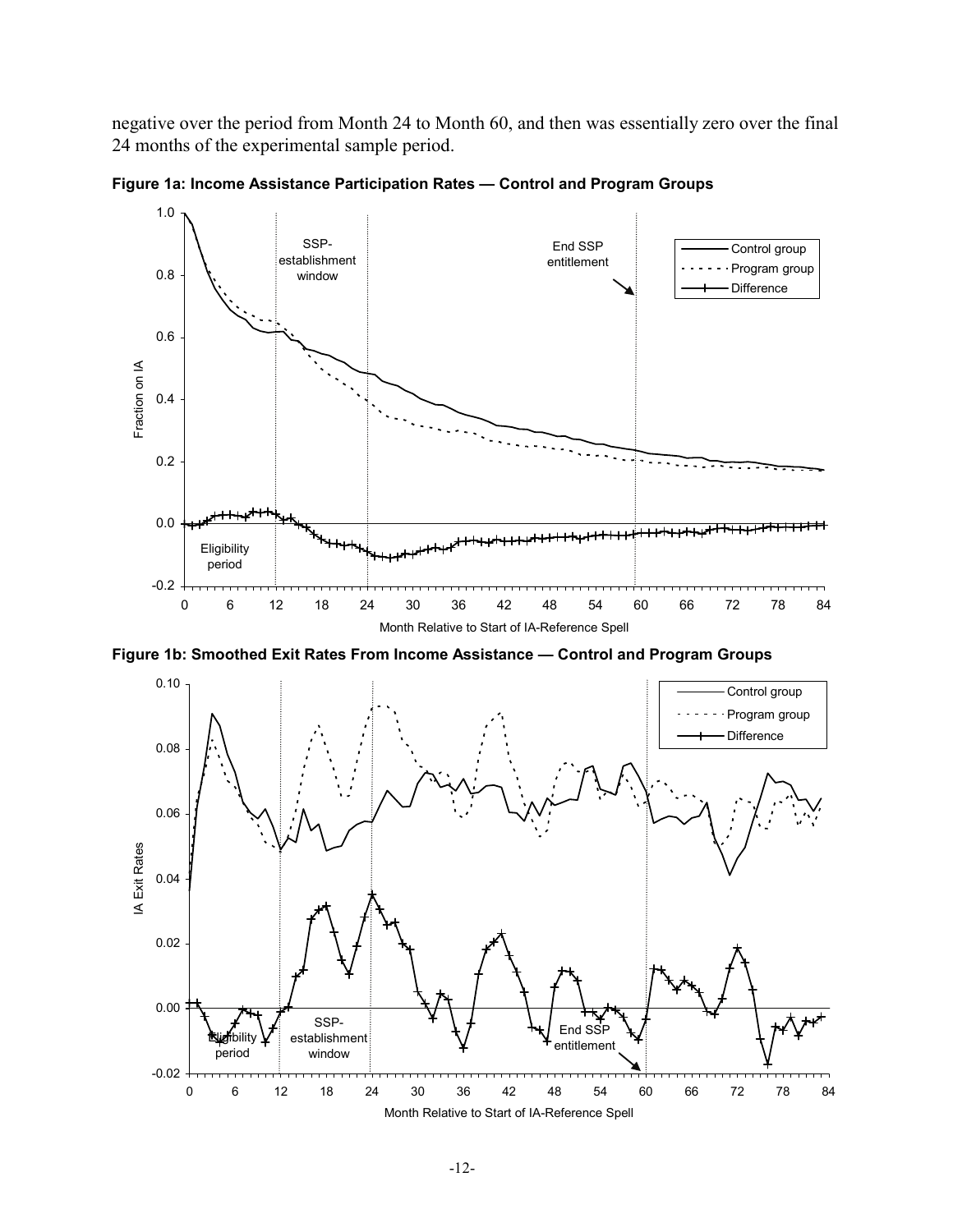negative over the period from Month 24 to Month 60, and then was essentially zero over the final 24 months of the experimental sample period.



**Figure 1a: Income Assistance Participation Rates — Control and Program Groups** 

**Figure 1b: Smoothed Exit Rates From Income Assistance — Control and Program Groups** 

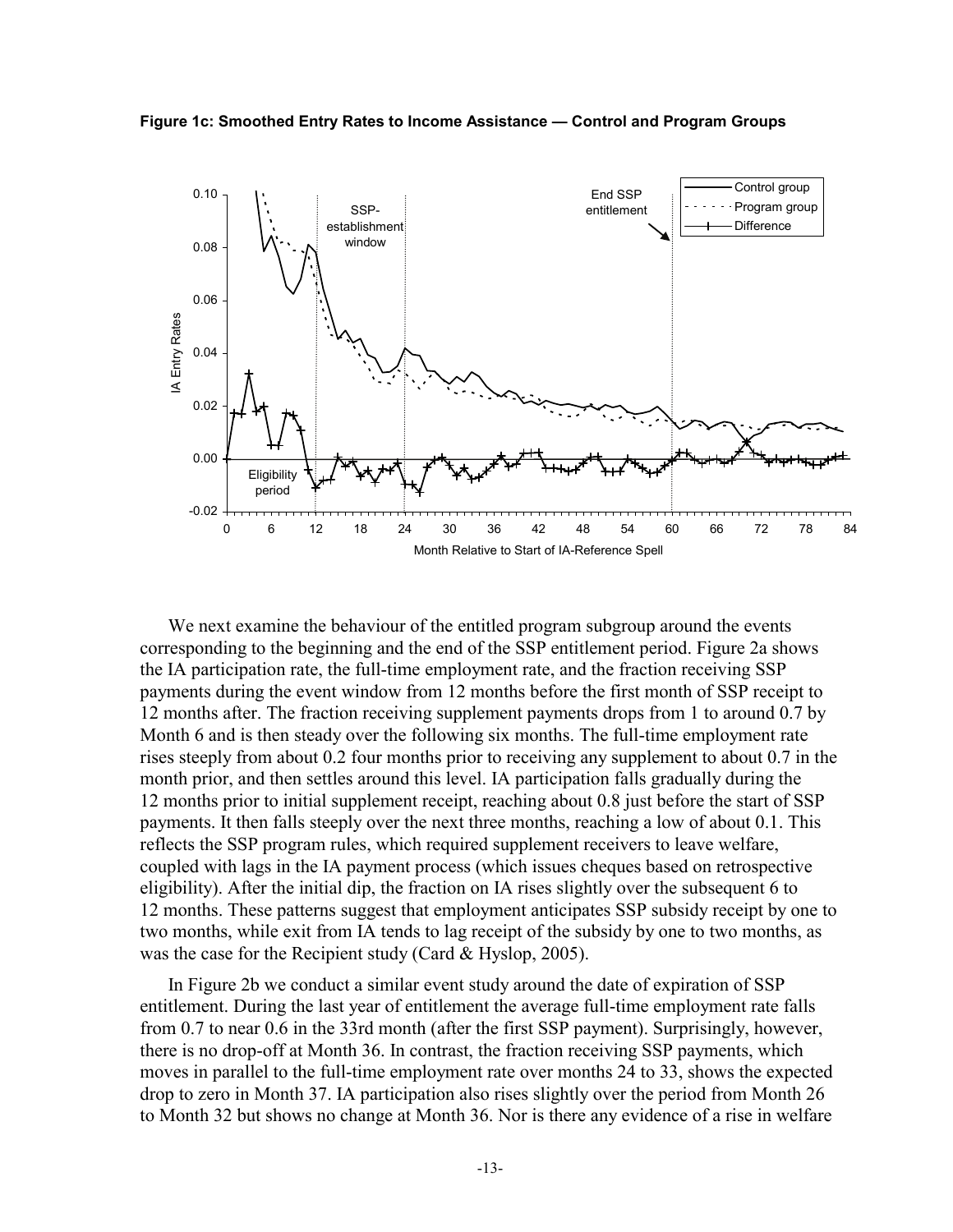**Figure 1c: Smoothed Entry Rates to Income Assistance — Control and Program Groups** 



We next examine the behaviour of the entitled program subgroup around the events corresponding to the beginning and the end of the SSP entitlement period. Figure 2a shows the IA participation rate, the full-time employment rate, and the fraction receiving SSP payments during the event window from 12 months before the first month of SSP receipt to 12 months after. The fraction receiving supplement payments drops from 1 to around 0.7 by Month 6 and is then steady over the following six months. The full-time employment rate rises steeply from about 0.2 four months prior to receiving any supplement to about 0.7 in the month prior, and then settles around this level. IA participation falls gradually during the 12 months prior to initial supplement receipt, reaching about 0.8 just before the start of SSP payments. It then falls steeply over the next three months, reaching a low of about 0.1. This reflects the SSP program rules, which required supplement receivers to leave welfare, coupled with lags in the IA payment process (which issues cheques based on retrospective eligibility). After the initial dip, the fraction on IA rises slightly over the subsequent 6 to 12 months. These patterns suggest that employment anticipates SSP subsidy receipt by one to two months, while exit from IA tends to lag receipt of the subsidy by one to two months, as was the case for the Recipient study (Card & Hyslop, 2005).

In Figure 2b we conduct a similar event study around the date of expiration of SSP entitlement. During the last year of entitlement the average full-time employment rate falls from 0.7 to near 0.6 in the 33rd month (after the first SSP payment). Surprisingly, however, there is no drop-off at Month 36. In contrast, the fraction receiving SSP payments, which moves in parallel to the full-time employment rate over months 24 to 33, shows the expected drop to zero in Month 37. IA participation also rises slightly over the period from Month 26 to Month 32 but shows no change at Month 36. Nor is there any evidence of a rise in welfare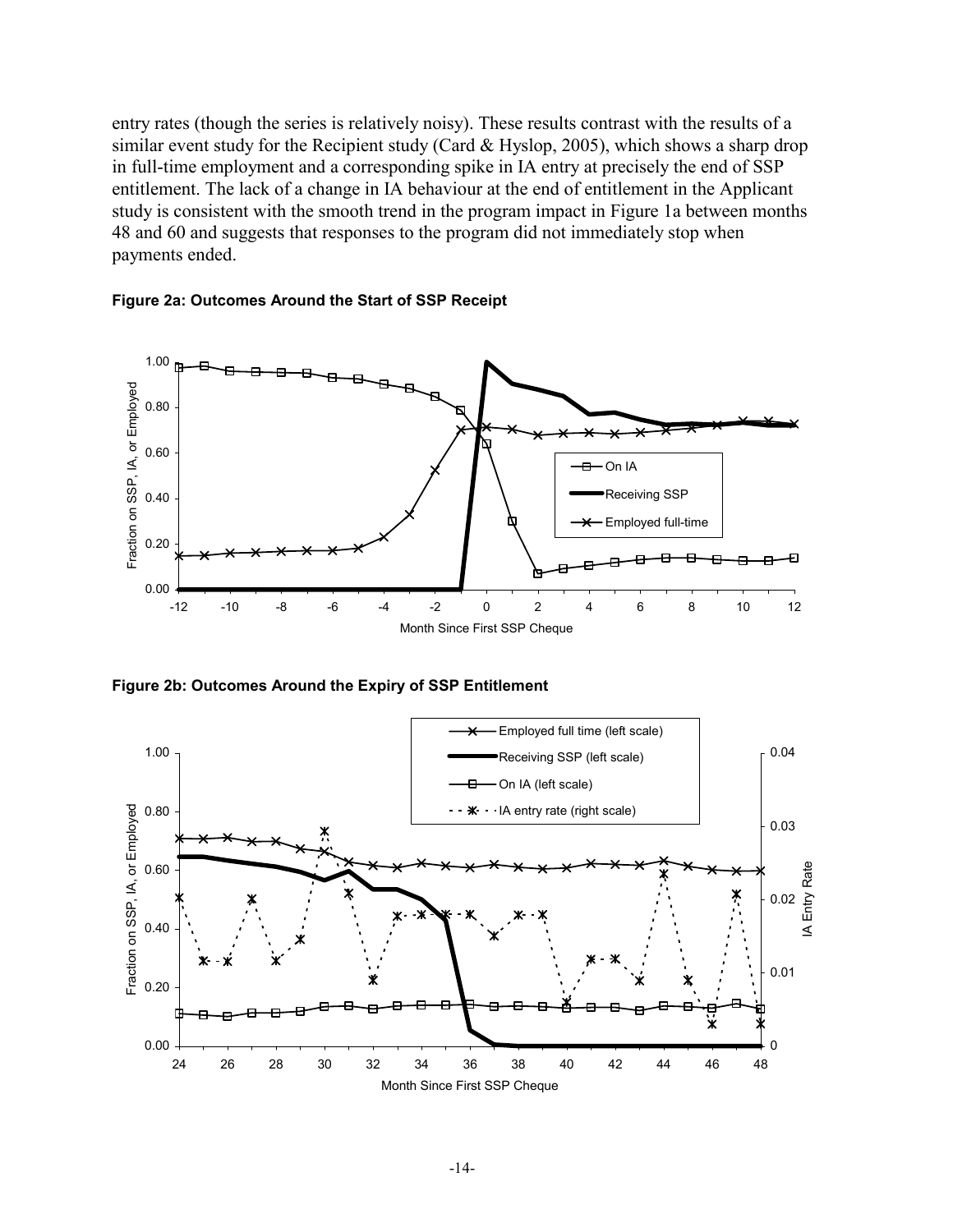entry rates (though the series is relatively noisy). These results contrast with the results of a similar event study for the Recipient study (Card & Hyslop, 2005), which shows a sharp drop in full-time employment and a corresponding spike in IA entry at precisely the end of SSP entitlement. The lack of a change in IA behaviour at the end of entitlement in the Applicant study is consistent with the smooth trend in the program impact in Figure 1a between months 48 and 60 and suggests that responses to the program did not immediately stop when payments ended.





**Figure 2b: Outcomes Around the Expiry of SSP Entitlement** 

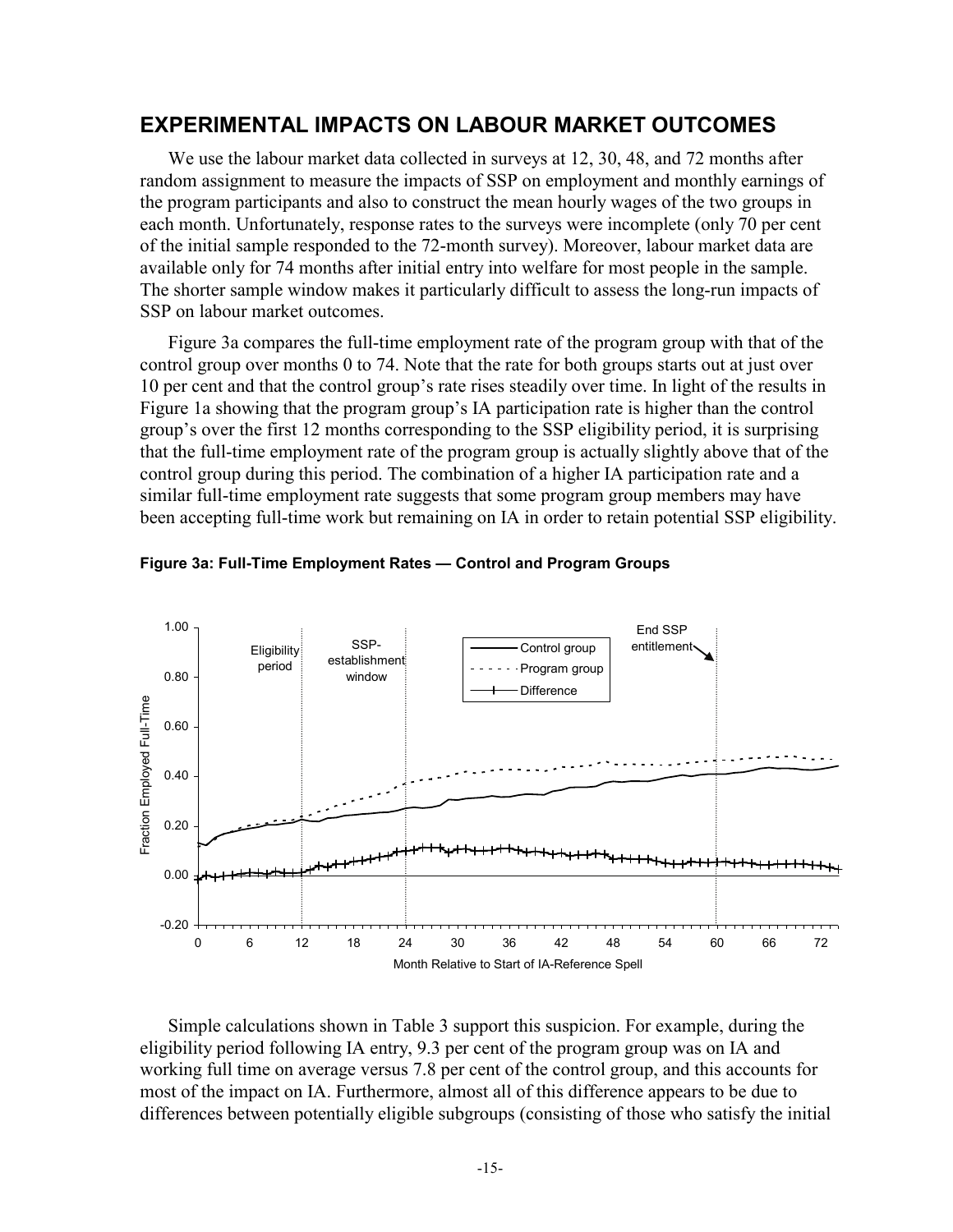#### **EXPERIMENTAL IMPACTS ON LABOUR MARKET OUTCOMES**

We use the labour market data collected in surveys at 12, 30, 48, and 72 months after random assignment to measure the impacts of SSP on employment and monthly earnings of the program participants and also to construct the mean hourly wages of the two groups in each month. Unfortunately, response rates to the surveys were incomplete (only 70 per cent of the initial sample responded to the 72-month survey). Moreover, labour market data are available only for 74 months after initial entry into welfare for most people in the sample. The shorter sample window makes it particularly difficult to assess the long-run impacts of SSP on labour market outcomes.

Figure 3a compares the full-time employment rate of the program group with that of the control group over months 0 to 74. Note that the rate for both groups starts out at just over 10 per cent and that the control group's rate rises steadily over time. In light of the results in Figure 1a showing that the program group's IA participation rate is higher than the control group's over the first 12 months corresponding to the SSP eligibility period, it is surprising that the full-time employment rate of the program group is actually slightly above that of the control group during this period. The combination of a higher IA participation rate and a similar full-time employment rate suggests that some program group members may have been accepting full-time work but remaining on IA in order to retain potential SSP eligibility.



**Figure 3a: Full-Time Employment Rates — Control and Program Groups** 

Simple calculations shown in Table 3 support this suspicion. For example, during the eligibility period following IA entry, 9.3 per cent of the program group was on IA and working full time on average versus 7.8 per cent of the control group, and this accounts for most of the impact on IA. Furthermore, almost all of this difference appears to be due to differences between potentially eligible subgroups (consisting of those who satisfy the initial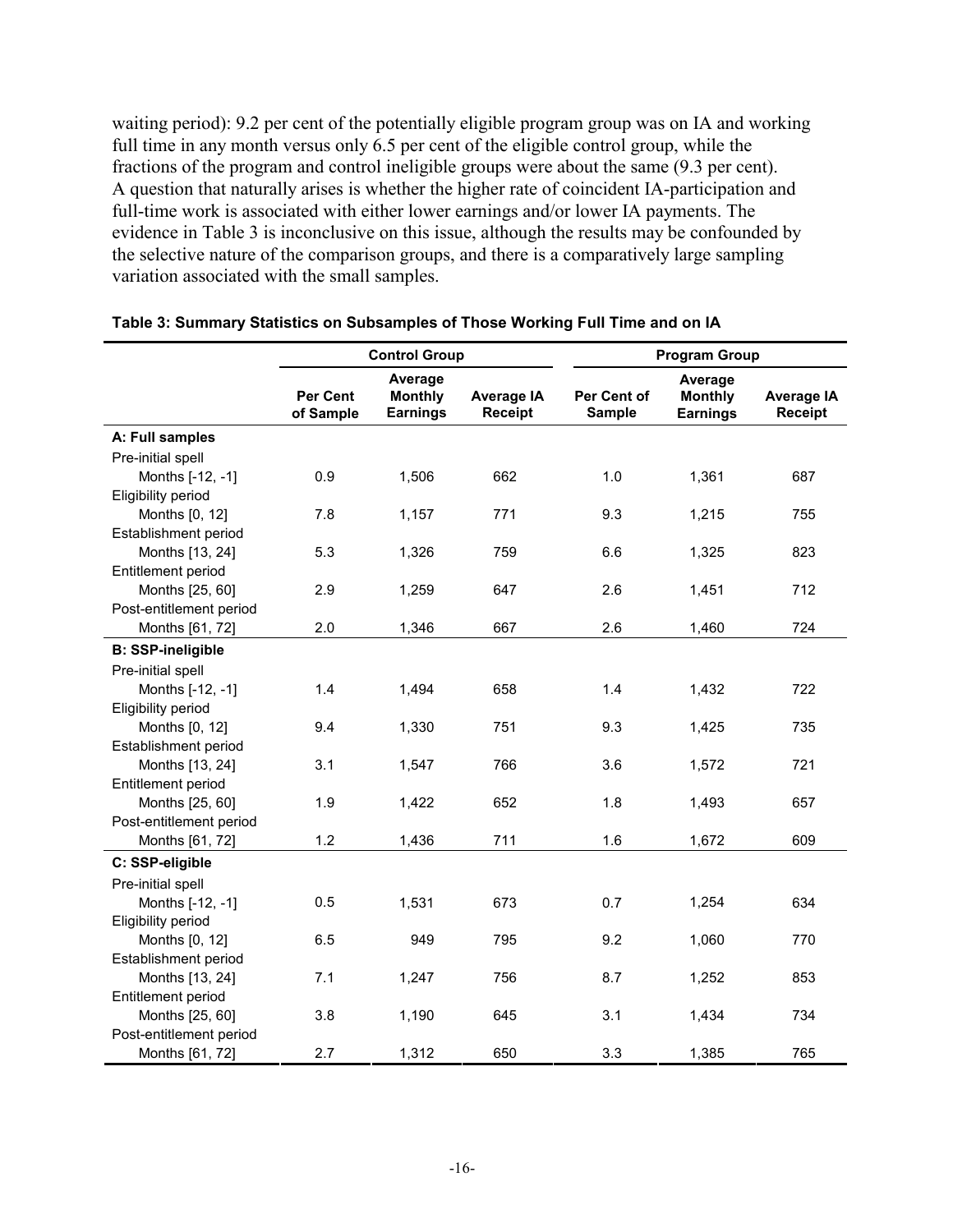waiting period): 9.2 per cent of the potentially eligible program group was on IA and working full time in any month versus only 6.5 per cent of the eligible control group, while the fractions of the program and control ineligible groups were about the same (9.3 per cent). A question that naturally arises is whether the higher rate of coincident IA-participation and full-time work is associated with either lower earnings and/or lower IA payments. The evidence in Table 3 is inconclusive on this issue, although the results may be confounded by the selective nature of the comparison groups, and there is a comparatively large sampling variation associated with the small samples.

|                          |                              | <b>Control Group</b>                         |                                     |                              | <b>Program Group</b>                         |                                     |
|--------------------------|------------------------------|----------------------------------------------|-------------------------------------|------------------------------|----------------------------------------------|-------------------------------------|
|                          | <b>Per Cent</b><br>of Sample | Average<br><b>Monthly</b><br><b>Earnings</b> | <b>Average IA</b><br><b>Receipt</b> | Per Cent of<br><b>Sample</b> | Average<br><b>Monthly</b><br><b>Earnings</b> | <b>Average IA</b><br><b>Receipt</b> |
| A: Full samples          |                              |                                              |                                     |                              |                                              |                                     |
| Pre-initial spell        |                              |                                              |                                     |                              |                                              |                                     |
| Months [-12, -1]         | 0.9                          | 1,506                                        | 662                                 | 1.0                          | 1,361                                        | 687                                 |
| Eligibility period       |                              |                                              |                                     |                              |                                              |                                     |
| Months [0, 12]           | 7.8                          | 1,157                                        | 771                                 | 9.3                          | 1,215                                        | 755                                 |
| Establishment period     |                              |                                              |                                     |                              |                                              |                                     |
| Months [13, 24]          | 5.3                          | 1,326                                        | 759                                 | 6.6                          | 1,325                                        | 823                                 |
| Entitlement period       |                              |                                              |                                     |                              |                                              |                                     |
| Months [25, 60]          | 2.9                          | 1,259                                        | 647                                 | 2.6                          | 1,451                                        | 712                                 |
| Post-entitlement period  |                              |                                              |                                     |                              |                                              |                                     |
| Months [61, 72]          | 2.0                          | 1,346                                        | 667                                 | 2.6                          | 1,460                                        | 724                                 |
| <b>B: SSP-ineligible</b> |                              |                                              |                                     |                              |                                              |                                     |
| Pre-initial spell        |                              |                                              |                                     |                              |                                              |                                     |
| Months [-12, -1]         | 1.4                          | 1,494                                        | 658                                 | 1.4                          | 1,432                                        | 722                                 |
| Eligibility period       |                              |                                              |                                     |                              |                                              |                                     |
| Months [0, 12]           | 9.4                          | 1,330                                        | 751                                 | 9.3                          | 1,425                                        | 735                                 |
| Establishment period     |                              |                                              |                                     |                              |                                              |                                     |
| Months [13, 24]          | 3.1                          | 1,547                                        | 766                                 | 3.6                          | 1,572                                        | 721                                 |
| Entitlement period       |                              |                                              |                                     |                              |                                              |                                     |
| Months [25, 60]          | 1.9                          | 1,422                                        | 652                                 | 1.8                          | 1,493                                        | 657                                 |
| Post-entitlement period  |                              |                                              |                                     |                              |                                              |                                     |
| Months [61, 72]          | 1.2                          | 1,436                                        | 711                                 | 1.6                          | 1,672                                        | 609                                 |
| C: SSP-eligible          |                              |                                              |                                     |                              |                                              |                                     |
| Pre-initial spell        |                              |                                              |                                     |                              |                                              |                                     |
| Months [-12, -1]         | 0.5                          | 1,531                                        | 673                                 | 0.7                          | 1,254                                        | 634                                 |
| Eligibility period       |                              |                                              |                                     |                              |                                              |                                     |
| Months [0, 12]           | 6.5                          | 949                                          | 795                                 | 9.2                          | 1,060                                        | 770                                 |
| Establishment period     |                              |                                              |                                     |                              |                                              |                                     |
| Months [13, 24]          | 7.1                          | 1,247                                        | 756                                 | 8.7                          | 1,252                                        | 853                                 |
| Entitlement period       |                              |                                              |                                     |                              |                                              |                                     |
| Months [25, 60]          | 3.8                          | 1,190                                        | 645                                 | 3.1                          | 1,434                                        | 734                                 |
| Post-entitlement period  |                              |                                              |                                     |                              |                                              |                                     |
| Months [61, 72]          | 2.7                          | 1,312                                        | 650                                 | 3.3                          | 1,385                                        | 765                                 |

#### **Table 3: Summary Statistics on Subsamples of Those Working Full Time and on IA**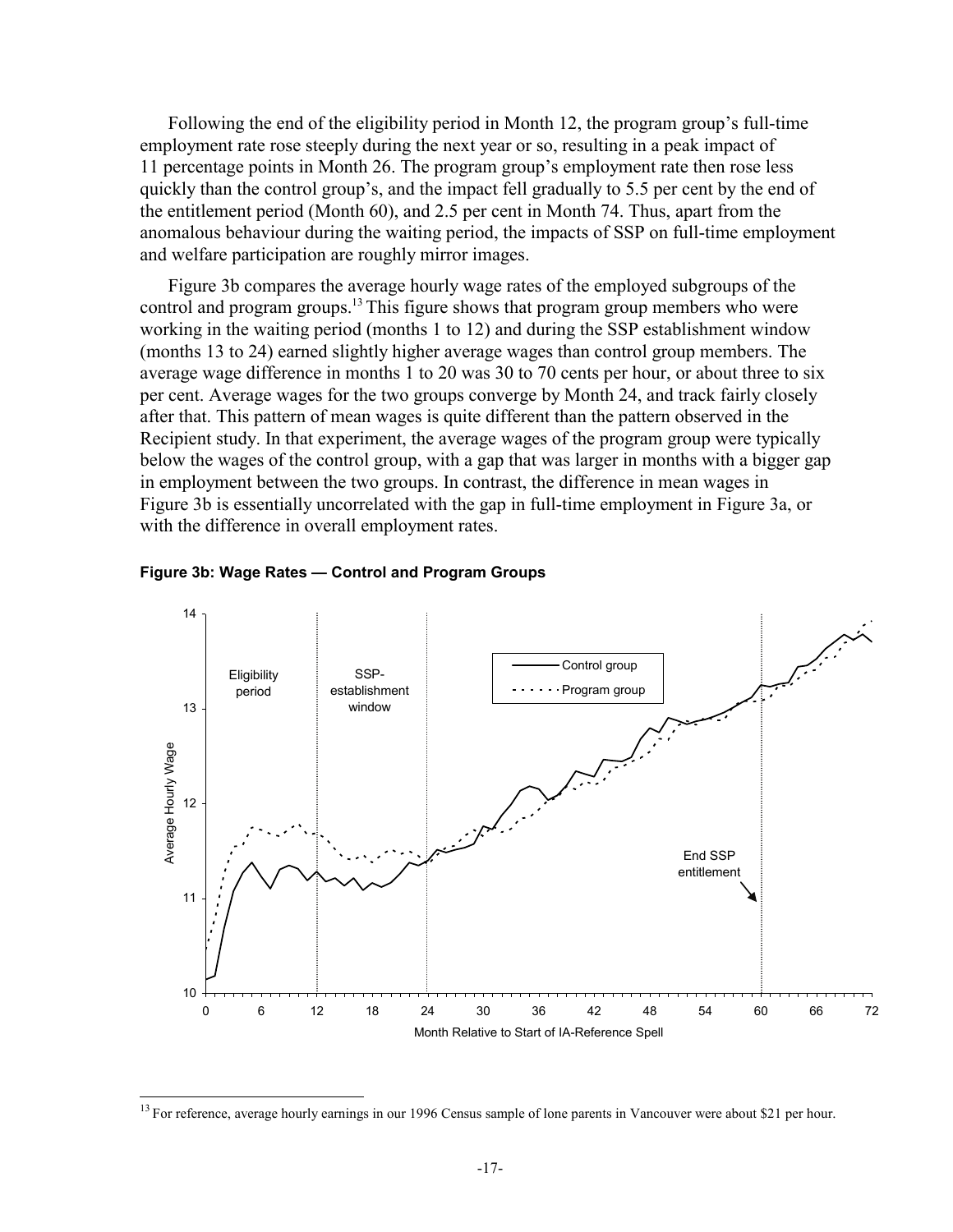Following the end of the eligibility period in Month 12, the program group's full-time employment rate rose steeply during the next year or so, resulting in a peak impact of 11 percentage points in Month 26. The program group's employment rate then rose less quickly than the control group's, and the impact fell gradually to 5.5 per cent by the end of the entitlement period (Month 60), and 2.5 per cent in Month 74. Thus, apart from the anomalous behaviour during the waiting period, the impacts of SSP on full-time employment and welfare participation are roughly mirror images.

Figure 3b compares the average hourly wage rates of the employed subgroups of the control and program groups.<sup>13</sup> This figure shows that program group members who were working in the waiting period (months 1 to 12) and during the SSP establishment window (months 13 to 24) earned slightly higher average wages than control group members. The average wage difference in months 1 to 20 was 30 to 70 cents per hour, or about three to six per cent. Average wages for the two groups converge by Month 24, and track fairly closely after that. This pattern of mean wages is quite different than the pattern observed in the Recipient study. In that experiment, the average wages of the program group were typically below the wages of the control group, with a gap that was larger in months with a bigger gap in employment between the two groups. In contrast, the difference in mean wages in Figure 3b is essentially uncorrelated with the gap in full-time employment in Figure 3a, or with the difference in overall employment rates.





 $\overline{a}$ 

<sup>&</sup>lt;sup>13</sup> For reference, average hourly earnings in our 1996 Census sample of lone parents in Vancouver were about \$21 per hour.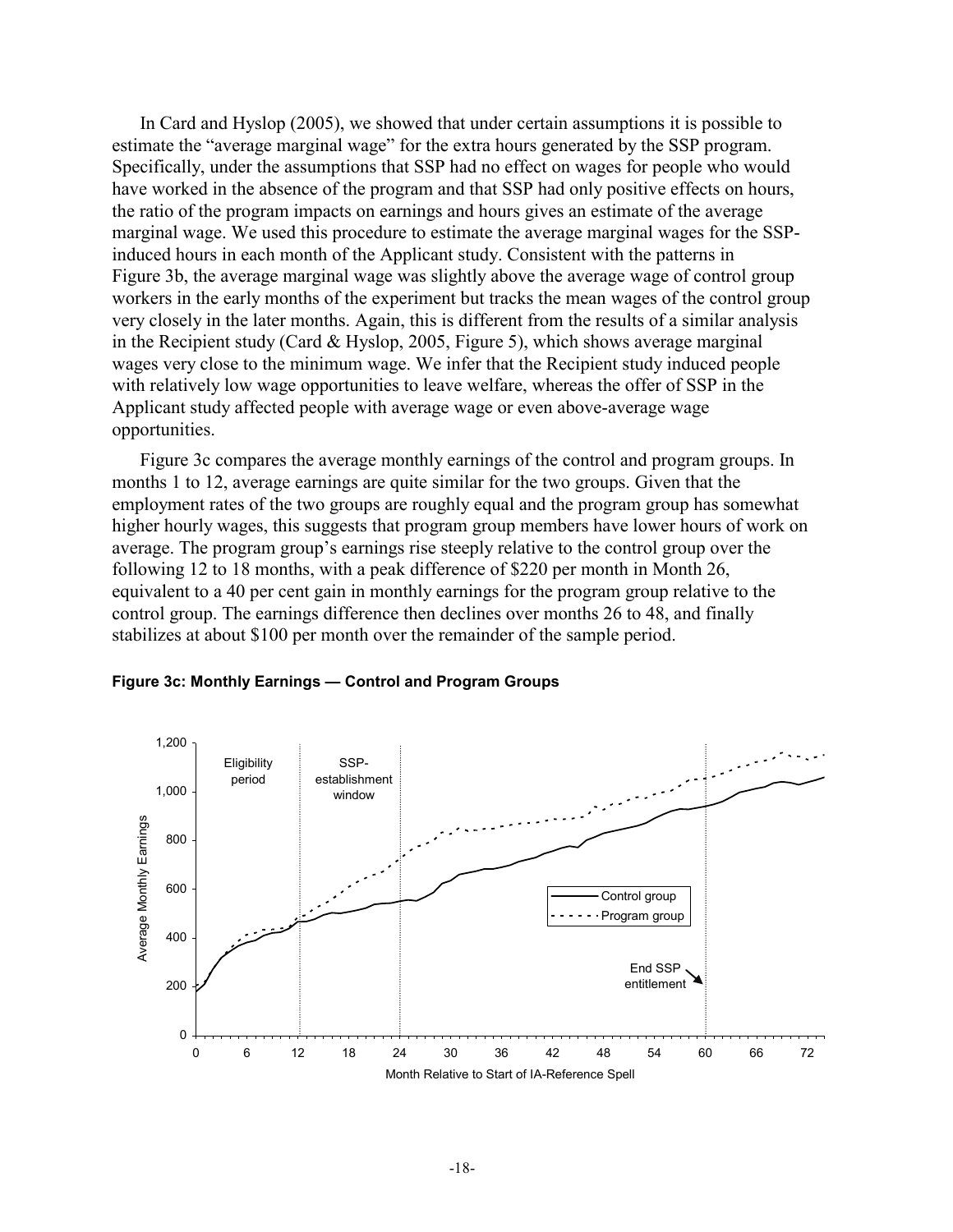In Card and Hyslop (2005), we showed that under certain assumptions it is possible to estimate the "average marginal wage" for the extra hours generated by the SSP program. Specifically, under the assumptions that SSP had no effect on wages for people who would have worked in the absence of the program and that SSP had only positive effects on hours, the ratio of the program impacts on earnings and hours gives an estimate of the average marginal wage. We used this procedure to estimate the average marginal wages for the SSPinduced hours in each month of the Applicant study. Consistent with the patterns in Figure 3b, the average marginal wage was slightly above the average wage of control group workers in the early months of the experiment but tracks the mean wages of the control group very closely in the later months. Again, this is different from the results of a similar analysis in the Recipient study (Card & Hyslop, 2005, Figure 5), which shows average marginal wages very close to the minimum wage. We infer that the Recipient study induced people with relatively low wage opportunities to leave welfare, whereas the offer of SSP in the Applicant study affected people with average wage or even above-average wage opportunities.

Figure 3c compares the average monthly earnings of the control and program groups. In months 1 to 12, average earnings are quite similar for the two groups. Given that the employment rates of the two groups are roughly equal and the program group has somewhat higher hourly wages, this suggests that program group members have lower hours of work on average. The program group's earnings rise steeply relative to the control group over the following 12 to 18 months, with a peak difference of \$220 per month in Month 26, equivalent to a 40 per cent gain in monthly earnings for the program group relative to the control group. The earnings difference then declines over months 26 to 48, and finally stabilizes at about \$100 per month over the remainder of the sample period.



**Figure 3c: Monthly Earnings — Control and Program Groups**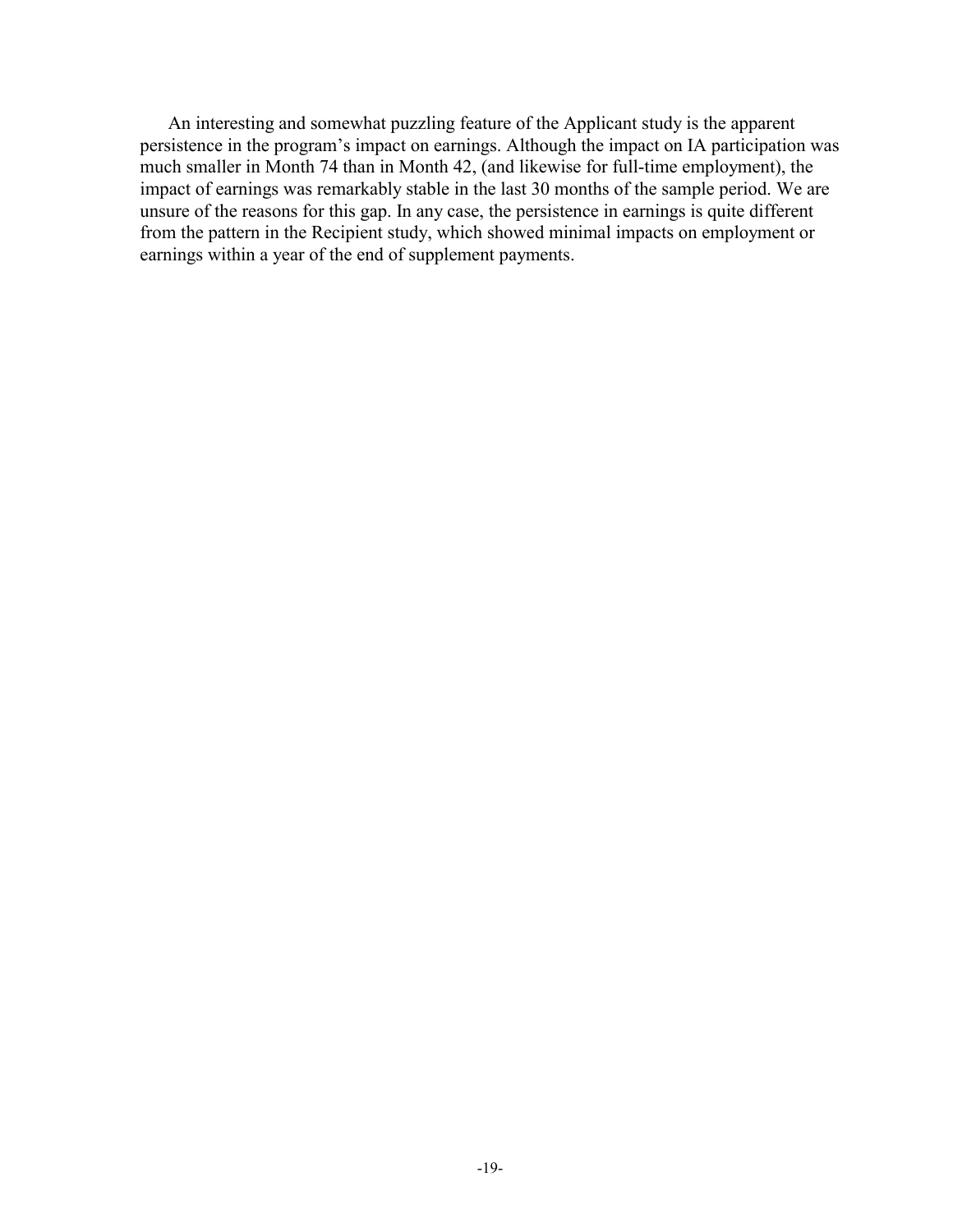An interesting and somewhat puzzling feature of the Applicant study is the apparent persistence in the program's impact on earnings. Although the impact on IA participation was much smaller in Month 74 than in Month 42, (and likewise for full-time employment), the impact of earnings was remarkably stable in the last 30 months of the sample period. We are unsure of the reasons for this gap. In any case, the persistence in earnings is quite different from the pattern in the Recipient study, which showed minimal impacts on employment or earnings within a year of the end of supplement payments.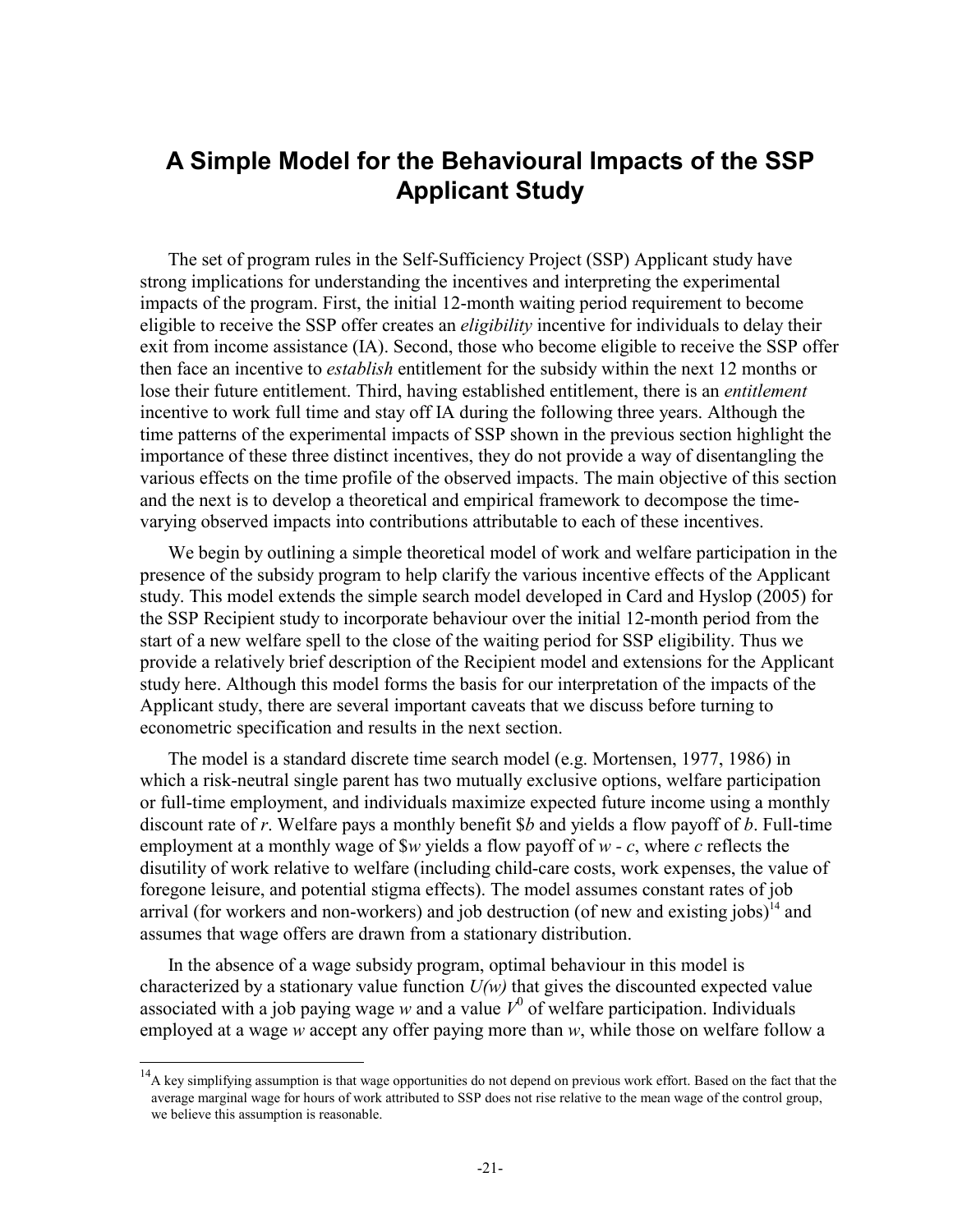## **A Simple Model for the Behavioural Impacts of the SSP Applicant Study**

The set of program rules in the Self-Sufficiency Project (SSP) Applicant study have strong implications for understanding the incentives and interpreting the experimental impacts of the program. First, the initial 12-month waiting period requirement to become eligible to receive the SSP offer creates an *eligibility* incentive for individuals to delay their exit from income assistance (IA). Second, those who become eligible to receive the SSP offer then face an incentive to *establish* entitlement for the subsidy within the next 12 months or lose their future entitlement. Third, having established entitlement, there is an *entitlement* incentive to work full time and stay off IA during the following three years. Although the time patterns of the experimental impacts of SSP shown in the previous section highlight the importance of these three distinct incentives, they do not provide a way of disentangling the various effects on the time profile of the observed impacts. The main objective of this section and the next is to develop a theoretical and empirical framework to decompose the timevarying observed impacts into contributions attributable to each of these incentives.

We begin by outlining a simple theoretical model of work and welfare participation in the presence of the subsidy program to help clarify the various incentive effects of the Applicant study. This model extends the simple search model developed in Card and Hyslop (2005) for the SSP Recipient study to incorporate behaviour over the initial 12-month period from the start of a new welfare spell to the close of the waiting period for SSP eligibility. Thus we provide a relatively brief description of the Recipient model and extensions for the Applicant study here. Although this model forms the basis for our interpretation of the impacts of the Applicant study, there are several important caveats that we discuss before turning to econometric specification and results in the next section.

The model is a standard discrete time search model (e.g. Mortensen, 1977, 1986) in which a risk-neutral single parent has two mutually exclusive options, welfare participation or full-time employment, and individuals maximize expected future income using a monthly discount rate of *r*. Welfare pays a monthly benefit \$*b* and yields a flow payoff of *b*. Full-time employment at a monthly wage of \$*w* yields a flow payoff of *w - c*, where *c* reflects the disutility of work relative to welfare (including child-care costs, work expenses, the value of foregone leisure, and potential stigma effects). The model assumes constant rates of job arrival (for workers and non-workers) and job destruction (of new and existing jobs)<sup>14</sup> and assumes that wage offers are drawn from a stationary distribution.

In the absence of a wage subsidy program, optimal behaviour in this model is characterized by a stationary value function *U(w)* that gives the discounted expected value associated with a job paying wage *w* and a value  $V^0$  of welfare participation. Individuals employed at a wage *w* accept any offer paying more than *w*, while those on welfare follow a

 $\overline{a}$ 

<sup>&</sup>lt;sup>14</sup>A key simplifying assumption is that wage opportunities do not depend on previous work effort. Based on the fact that the average marginal wage for hours of work attributed to SSP does not rise relative to the mean wage of the control group, we believe this assumption is reasonable.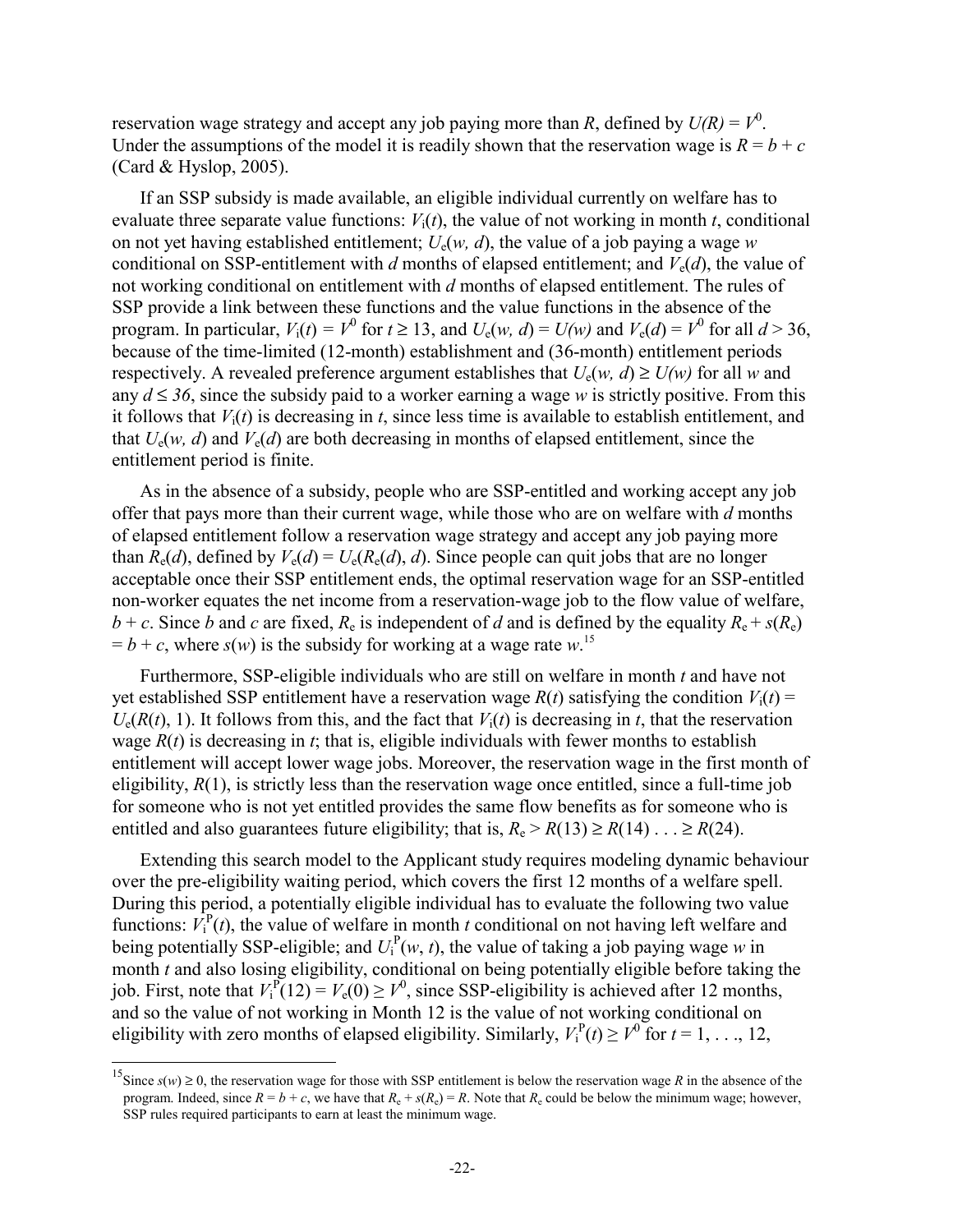reservation wage strategy and accept any job paying more than *R*, defined by  $U(R) = V^0$ . Under the assumptions of the model it is readily shown that the reservation wage is  $R = b + c$ (Card & Hyslop, 2005).

If an SSP subsidy is made available, an eligible individual currently on welfare has to evaluate three separate value functions:  $V_i(t)$ , the value of not working in month *t*, conditional on not yet having established entitlement;  $U_e(w, d)$ , the value of a job paying a wage *w* conditional on SSP-entitlement with *d* months of elapsed entitlement; and  $V_e(d)$ , the value of not working conditional on entitlement with *d* months of elapsed entitlement. The rules of SSP provide a link between these functions and the value functions in the absence of the program. In particular,  $V_i(t) = V^0$  for  $t \ge 13$ , and  $U_e(w, d) = U(w)$  and  $V_e(d) = V^0$  for all  $d > 36$ , because of the time-limited (12-month) establishment and (36-month) entitlement periods respectively. A revealed preference argument establishes that  $U_e(w, d) \ge U(w)$  for all w and any  $d \leq 36$ , since the subsidy paid to a worker earning a wage *w* is strictly positive. From this it follows that  $V_i(t)$  is decreasing in *t*, since less time is available to establish entitlement, and that  $U_e(w, d)$  and  $V_e(d)$  are both decreasing in months of elapsed entitlement, since the entitlement period is finite.

As in the absence of a subsidy, people who are SSP-entitled and working accept any job offer that pays more than their current wage, while those who are on welfare with *d* months of elapsed entitlement follow a reservation wage strategy and accept any job paying more than  $R_e(d)$ , defined by  $V_e(d) = U_e(R_e(d), d)$ . Since people can quit jobs that are no longer acceptable once their SSP entitlement ends, the optimal reservation wage for an SSP-entitled non-worker equates the net income from a reservation-wage job to the flow value of welfare,  $b + c$ . Since *b* and *c* are fixed,  $R_e$  is independent of *d* and is defined by the equality  $R_e + s(R_e)$  $= b + c$ , where *s*(*w*) is the subsidy for working at a wage rate *w*.<sup>15</sup>

Furthermore, SSP-eligible individuals who are still on welfare in month *t* and have not yet established SSP entitlement have a reservation wage  $R(t)$  satisfying the condition  $V_i(t)$  =  $U_e(R(t), 1)$ . It follows from this, and the fact that  $V_i(t)$  is decreasing in *t*, that the reservation wage  $R(t)$  is decreasing in *t*; that is, eligible individuals with fewer months to establish entitlement will accept lower wage jobs. Moreover, the reservation wage in the first month of eligibility, *R*(1), is strictly less than the reservation wage once entitled, since a full-time job for someone who is not yet entitled provides the same flow benefits as for someone who is entitled and also guarantees future eligibility; that is,  $R_e > R(13) \ge R(14) \ldots \ge R(24)$ .

Extending this search model to the Applicant study requires modeling dynamic behaviour over the pre-eligibility waiting period, which covers the first 12 months of a welfare spell. During this period, a potentially eligible individual has to evaluate the following two value functions:  $V_i^{\mathrm{P}}(t)$ , the value of welfare in month *t* conditional on not having left welfare and being potentially SSP-eligible; and  $U_i^P(w, t)$ , the value of taking a job paying wage *w* in month *t* and also losing eligibility, conditional on being potentially eligible before taking the job. First, note that  $V_i^{\text{P}}(12) = V_e(0) \ge V^0$ , since SSP-eligibility is achieved after 12 months, and so the value of not working in Month 12 is the value of not working conditional on eligibility with zero months of elapsed eligibility. Similarly,  $V_i^{\text{P}}(t) \ge V^0$  for  $t = 1, \ldots, 12$ ,

 $\overline{a}$ 

<sup>&</sup>lt;sup>15</sup>Since  $s(w) \ge 0$ , the reservation wage for those with SSP entitlement is below the reservation wage *R* in the absence of the program. Indeed, since  $R = b + c$ , we have that  $R_e + s(R_e) = R$ . Note that  $R_e$  could be below the minimum wage; however, SSP rules required participants to earn at least the minimum wage.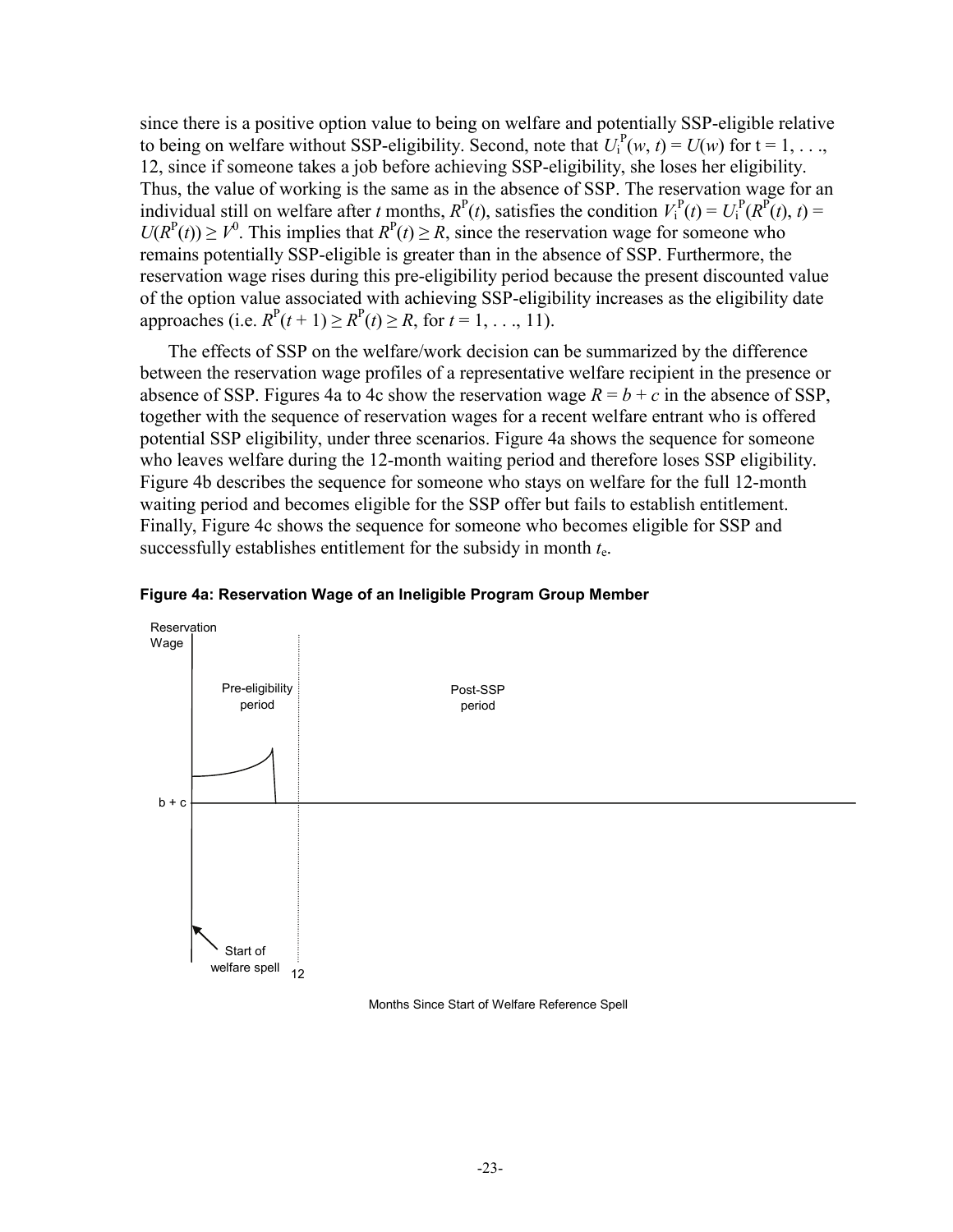since there is a positive option value to being on welfare and potentially SSP-eligible relative to being on welfare without SSP-eligibility. Second, note that  $U_i^P(w, t) = U(w)$  for  $t = 1, \ldots,$ 12, since if someone takes a job before achieving SSP-eligibility, she loses her eligibility. Thus, the value of working is the same as in the absence of SSP. The reservation wage for an individual still on welfare after *t* months,  $R^P(t)$ , satisfies the condition  $V_i^P(t) = U_i^P(R^P(t), t) =$  $U(R<sup>P</sup>(t)) \geq V<sup>0</sup>$ . This implies that  $R<sup>P</sup>(t) \geq R$ , since the reservation wage for someone who remains potentially SSP-eligible is greater than in the absence of SSP. Furthermore, the reservation wage rises during this pre-eligibility period because the present discounted value of the option value associated with achieving SSP-eligibility increases as the eligibility date  $\text{approaches (i.e. } R^P(t+1) \geq R^P(t) \geq R, \text{ for } t = 1, \ldots, 11).$ 

The effects of SSP on the welfare/work decision can be summarized by the difference between the reservation wage profiles of a representative welfare recipient in the presence or absence of SSP. Figures 4a to 4c show the reservation wage  $R = b + c$  in the absence of SSP, together with the sequence of reservation wages for a recent welfare entrant who is offered potential SSP eligibility, under three scenarios. Figure 4a shows the sequence for someone who leaves welfare during the 12-month waiting period and therefore loses SSP eligibility. Figure 4b describes the sequence for someone who stays on welfare for the full 12-month waiting period and becomes eligible for the SSP offer but fails to establish entitlement. Finally, Figure 4c shows the sequence for someone who becomes eligible for SSP and successfully establishes entitlement for the subsidy in month *t*e.



#### **Figure 4a: Reservation Wage of an Ineligible Program Group Member**

Months Since Start of Welfare Reference Spell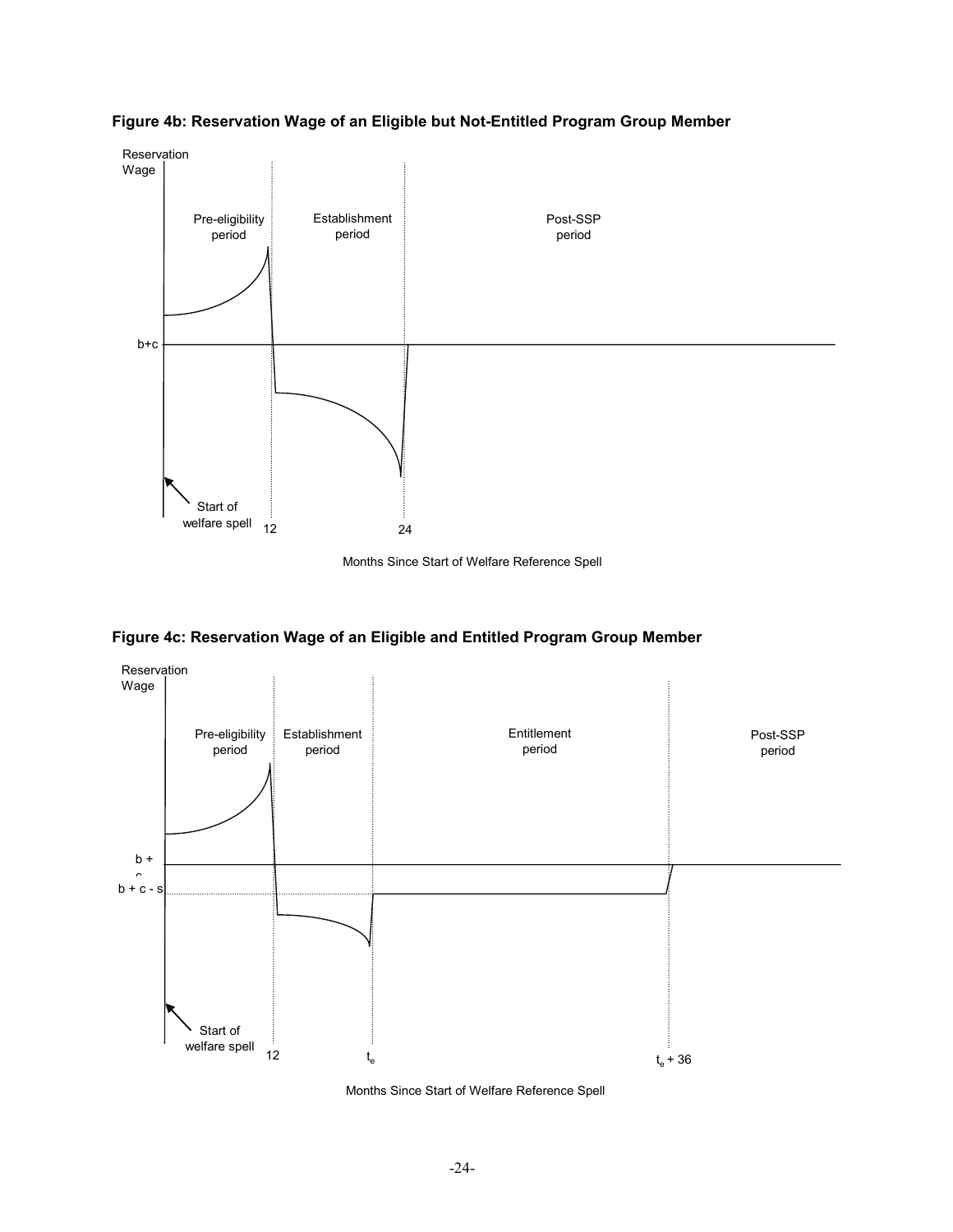

**Figure 4b: Reservation Wage of an Eligible but Not-Entitled Program Group Member** 

Months Since Start of Welfare Reference Spell





Months Since Start of Welfare Reference Spell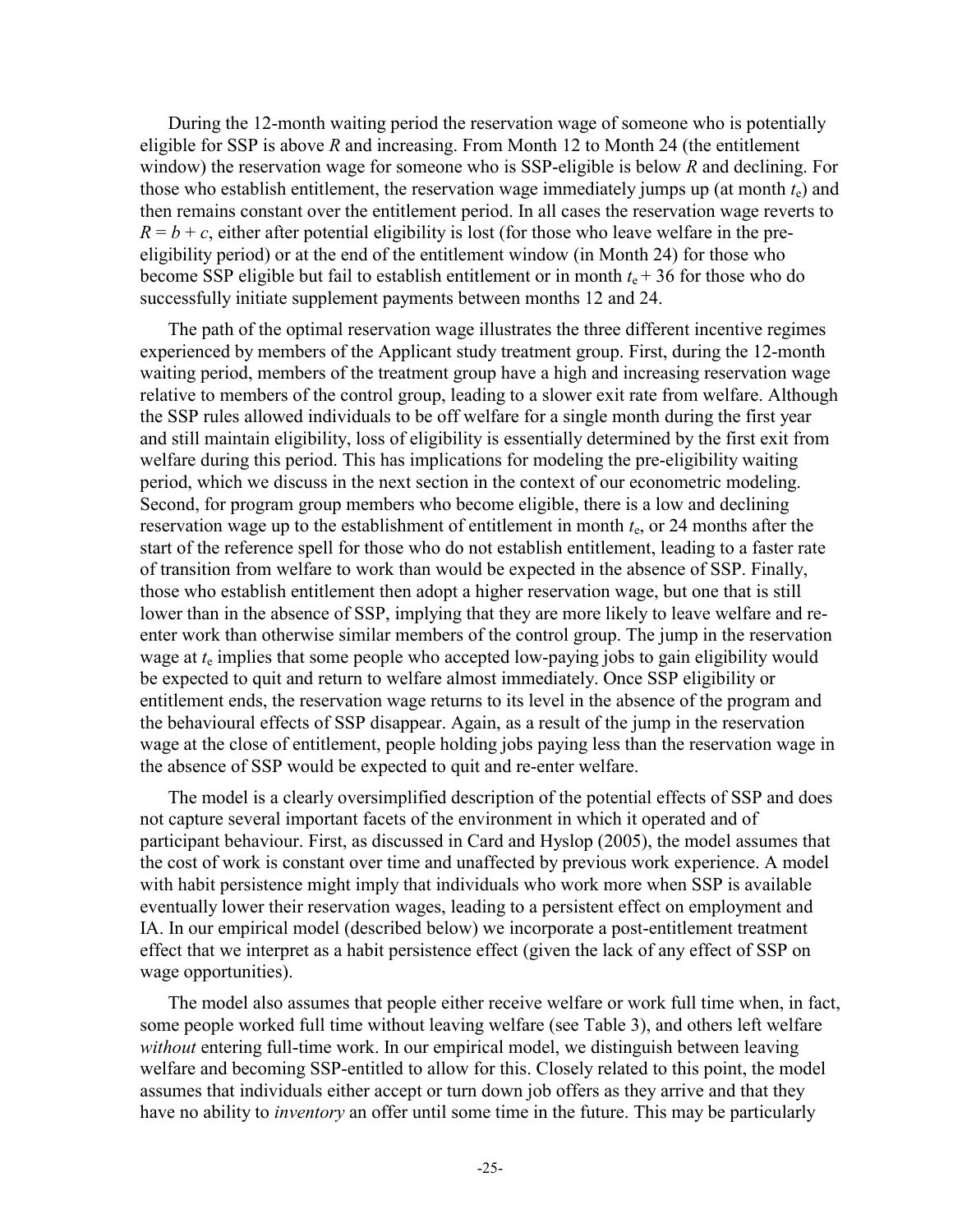During the 12-month waiting period the reservation wage of someone who is potentially eligible for SSP is above *R* and increasing. From Month 12 to Month 24 (the entitlement window) the reservation wage for someone who is SSP-eligible is below *R* and declining. For those who establish entitlement, the reservation wage immediately jumps up (at month  $t<sub>e</sub>$ ) and then remains constant over the entitlement period. In all cases the reservation wage reverts to  $R = b + c$ , either after potential eligibility is lost (for those who leave welfare in the preeligibility period) or at the end of the entitlement window (in Month 24) for those who become SSP eligible but fail to establish entitlement or in month  $t<sub>e</sub> + 36$  for those who do successfully initiate supplement payments between months 12 and 24.

The path of the optimal reservation wage illustrates the three different incentive regimes experienced by members of the Applicant study treatment group. First, during the 12-month waiting period, members of the treatment group have a high and increasing reservation wage relative to members of the control group, leading to a slower exit rate from welfare. Although the SSP rules allowed individuals to be off welfare for a single month during the first year and still maintain eligibility, loss of eligibility is essentially determined by the first exit from welfare during this period. This has implications for modeling the pre-eligibility waiting period, which we discuss in the next section in the context of our econometric modeling. Second, for program group members who become eligible, there is a low and declining reservation wage up to the establishment of entitlement in month *t*e, or 24 months after the start of the reference spell for those who do not establish entitlement, leading to a faster rate of transition from welfare to work than would be expected in the absence of SSP. Finally, those who establish entitlement then adopt a higher reservation wage, but one that is still lower than in the absence of SSP, implying that they are more likely to leave welfare and reenter work than otherwise similar members of the control group. The jump in the reservation wage at *t*e implies that some people who accepted low-paying jobs to gain eligibility would be expected to quit and return to welfare almost immediately. Once SSP eligibility or entitlement ends, the reservation wage returns to its level in the absence of the program and the behavioural effects of SSP disappear. Again, as a result of the jump in the reservation wage at the close of entitlement, people holding jobs paying less than the reservation wage in the absence of SSP would be expected to quit and re-enter welfare.

The model is a clearly oversimplified description of the potential effects of SSP and does not capture several important facets of the environment in which it operated and of participant behaviour. First, as discussed in Card and Hyslop (2005), the model assumes that the cost of work is constant over time and unaffected by previous work experience. A model with habit persistence might imply that individuals who work more when SSP is available eventually lower their reservation wages, leading to a persistent effect on employment and IA. In our empirical model (described below) we incorporate a post-entitlement treatment effect that we interpret as a habit persistence effect (given the lack of any effect of SSP on wage opportunities).

The model also assumes that people either receive welfare or work full time when, in fact, some people worked full time without leaving welfare (see Table 3), and others left welfare *without* entering full-time work. In our empirical model, we distinguish between leaving welfare and becoming SSP-entitled to allow for this. Closely related to this point, the model assumes that individuals either accept or turn down job offers as they arrive and that they have no ability to *inventory* an offer until some time in the future. This may be particularly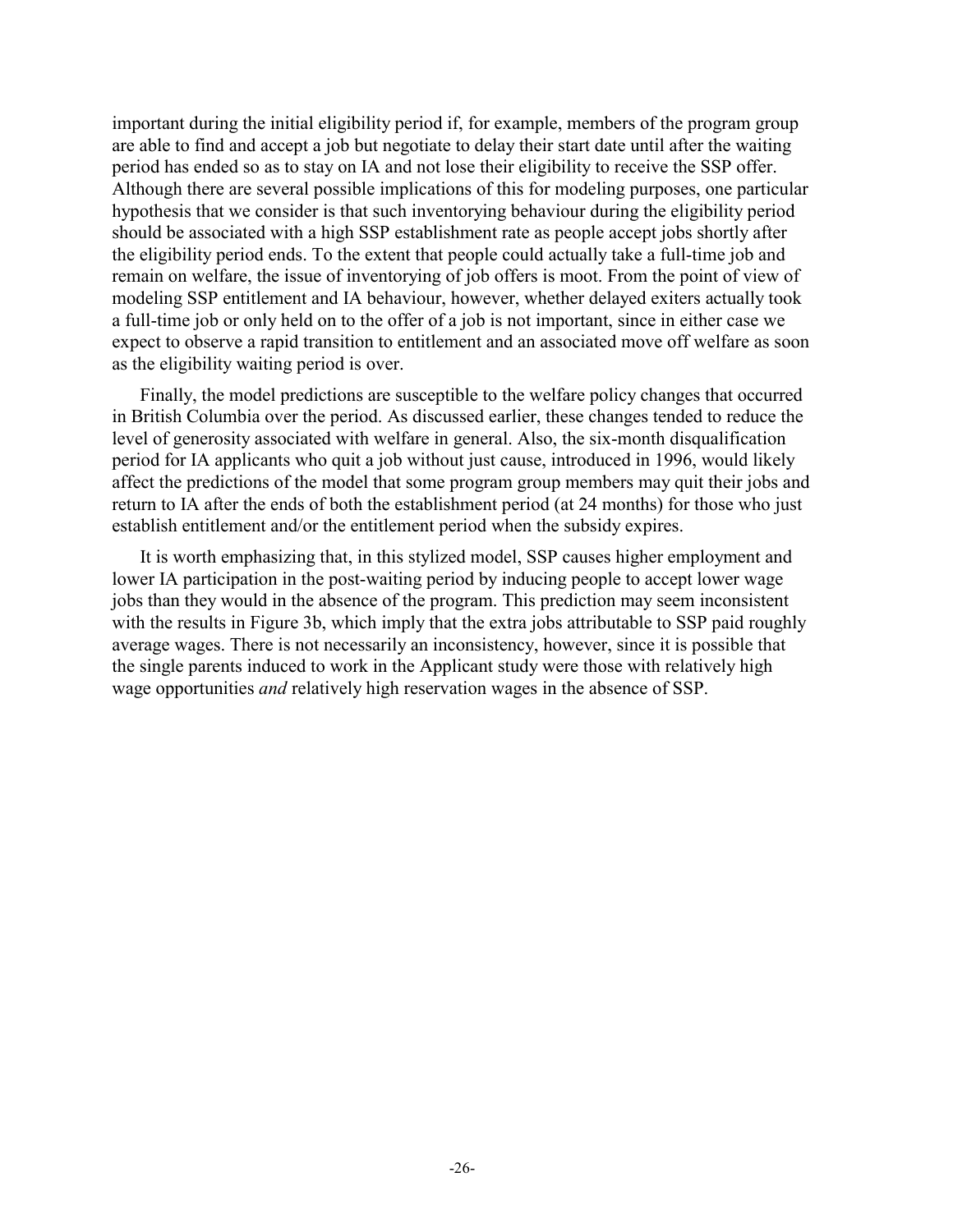important during the initial eligibility period if, for example, members of the program group are able to find and accept a job but negotiate to delay their start date until after the waiting period has ended so as to stay on IA and not lose their eligibility to receive the SSP offer. Although there are several possible implications of this for modeling purposes, one particular hypothesis that we consider is that such inventorying behaviour during the eligibility period should be associated with a high SSP establishment rate as people accept jobs shortly after the eligibility period ends. To the extent that people could actually take a full-time job and remain on welfare, the issue of inventorying of job offers is moot. From the point of view of modeling SSP entitlement and IA behaviour, however, whether delayed exiters actually took a full-time job or only held on to the offer of a job is not important, since in either case we expect to observe a rapid transition to entitlement and an associated move off welfare as soon as the eligibility waiting period is over.

Finally, the model predictions are susceptible to the welfare policy changes that occurred in British Columbia over the period. As discussed earlier, these changes tended to reduce the level of generosity associated with welfare in general. Also, the six-month disqualification period for IA applicants who quit a job without just cause, introduced in 1996, would likely affect the predictions of the model that some program group members may quit their jobs and return to IA after the ends of both the establishment period (at 24 months) for those who just establish entitlement and/or the entitlement period when the subsidy expires.

It is worth emphasizing that, in this stylized model, SSP causes higher employment and lower IA participation in the post-waiting period by inducing people to accept lower wage jobs than they would in the absence of the program. This prediction may seem inconsistent with the results in Figure 3b, which imply that the extra jobs attributable to SSP paid roughly average wages. There is not necessarily an inconsistency, however, since it is possible that the single parents induced to work in the Applicant study were those with relatively high wage opportunities *and* relatively high reservation wages in the absence of SSP.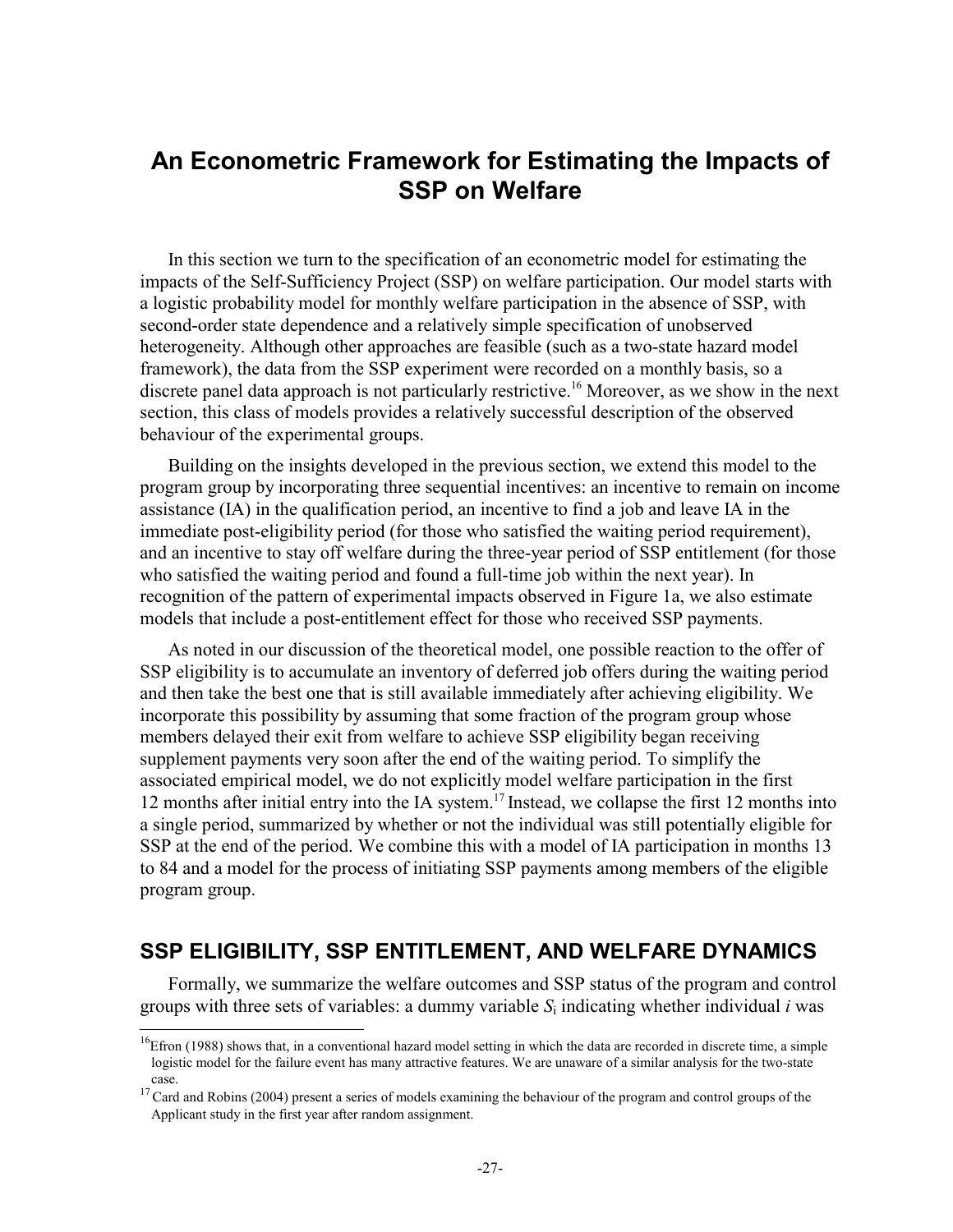## **An Econometric Framework for Estimating the Impacts of SSP on Welfare**

In this section we turn to the specification of an econometric model for estimating the impacts of the Self-Sufficiency Project (SSP) on welfare participation. Our model starts with a logistic probability model for monthly welfare participation in the absence of SSP, with second-order state dependence and a relatively simple specification of unobserved heterogeneity. Although other approaches are feasible (such as a two-state hazard model framework), the data from the SSP experiment were recorded on a monthly basis, so a discrete panel data approach is not particularly restrictive.<sup>16</sup> Moreover, as we show in the next section, this class of models provides a relatively successful description of the observed behaviour of the experimental groups.

Building on the insights developed in the previous section, we extend this model to the program group by incorporating three sequential incentives: an incentive to remain on income assistance (IA) in the qualification period, an incentive to find a job and leave IA in the immediate post-eligibility period (for those who satisfied the waiting period requirement), and an incentive to stay off welfare during the three-year period of SSP entitlement (for those who satisfied the waiting period and found a full-time job within the next year). In recognition of the pattern of experimental impacts observed in Figure 1a, we also estimate models that include a post-entitlement effect for those who received SSP payments.

As noted in our discussion of the theoretical model, one possible reaction to the offer of SSP eligibility is to accumulate an inventory of deferred job offers during the waiting period and then take the best one that is still available immediately after achieving eligibility. We incorporate this possibility by assuming that some fraction of the program group whose members delayed their exit from welfare to achieve SSP eligibility began receiving supplement payments very soon after the end of the waiting period. To simplify the associated empirical model, we do not explicitly model welfare participation in the first 12 months after initial entry into the IA system.<sup>17</sup> Instead, we collapse the first 12 months into a single period, summarized by whether or not the individual was still potentially eligible for SSP at the end of the period. We combine this with a model of IA participation in months 13 to 84 and a model for the process of initiating SSP payments among members of the eligible program group.

### **SSP ELIGIBILITY, SSP ENTITLEMENT, AND WELFARE DYNAMICS**

Formally, we summarize the welfare outcomes and SSP status of the program and control groups with three sets of variables: a dummy variable  $S_i$  indicating whether individual *i* was

 $\overline{a}$ 

 $^{16}$ Efron (1988) shows that, in a conventional hazard model setting in which the data are recorded in discrete time, a simple logistic model for the failure event has many attractive features. We are unaware of a similar analysis for the two-state

case.  $17$  Card and Robins (2004) present a series of models examining the behaviour of the program and control groups of the Applicant study in the first year after random assignment.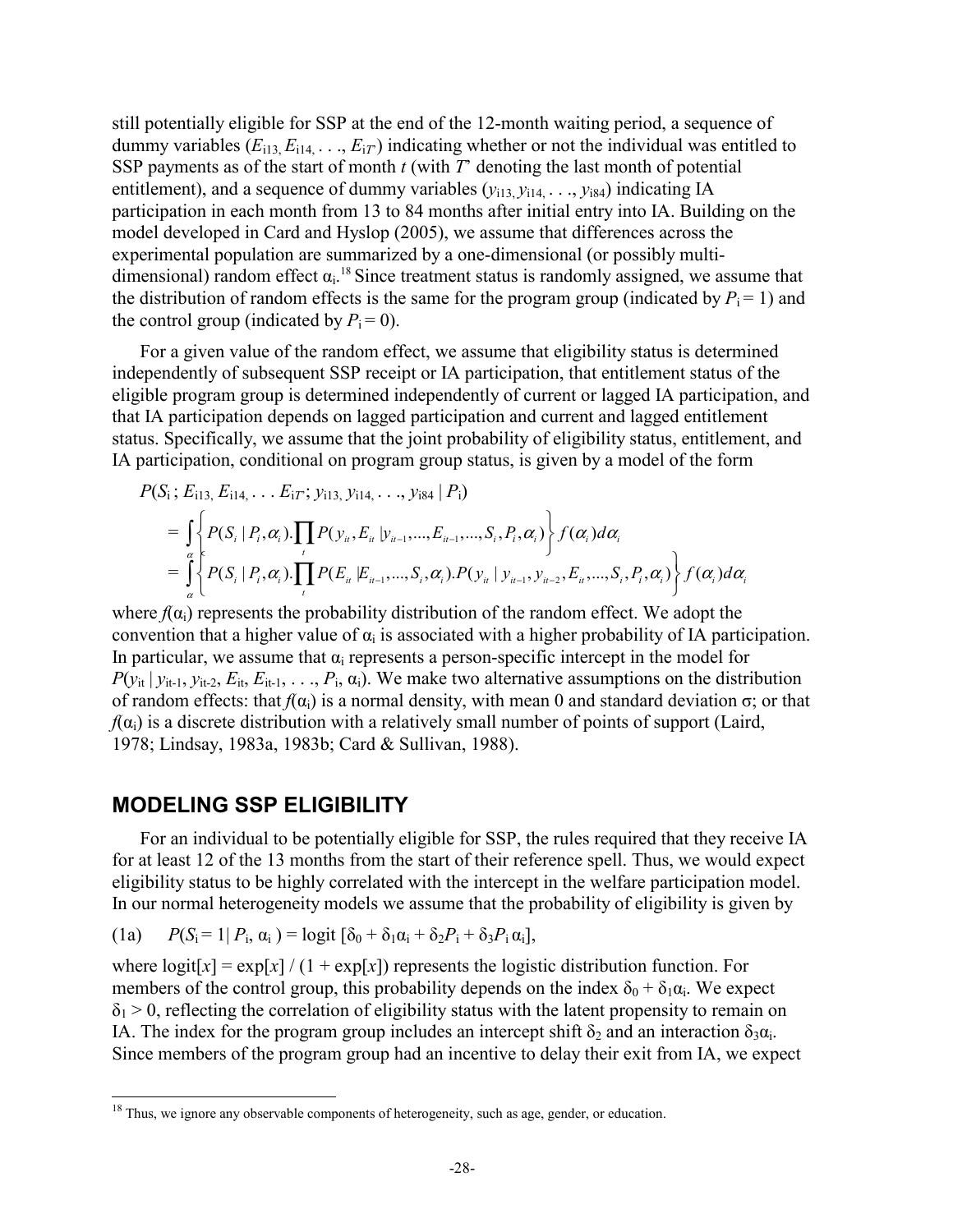still potentially eligible for SSP at the end of the 12-month waiting period, a sequence of dummy variables  $(E_{i13}, E_{i14}, \ldots, E_{iT})$  indicating whether or not the individual was entitled to SSP payments as of the start of month *t* (with *T*' denoting the last month of potential entitlement), and a sequence of dummy variables  $(y_{i13}, y_{i14}, \ldots, y_{i84})$  indicating IA participation in each month from 13 to 84 months after initial entry into IA. Building on the model developed in Card and Hyslop (2005), we assume that differences across the experimental population are summarized by a one-dimensional (or possibly multidimensional) random effect  $\alpha_i$ .<sup>18</sup> Since treatment status is randomly assigned, we assume that the distribution of random effects is the same for the program group (indicated by  $P_i = 1$ ) and the control group (indicated by  $P_i = 0$ ).

For a given value of the random effect, we assume that eligibility status is determined independently of subsequent SSP receipt or IA participation, that entitlement status of the eligible program group is determined independently of current or lagged IA participation, and that IA participation depends on lagged participation and current and lagged entitlement status. Specifically, we assume that the joint probability of eligibility status, entitlement, and IA participation, conditional on program group status, is given by a model of the form

$$
P(S_i; E_{i13}, E_{i14}, \dots E_{iT}; y_{i13}, y_{i14}, \dots, y_{i84} | P_i)
$$
  
= 
$$
\int_{\alpha} \left\{ P(S_i | P_i, \alpha_i) \prod_i P(y_u, E_u | y_{u-1}, \dots, E_{u-1}, \dots, S_i, P_i, \alpha_i) \right\} f(\alpha_i) d\alpha_i
$$
  
= 
$$
\int_{\alpha} \left\{ P(S_i | P_i, \alpha_i) \prod_i P(E_u | E_{u-1}, \dots, S_i, \alpha_i) P(y_u | y_{u-1}, y_{u-2}, E_u, \dots, S_i, P_i, \alpha_i) \right\} f(\alpha_i) d\alpha_i
$$

where  $f(\alpha_i)$  represents the probability distribution of the random effect. We adopt the convention that a higher value of  $\alpha_i$  is associated with a higher probability of IA participation. In particular, we assume that  $\alpha_i$  represents a person-specific intercept in the model for  $P(y_{it} | y_{it-1}, y_{it-2}, E_{it}, E_{it-1}, \ldots, P_{i}, \alpha_i)$ . We make two alternative assumptions on the distribution of random effects: that *f*( $α<sub>i</sub>$ ) is a normal density, with mean 0 and standard deviation σ; or that  $f(\alpha_i)$  is a discrete distribution with a relatively small number of points of support (Laird, 1978; Lindsay, 1983a, 1983b; Card & Sullivan, 1988).

#### **MODELING SSP ELIGIBILITY**

 $\overline{\phantom{a}}$ 

For an individual to be potentially eligible for SSP, the rules required that they receive IA for at least 12 of the 13 months from the start of their reference spell. Thus, we would expect eligibility status to be highly correlated with the intercept in the welfare participation model. In our normal heterogeneity models we assume that the probability of eligibility is given by

(1a) 
$$
P(S_i = 1 | P_i, \alpha_i) = \text{logit} [\delta_0 + \delta_1 \alpha_i + \delta_2 P_i + \delta_3 P_i \alpha_i],
$$

where  $\log i[f(x)] = \exp[i(x)] / (1 + \exp[i(x)])$  represents the logistic distribution function. For members of the control group, this probability depends on the index  $\delta_0 + \delta_1 \alpha_i$ . We expect  $\delta_1$  > 0, reflecting the correlation of eligibility status with the latent propensity to remain on IA. The index for the program group includes an intercept shift  $\delta_2$  and an interaction  $\delta_3\alpha_i$ . Since members of the program group had an incentive to delay their exit from IA, we expect

 $18$  Thus, we ignore any observable components of heterogeneity, such as age, gender, or education.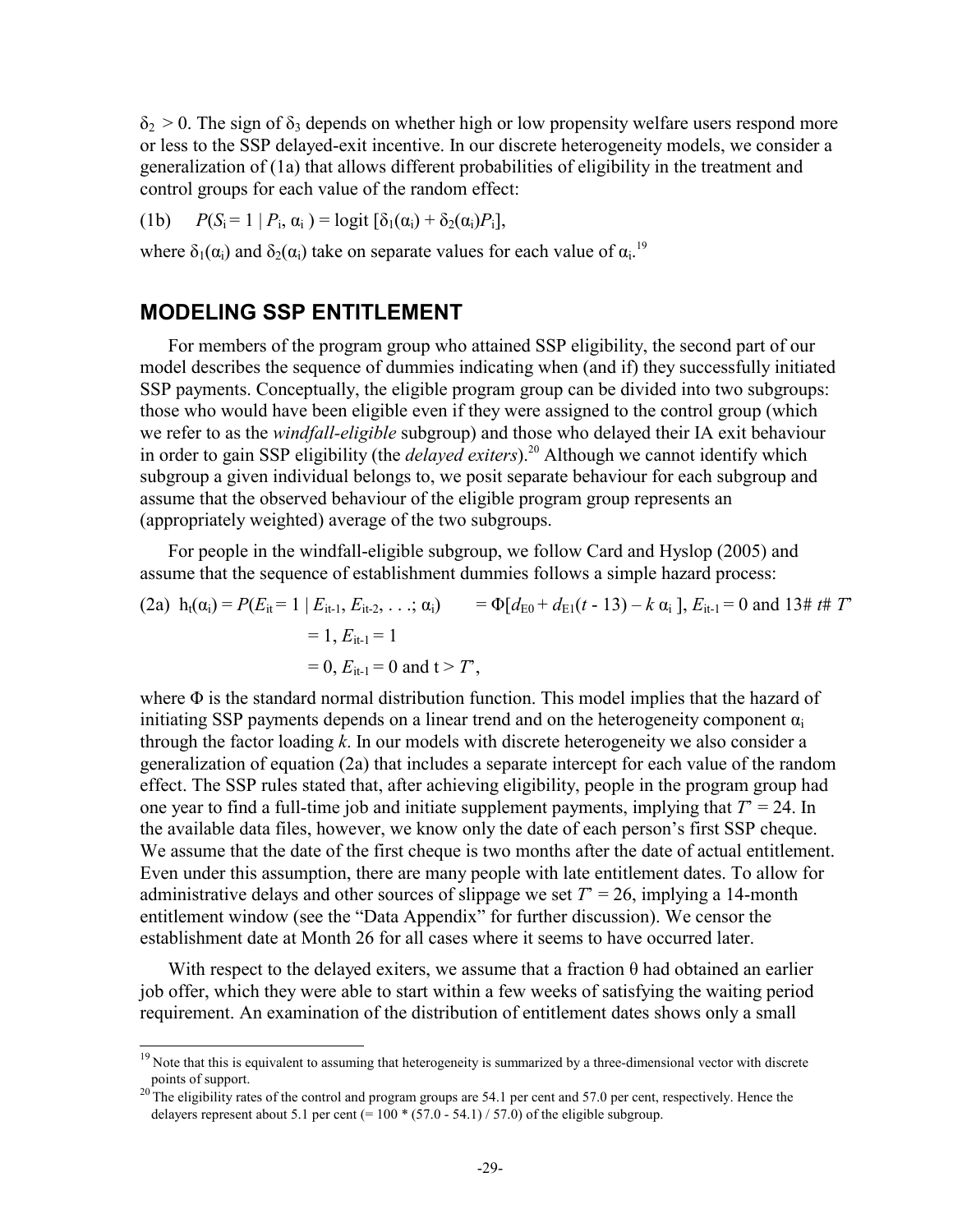$\delta_2$  > 0. The sign of  $\delta_3$  depends on whether high or low propensity welfare users respond more or less to the SSP delayed-exit incentive. In our discrete heterogeneity models, we consider a generalization of (1a) that allows different probabilities of eligibility in the treatment and control groups for each value of the random effect:

(1b)  $P(S_i = 1 | P_i, \alpha_i) =$ logit  $[\delta_1(\alpha_i) + \delta_2(\alpha_i)P_i]$ ,

where  $\delta_1(\alpha_i)$  and  $\delta_2(\alpha_i)$  take on separate values for each value of  $\alpha_i$ .<sup>19</sup>

#### **MODELING SSP ENTITLEMENT**

 $\overline{a}$ 

For members of the program group who attained SSP eligibility, the second part of our model describes the sequence of dummies indicating when (and if) they successfully initiated SSP payments. Conceptually, the eligible program group can be divided into two subgroups: those who would have been eligible even if they were assigned to the control group (which we refer to as the *windfall-eligible* subgroup) and those who delayed their IA exit behaviour in order to gain SSP eligibility (the *delayed exiters*).<sup>20</sup> Although we cannot identify which subgroup a given individual belongs to, we posit separate behaviour for each subgroup and assume that the observed behaviour of the eligible program group represents an (appropriately weighted) average of the two subgroups.

For people in the windfall-eligible subgroup, we follow Card and Hyslop (2005) and assume that the sequence of establishment dummies follows a simple hazard process:

(2a) 
$$
h_t(\alpha_i) = P(E_{it} = 1 | E_{it-1}, E_{it-2}, \dots; \alpha_i)
$$
  $= \Phi[d_{E0} + d_{E1}(t - 13) - k \alpha_i], E_{it-1} = 0 \text{ and } 13 \# t \# T'$   
 $= 1, E_{it-1} = 1$   
 $= 0, E_{it-1} = 0 \text{ and } t > T',$ 

where Φ is the standard normal distribution function. This model implies that the hazard of initiating SSP payments depends on a linear trend and on the heterogeneity component  $\alpha_i$ through the factor loading *k*. In our models with discrete heterogeneity we also consider a generalization of equation (2a) that includes a separate intercept for each value of the random effect. The SSP rules stated that, after achieving eligibility, people in the program group had one year to find a full-time job and initiate supplement payments, implying that  $T = 24$ . In the available data files, however, we know only the date of each person's first SSP cheque. We assume that the date of the first cheque is two months after the date of actual entitlement. Even under this assumption, there are many people with late entitlement dates. To allow for administrative delays and other sources of slippage we set  $T = 26$ , implying a 14-month entitlement window (see the "Data Appendix" for further discussion). We censor the establishment date at Month 26 for all cases where it seems to have occurred later.

With respect to the delayed exiters, we assume that a fraction  $\theta$  had obtained an earlier job offer, which they were able to start within a few weeks of satisfying the waiting period requirement. An examination of the distribution of entitlement dates shows only a small

 $19$  Note that this is equivalent to assuming that heterogeneity is summarized by a three-dimensional vector with discrete

points of support.<br><sup>20</sup> The eligibility rates of the control and program groups are 54.1 per cent and 57.0 per cent, respectively. Hence the delayers represent about 5.1 per cent  $(= 100 * (57.0 - 54.1) / 57.0)$  of the eligible subgroup.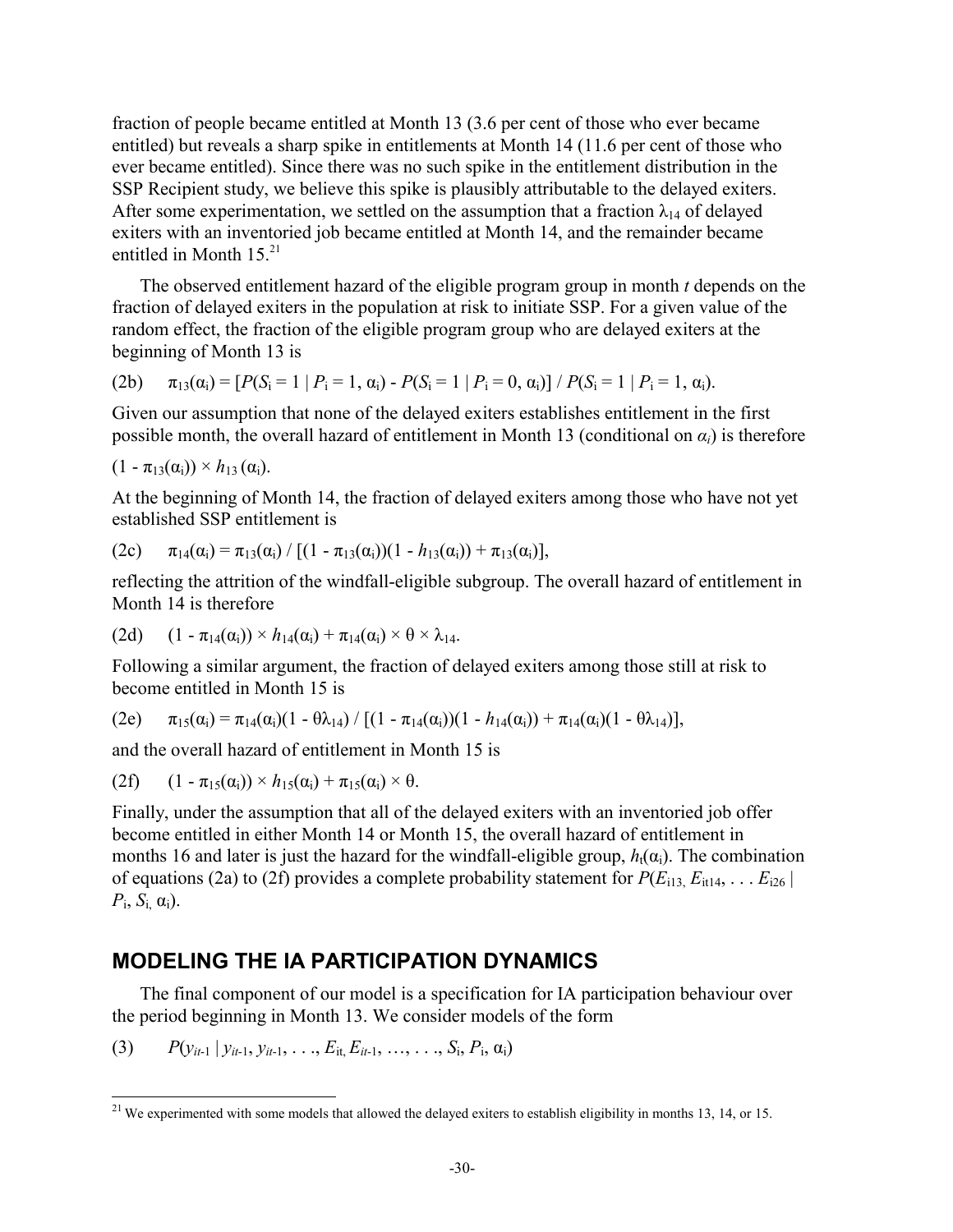fraction of people became entitled at Month 13 (3.6 per cent of those who ever became entitled) but reveals a sharp spike in entitlements at Month 14 (11.6 per cent of those who ever became entitled). Since there was no such spike in the entitlement distribution in the SSP Recipient study, we believe this spike is plausibly attributable to the delayed exiters. After some experimentation, we settled on the assumption that a fraction  $\lambda_{14}$  of delayed exiters with an inventoried job became entitled at Month 14, and the remainder became entitled in Month  $15^{21}$ 

The observed entitlement hazard of the eligible program group in month *t* depends on the fraction of delayed exiters in the population at risk to initiate SSP. For a given value of the random effect, the fraction of the eligible program group who are delayed exiters at the beginning of Month 13 is

(2b) 
$$
\pi_{13}(\alpha_i) = [P(S_i = 1 | P_i = 1, \alpha_i) - P(S_i = 1 | P_i = 0, \alpha_i)] / P(S_i = 1 | P_i = 1, \alpha_i).
$$

Given our assumption that none of the delayed exiters establishes entitlement in the first possible month, the overall hazard of entitlement in Month 13 (conditional on  $\alpha_i$ ) is therefore

$$
(1-\pi_{13}(\alpha_i))\times h_{13}(\alpha_i).
$$

 $\overline{\phantom{a}}$ 

At the beginning of Month 14, the fraction of delayed exiters among those who have not yet established SSP entitlement is

(2c) 
$$
\pi_{14}(\alpha_i) = \pi_{13}(\alpha_i) / [(1 - \pi_{13}(\alpha_i))(1 - h_{13}(\alpha_i)) + \pi_{13}(\alpha_i)],
$$

reflecting the attrition of the windfall-eligible subgroup. The overall hazard of entitlement in Month 14 is therefore

$$
(2d) \qquad (1 - \pi_{14}(\alpha_i)) \times h_{14}(\alpha_i) + \pi_{14}(\alpha_i) \times \theta \times \lambda_{14}.
$$

Following a similar argument, the fraction of delayed exiters among those still at risk to become entitled in Month 15 is

$$
(2e) \qquad \pi_{15}(\alpha_i) = \pi_{14}(\alpha_i)(1 - \theta \lambda_{14}) / [(1 - \pi_{14}(\alpha_i))(1 - h_{14}(\alpha_i)) + \pi_{14}(\alpha_i)(1 - \theta \lambda_{14})],
$$

and the overall hazard of entitlement in Month 15 is

$$
(2f) \qquad (1-\pi_{15}(\alpha_i)) \times h_{15}(\alpha_i) + \pi_{15}(\alpha_i) \times \theta.
$$

Finally, under the assumption that all of the delayed exiters with an inventoried job offer become entitled in either Month 14 or Month 15, the overall hazard of entitlement in months 16 and later is just the hazard for the windfall-eligible group,  $h_t(\alpha_i)$ . The combination of equations (2a) to (2f) provides a complete probability statement for  $P(E_{113}, E_{114}, \ldots, E_{126})$  $P_i$ ,  $S_i$ ,  $\alpha_i$ ).

### **MODELING THE IA PARTICIPATION DYNAMICS**

The final component of our model is a specification for IA participation behaviour over the period beginning in Month 13. We consider models of the form

(3)  $P(y_{it-1} | y_{it-1}, y_{it-1}, \ldots, E_{it} E_{it-1}, \ldots, \ldots, S_i, P_i, \alpha_i)$ 

<sup>&</sup>lt;sup>21</sup> We experimented with some models that allowed the delayed exiters to establish eligibility in months 13, 14, or 15.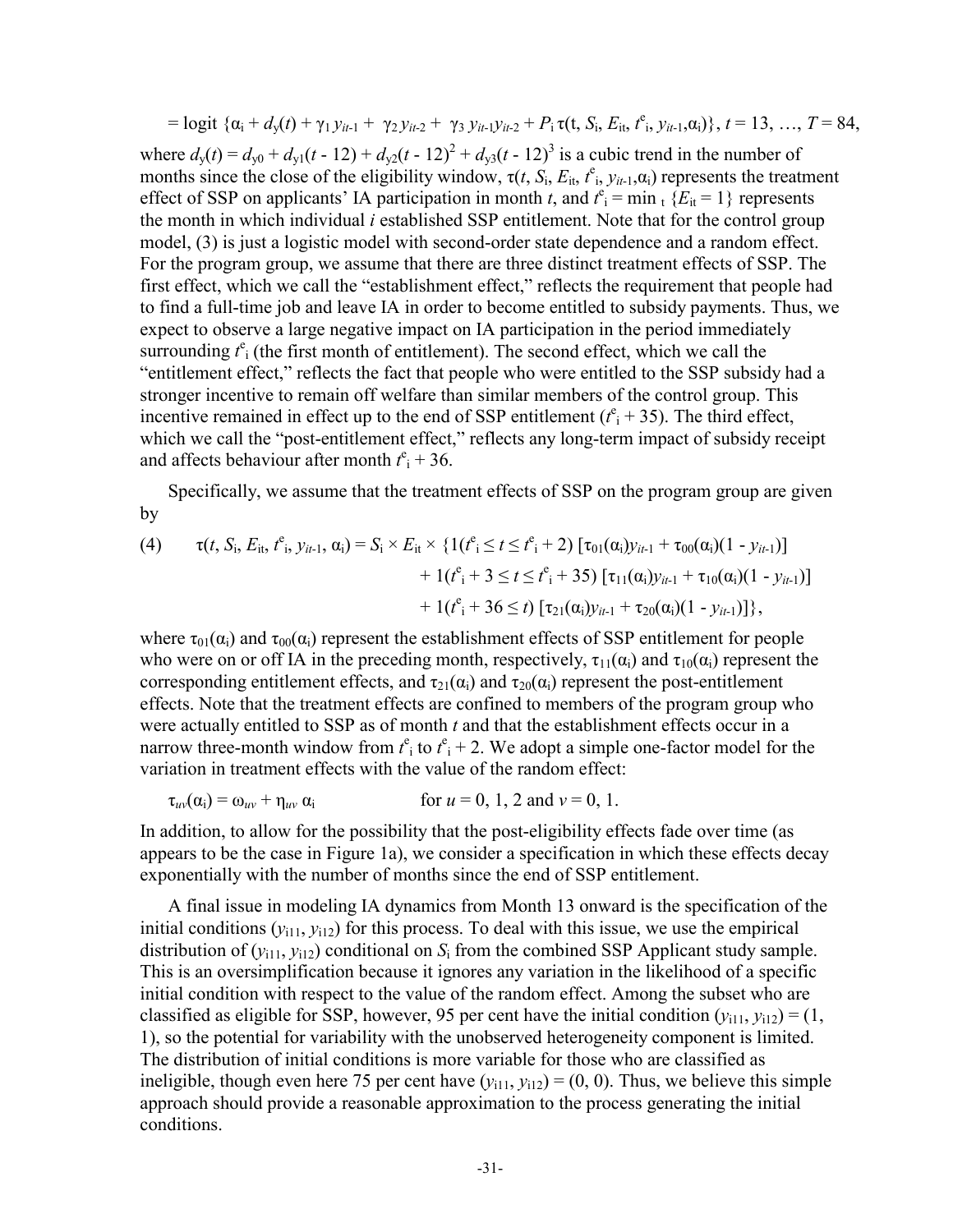$=$  logit  $\{\alpha_i + d_y(t) + \gamma_1 y_{it-1} + \gamma_2 y_{it-2} + \gamma_3 y_{it-1} y_{it-2} + P_i \tau(t, S_i, E_{it}, t^e_i, y_{it-1}, \alpha_i)\}, t = 13, ..., T = 84,$ 

where  $d_y(t) = d_{y0} + d_{y1}(t - 12) + d_{y2}(t - 12)^2 + d_{y3}(t - 12)^3$  is a cubic trend in the number of months since the close of the eligibility window,  $\tau(t, S_i, E_{it}, t^e_i, y_{it-1}, \alpha_i)$  represents the treatment effect of SSP on applicants' IA participation in month *t*, and  $t^e$ <sup>1</sup> = min  $\{E_{it} = 1\}$  represents the month in which individual *i* established SSP entitlement. Note that for the control group model, (3) is just a logistic model with second-order state dependence and a random effect. For the program group, we assume that there are three distinct treatment effects of SSP. The first effect, which we call the "establishment effect," reflects the requirement that people had to find a full-time job and leave IA in order to become entitled to subsidy payments. Thus, we expect to observe a large negative impact on IA participation in the period immediately surrounding  $t^e$ <sub>i</sub> (the first month of entitlement). The second effect, which we call the "entitlement effect," reflects the fact that people who were entitled to the SSP subsidy had a stronger incentive to remain off welfare than similar members of the control group. This incentive remained in effect up to the end of SSP entitlement  $(t^e$ <sub>i</sub> + 35). The third effect, which we call the "post-entitlement effect," reflects any long-term impact of subsidy receipt and affects behaviour after month  $t^e$ <sup>i</sup> + 36.

Specifically, we assume that the treatment effects of SSP on the program group are given by

(4) 
$$
\tau(t, S_i, E_{it}, t^e_i, y_{it-1}, \alpha_i) = S_i \times E_{it} \times \{1(t^e_i \le t \le t^e_i + 2) [\tau_{01}(\alpha_i)y_{it-1} + \tau_{00}(\alpha_i)(1 - y_{it-1})] + 1(t^e_i + 3 \le t \le t^e_i + 35) [\tau_{11}(\alpha_i)y_{it-1} + \tau_{10}(\alpha_i)(1 - y_{it-1})] + 1(t^e_i + 36 \le t) [\tau_{21}(\alpha_i)y_{it-1} + \tau_{20}(\alpha_i)(1 - y_{it-1})]\},
$$

where  $\tau_{01}(\alpha_i)$  and  $\tau_{00}(\alpha_i)$  represent the establishment effects of SSP entitlement for people who were on or off IA in the preceding month, respectively,  $\tau_{11}(\alpha_i)$  and  $\tau_{10}(\alpha_i)$  represent the corresponding entitlement effects, and  $\tau_{21}(\alpha_i)$  and  $\tau_{20}(\alpha_i)$  represent the post-entitlement effects. Note that the treatment effects are confined to members of the program group who were actually entitled to SSP as of month *t* and that the establishment effects occur in a narrow three-month window from  $t^e$  to  $t^e$  + 2. We adopt a simple one-factor model for the variation in treatment effects with the value of the random effect:

$$
\tau_{uv}(\alpha_i) = \omega_{uv} + \eta_{uv} \alpha_i
$$
 for  $u = 0, 1, 2$  and  $v = 0, 1$ .

In addition, to allow for the possibility that the post-eligibility effects fade over time (as appears to be the case in Figure 1a), we consider a specification in which these effects decay exponentially with the number of months since the end of SSP entitlement.

A final issue in modeling IA dynamics from Month 13 onward is the specification of the initial conditions  $(y_{i11}, y_{i12})$  for this process. To deal with this issue, we use the empirical distribution of  $(y_{i11}, y_{i12})$  conditional on  $S_i$  from the combined SSP Applicant study sample. This is an oversimplification because it ignores any variation in the likelihood of a specific initial condition with respect to the value of the random effect. Among the subset who are classified as eligible for SSP, however, 95 per cent have the initial condition  $(y_{i11}, y_{i12}) = (1,$ 1), so the potential for variability with the unobserved heterogeneity component is limited. The distribution of initial conditions is more variable for those who are classified as ineligible, though even here 75 per cent have  $(y_{i11}, y_{i12}) = (0, 0)$ . Thus, we believe this simple approach should provide a reasonable approximation to the process generating the initial conditions.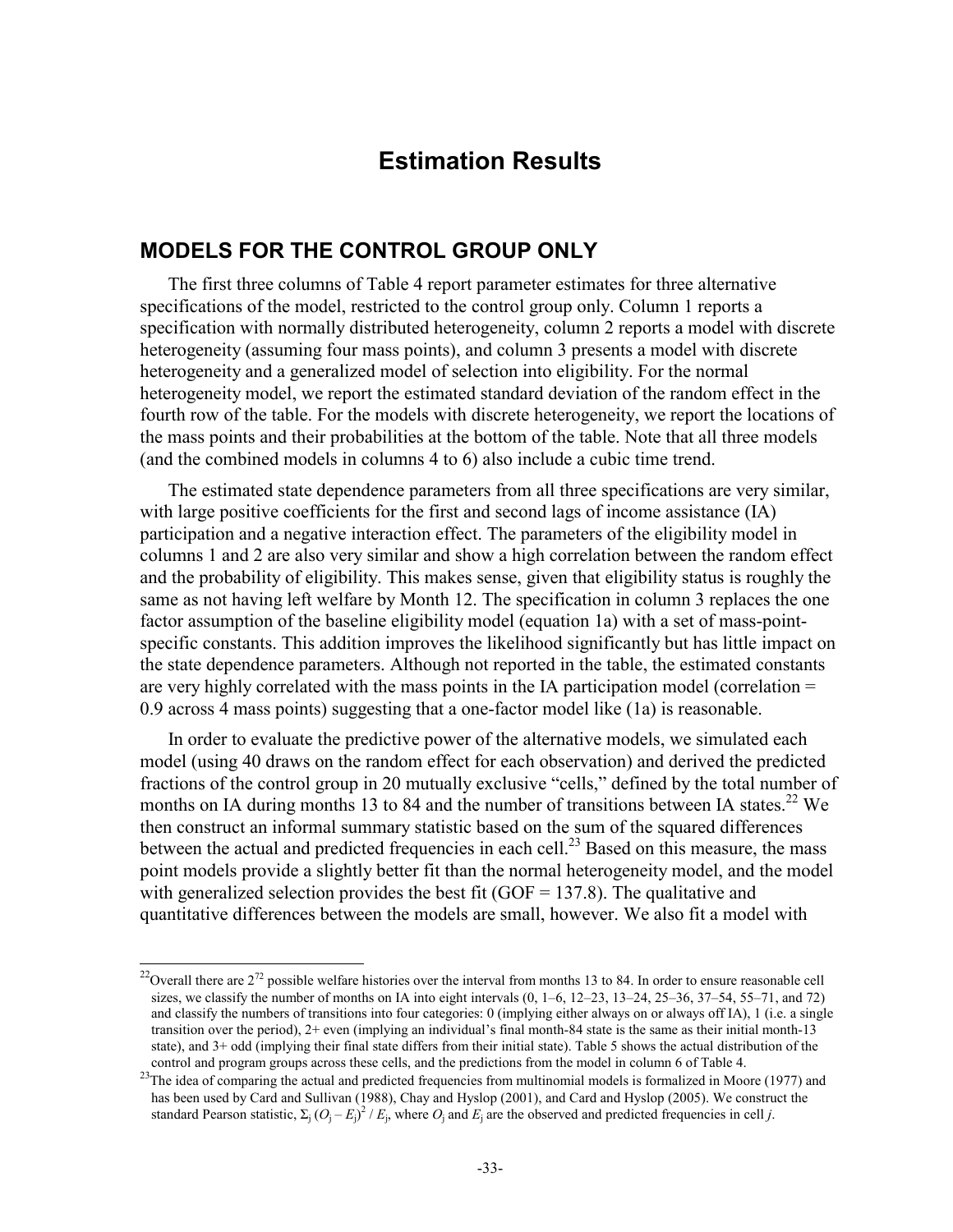## **Estimation Results**

### **MODELS FOR THE CONTROL GROUP ONLY**

The first three columns of Table 4 report parameter estimates for three alternative specifications of the model, restricted to the control group only. Column 1 reports a specification with normally distributed heterogeneity, column 2 reports a model with discrete heterogeneity (assuming four mass points), and column 3 presents a model with discrete heterogeneity and a generalized model of selection into eligibility. For the normal heterogeneity model, we report the estimated standard deviation of the random effect in the fourth row of the table. For the models with discrete heterogeneity, we report the locations of the mass points and their probabilities at the bottom of the table. Note that all three models (and the combined models in columns 4 to 6) also include a cubic time trend.

The estimated state dependence parameters from all three specifications are very similar, with large positive coefficients for the first and second lags of income assistance (IA) participation and a negative interaction effect. The parameters of the eligibility model in columns 1 and 2 are also very similar and show a high correlation between the random effect and the probability of eligibility. This makes sense, given that eligibility status is roughly the same as not having left welfare by Month 12. The specification in column 3 replaces the one factor assumption of the baseline eligibility model (equation 1a) with a set of mass-pointspecific constants. This addition improves the likelihood significantly but has little impact on the state dependence parameters. Although not reported in the table, the estimated constants are very highly correlated with the mass points in the IA participation model (correlation = 0.9 across 4 mass points) suggesting that a one-factor model like (1a) is reasonable.

In order to evaluate the predictive power of the alternative models, we simulated each model (using 40 draws on the random effect for each observation) and derived the predicted fractions of the control group in 20 mutually exclusive "cells," defined by the total number of months on IA during months 13 to 84 and the number of transitions between IA states.<sup>22</sup> We then construct an informal summary statistic based on the sum of the squared differences between the actual and predicted frequencies in each cell.<sup>23</sup> Based on this measure, the mass point models provide a slightly better fit than the normal heterogeneity model, and the model with generalized selection provides the best fit (GOF =  $137.8$ ). The qualitative and quantitative differences between the models are small, however. We also fit a model with

l

<sup>&</sup>lt;sup>22</sup>Overall there are  $2^{72}$  possible welfare histories over the interval from months 13 to 84. In order to ensure reasonable cell sizes, we classify the number of months on IA into eight intervals  $(0, 1-6, 12-23, 13-24, 25-36, 37-54, 55-71,$  and 72) and classify the numbers of transitions into four categories: 0 (implying either always on or always off IA), 1 (i.e. a single transition over the period), 2+ even (implying an individual's final month-84 state is the same as their initial month-13 state), and 3+ odd (implying their final state differs from their initial state). Table 5 shows the actual distribution of the control and program groups across these cells, and the predictions from the model in column 6 of Table 4.

 $^{23}$ The idea of comparing the actual and predicted frequencies from multinomial models is formalized in Moore (1977) and has been used by Card and Sullivan (1988), Chay and Hyslop (2001), and Card and Hyslop (2005). We construct the standard Pearson statistic,  $\Sigma_j (O_j - E_j)^2 / E_j$ , where  $O_j$  and  $E_j$  are the observed and predicted frequencies in cell *j*.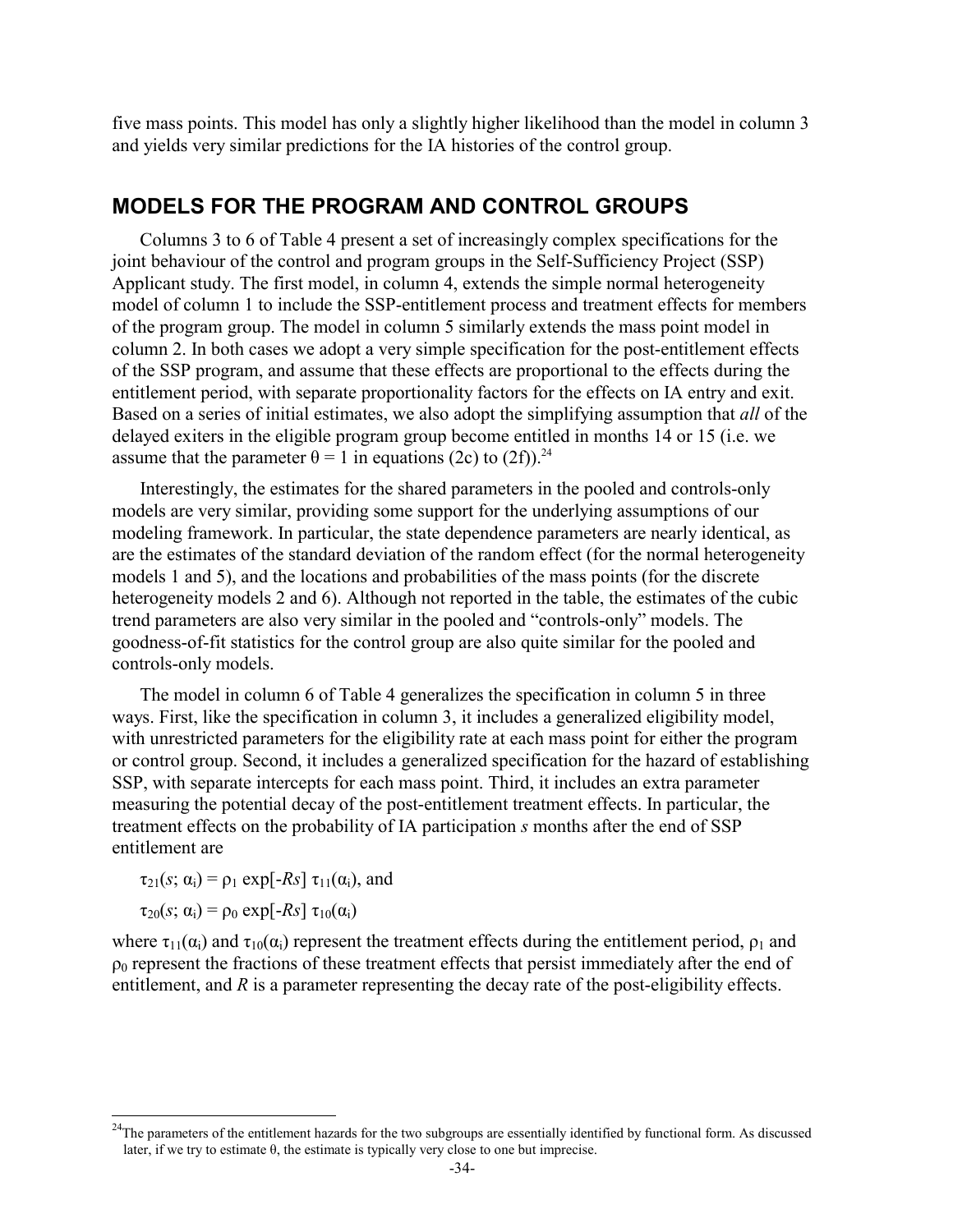five mass points. This model has only a slightly higher likelihood than the model in column 3 and yields very similar predictions for the IA histories of the control group.

#### **MODELS FOR THE PROGRAM AND CONTROL GROUPS**

Columns 3 to 6 of Table 4 present a set of increasingly complex specifications for the joint behaviour of the control and program groups in the Self-Sufficiency Project (SSP) Applicant study. The first model, in column 4, extends the simple normal heterogeneity model of column 1 to include the SSP-entitlement process and treatment effects for members of the program group. The model in column 5 similarly extends the mass point model in column 2. In both cases we adopt a very simple specification for the post-entitlement effects of the SSP program, and assume that these effects are proportional to the effects during the entitlement period, with separate proportionality factors for the effects on IA entry and exit. Based on a series of initial estimates, we also adopt the simplifying assumption that *all* of the delayed exiters in the eligible program group become entitled in months 14 or 15 (i.e. we assume that the parameter  $\theta = 1$  in equations (2c) to (2f)).<sup>24</sup>

Interestingly, the estimates for the shared parameters in the pooled and controls-only models are very similar, providing some support for the underlying assumptions of our modeling framework. In particular, the state dependence parameters are nearly identical, as are the estimates of the standard deviation of the random effect (for the normal heterogeneity models 1 and 5), and the locations and probabilities of the mass points (for the discrete heterogeneity models 2 and 6). Although not reported in the table, the estimates of the cubic trend parameters are also very similar in the pooled and "controls-only" models. The goodness-of-fit statistics for the control group are also quite similar for the pooled and controls-only models.

The model in column 6 of Table 4 generalizes the specification in column 5 in three ways. First, like the specification in column 3, it includes a generalized eligibility model, with unrestricted parameters for the eligibility rate at each mass point for either the program or control group. Second, it includes a generalized specification for the hazard of establishing SSP, with separate intercepts for each mass point. Third, it includes an extra parameter measuring the potential decay of the post-entitlement treatment effects. In particular, the treatment effects on the probability of IA participation *s* months after the end of SSP entitlement are

 $\tau_{21}(s; \alpha_i) = \rho_1 \exp[-Rs] \tau_{11}(\alpha_i)$ , and

 $\tau_{20}(s; \alpha_i) = \rho_0 \exp[-Rs] \tau_{10}(\alpha_i)$ 

l

where  $\tau_{11}(\alpha_i)$  and  $\tau_{10}(\alpha_i)$  represent the treatment effects during the entitlement period,  $\rho_1$  and  $\rho_0$  represent the fractions of these treatment effects that persist immediately after the end of entitlement, and *R* is a parameter representing the decay rate of the post-eligibility effects.

<sup>&</sup>lt;sup>24</sup>The parameters of the entitlement hazards for the two subgroups are essentially identified by functional form. As discussed later, if we try to estimate  $\theta$ , the estimate is typically very close to one but imprecise.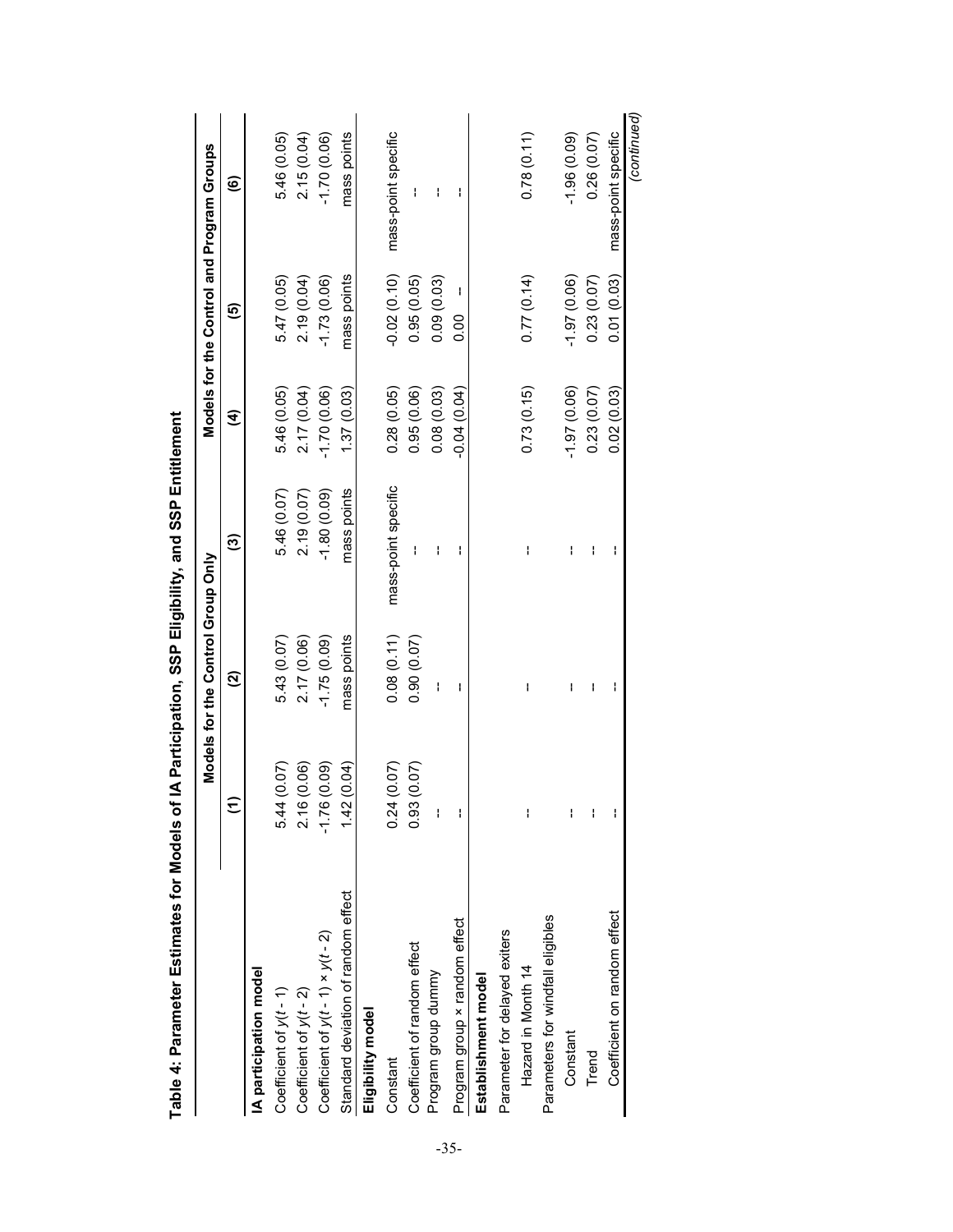|                                           |                  | Models for the Control Group Only |                     |               |               | Models for the Control and Program Groups |
|-------------------------------------------|------------------|-----------------------------------|---------------------|---------------|---------------|-------------------------------------------|
|                                           | $\widehat{\tau}$ | $\widehat{\mathbf{S}}$            | ම                   | E             | $\mathbf{e}$  | $\widehat{\mathbf{e}}$                    |
| IA participation model                    |                  |                                   |                     |               |               |                                           |
| Coefficient of $y(t - 1)$                 | 5.44 (0.07)      | 5.43 (0.07)                       | 5.46 (0.07)         | 5.46 (0.05)   | 5.47 (0.05)   | 5.46 (0.05)                               |
| Coefficient of $y(t - 2)$                 | 2.16 (0.06)      | 2.17 (0.06)                       | 2.19 (0.07)         | 2.17 (0.04)   | 2.19(0.04)    | 2.15 (0.04)                               |
| Coefficient of $y(t - 1) \times y(t - 2)$ | (0.0, 0.75, 1)   | (0.0, 0, 1.7                      | $(60.0)$ 08.1-      | $-1.70(0.06)$ | $-1.73(0.06)$ | $-1.70(0.06)$                             |
| Standard deviation of random effect       | 1.42(0.04)       | mass points                       | mass points         | 1.37(0.03)    | mass points   | mass points                               |
| Eligibility model                         |                  |                                   |                     |               |               |                                           |
| Constant                                  | 0.24(0.07)       | 0.08(0.11)                        | mass-point specific | 0.28(0.05)    | $-0.02(0.10)$ | mass-point specific                       |
| Coefficient of random effect              | 0.93(0.07)       | 0.90(0.07)                        | ł                   | 0.95(0.06)    | 0.95(0.05)    |                                           |
| Program group dummy                       | ł                | ł                                 | ł                   | 0.08(0.03)    | 0.09(0.03)    | ł                                         |
| Program group × random effect             |                  | ł                                 | ł                   | $-0.04(0.04)$ | 0.00          | ł                                         |
| Establishment model                       |                  |                                   |                     |               |               |                                           |
| Parameter for delayed exiters             |                  |                                   |                     |               |               |                                           |
| Hazard in Month 14                        |                  | ł                                 | ł                   | 0.73(0.15)    | 0.77(0.14)    | 0.78(0.11)                                |
| Parameters for windfall eligibles         |                  |                                   |                     |               |               |                                           |
| Constant                                  |                  | I                                 | ł                   | $-1.97(0.06)$ | $-1.97(0.06)$ | $(0.09)$ 96.1-                            |
| Trend                                     |                  | ł                                 | $\mathbf{I}$        | 0.23(0.07)    | 0.23(0.07)    | 0.26(0.07)                                |
| Coefficient on random effect              |                  | ł                                 | I                   | 0.02(0.03)    | 0.01(0.03)    | mass-point specific                       |

| .<br>.<br>.                  |
|------------------------------|
| ::::::::::i<br>$\frac{1}{3}$ |
|                              |
|                              |
|                              |
| l<br>I                       |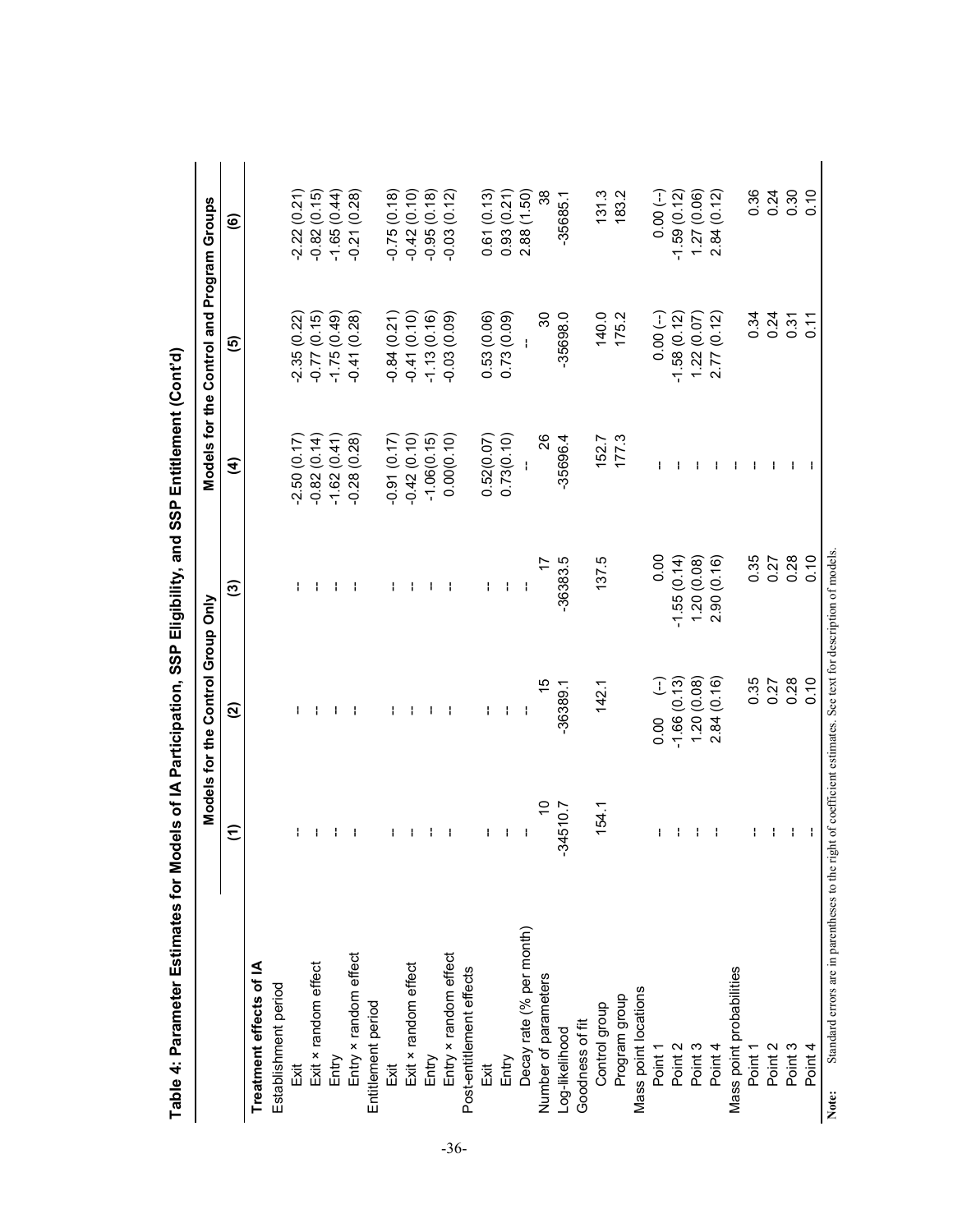|                                                                                                                        |               | Models for the Control Group Only |               |               | Models for the Control and Program Groups |               |
|------------------------------------------------------------------------------------------------------------------------|---------------|-----------------------------------|---------------|---------------|-------------------------------------------|---------------|
|                                                                                                                        | Ξ             | ତ୍ର                               | ම             | E             | <u>ම</u>                                  | ම             |
| Treatment effects of IA                                                                                                |               |                                   |               |               |                                           |               |
| Establishment period                                                                                                   |               |                                   |               |               |                                           |               |
| Exit                                                                                                                   | Ł             |                                   |               | $-2.50(0.17)$ | $-2.35(0.22)$                             | $-2.22(0.21)$ |
| Exit × random effect                                                                                                   |               |                                   |               | $-0.82(0.14)$ | $-0.77(0.15)$                             | $-0.82(0.15)$ |
| Entry                                                                                                                  |               |                                   |               | $-1.62(0.41)$ | $-1.75(0.49)$                             | $-1.65(0.44)$ |
| Entry × random effect                                                                                                  |               |                                   |               | $-0.28(0.28)$ | $-0.41(0.28)$                             | $-0.21(0.28)$ |
| Entitlement period                                                                                                     |               |                                   |               |               |                                           |               |
| Exit                                                                                                                   |               |                                   |               | $-0.91(0.17)$ | $-0.84(0.21)$                             | $-0.75(0.18)$ |
| Exit × random effect                                                                                                   |               |                                   |               | $-0.42(0.10)$ | $-0.41(0.10)$                             | $-0.42(0.10)$ |
| Entry                                                                                                                  |               |                                   |               | $-1.06(0.15)$ | $-1.13(0.16)$                             | $-0.95(0.18)$ |
| Entry × random effect                                                                                                  |               |                                   |               | 0.00(0.10)    | (60.03, 0.05)                             | $-0.03(0.12)$ |
| Post-entitlement effects                                                                                               |               |                                   |               |               |                                           |               |
| ix<br>Exi                                                                                                              | ł             |                                   |               | 0.52(0.07)    | 0.53(0.06)                                | 0.61(0.13)    |
| Entry                                                                                                                  |               | ł                                 |               | 0.73(0.10)    | 0.73(0.09)                                | 0.93(0.21)    |
| Decay rate (% per month)                                                                                               |               | J.                                |               | $\mathbf{I}$  | $\mathbf{I}$                              | 2.88(1.50)    |
| Number of parameters                                                                                                   | $\frac{0}{1}$ | 15                                |               | 26            | 80                                        | 38            |
| Log-likelihood                                                                                                         | $-34510.7$    | $-36389.1$                        | $-36383.5$    | $-35696.4$    | $-35698.0$                                | $-35685.1$    |
| Goodness of fit                                                                                                        |               |                                   |               |               |                                           |               |
| Control group                                                                                                          | 154.1         | 142.1                             | 137.5         | 152.7         | 140.0                                     | 131.3         |
| Program group                                                                                                          |               |                                   |               | 177.3         | 175.2                                     | 183.2         |
| Mass point locations                                                                                                   |               |                                   |               |               |                                           |               |
| Point 1                                                                                                                |               | $\widehat{\mathbb{L}}$<br>0.00    | 0.00          |               | $-100(-)$                                 | $-0.00(-)$    |
| Point 2                                                                                                                |               | $-1.66(0.13)$                     | $-1.55(0.14)$ |               | $-1.58(0.12)$                             | $-1.59(0.12)$ |
| Point 3                                                                                                                |               | 1.20(0.08)                        | 1.20(0.08)    |               | 1.22(0.07)                                | 1.27 (0.06)   |
| Point 4                                                                                                                |               | 2.84 (0.16)                       | 2.90 (0.16)   |               | 2.77 (0.12)                               | 2.84(0.12)    |
| Mass point probabilities                                                                                               |               |                                   |               |               |                                           |               |
| Point 1                                                                                                                |               | 0.35                              | 0.35          |               | 0.34                                      | 0.36          |
| Point 2                                                                                                                |               | 0.27                              | 0.27          |               | 0.24                                      | 0.24          |
| Point <sub>3</sub>                                                                                                     |               | 0.28                              | 0.28          |               | 0.31                                      | 0.30          |
| Point 4                                                                                                                |               | 0.10                              | 0.10          |               | 0.11                                      | 0.10          |
| Standard errors are in parentheses to the right of coefficient estimates. See text for description of models.<br>Note: |               |                                   |               |               |                                           |               |

Table 4: Parameter Estimates for Models of IA Participation, SSP Eligibility, and SSP Entitlement (Cont'd) **Table 4: Parameter Estimates for Models of IA Participation, SSP Eligibility, and SSP Entitlement (Cont'd)**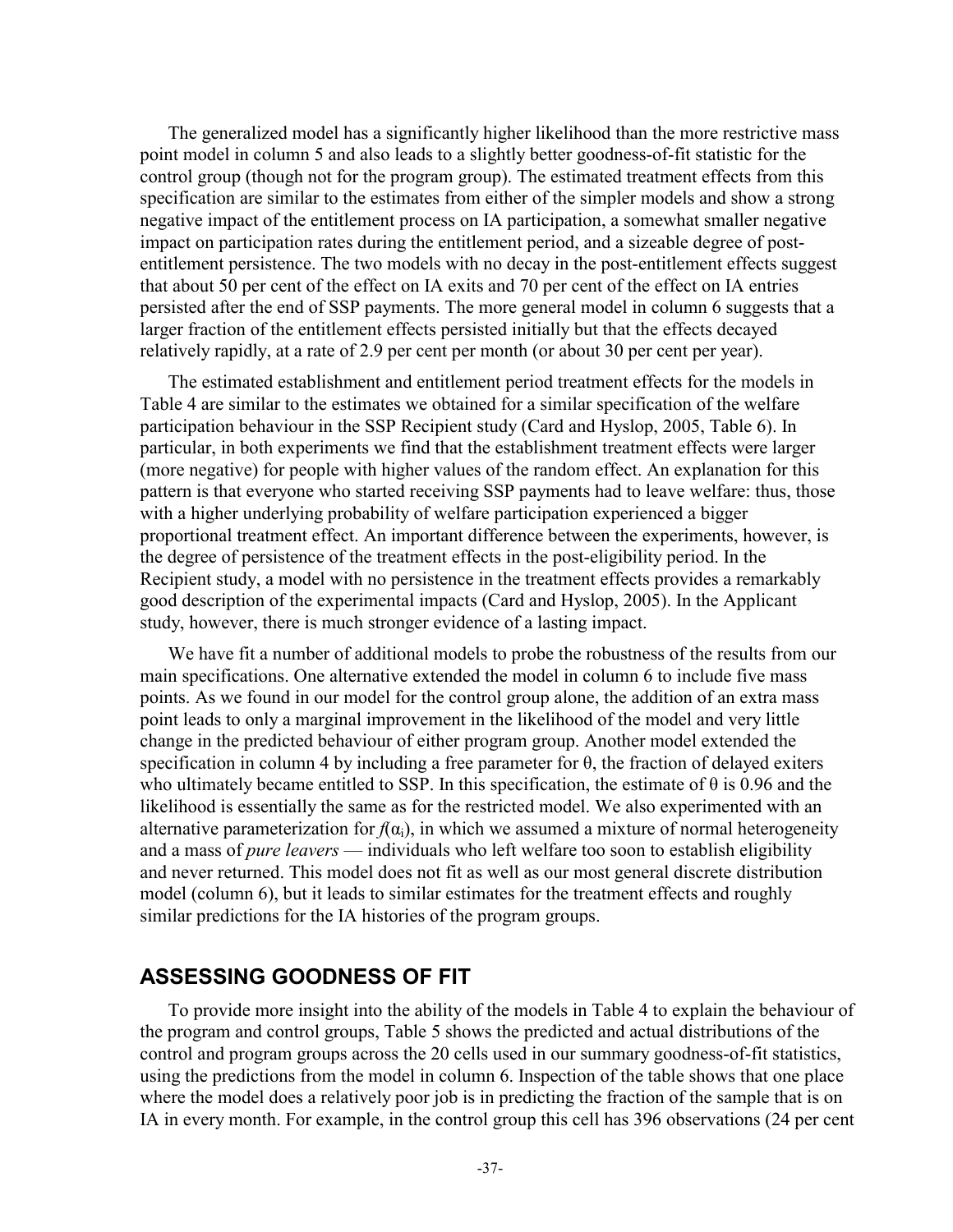The generalized model has a significantly higher likelihood than the more restrictive mass point model in column 5 and also leads to a slightly better goodness-of-fit statistic for the control group (though not for the program group). The estimated treatment effects from this specification are similar to the estimates from either of the simpler models and show a strong negative impact of the entitlement process on IA participation, a somewhat smaller negative impact on participation rates during the entitlement period, and a sizeable degree of postentitlement persistence. The two models with no decay in the post-entitlement effects suggest that about 50 per cent of the effect on IA exits and 70 per cent of the effect on IA entries persisted after the end of SSP payments. The more general model in column 6 suggests that a larger fraction of the entitlement effects persisted initially but that the effects decayed relatively rapidly, at a rate of 2.9 per cent per month (or about 30 per cent per year).

The estimated establishment and entitlement period treatment effects for the models in Table 4 are similar to the estimates we obtained for a similar specification of the welfare participation behaviour in the SSP Recipient study (Card and Hyslop, 2005, Table 6). In particular, in both experiments we find that the establishment treatment effects were larger (more negative) for people with higher values of the random effect. An explanation for this pattern is that everyone who started receiving SSP payments had to leave welfare: thus, those with a higher underlying probability of welfare participation experienced a bigger proportional treatment effect. An important difference between the experiments, however, is the degree of persistence of the treatment effects in the post-eligibility period. In the Recipient study, a model with no persistence in the treatment effects provides a remarkably good description of the experimental impacts (Card and Hyslop, 2005). In the Applicant study, however, there is much stronger evidence of a lasting impact.

We have fit a number of additional models to probe the robustness of the results from our main specifications. One alternative extended the model in column 6 to include five mass points. As we found in our model for the control group alone, the addition of an extra mass point leads to only a marginal improvement in the likelihood of the model and very little change in the predicted behaviour of either program group. Another model extended the specification in column 4 by including a free parameter for θ, the fraction of delayed exiters who ultimately became entitled to SSP. In this specification, the estimate of  $\theta$  is 0.96 and the likelihood is essentially the same as for the restricted model. We also experimented with an alternative parameterization for  $f(\alpha_i)$ , in which we assumed a mixture of normal heterogeneity and a mass of *pure leavers* — individuals who left welfare too soon to establish eligibility and never returned. This model does not fit as well as our most general discrete distribution model (column 6), but it leads to similar estimates for the treatment effects and roughly similar predictions for the IA histories of the program groups.

### **ASSESSING GOODNESS OF FIT**

To provide more insight into the ability of the models in Table 4 to explain the behaviour of the program and control groups, Table 5 shows the predicted and actual distributions of the control and program groups across the 20 cells used in our summary goodness-of-fit statistics, using the predictions from the model in column 6. Inspection of the table shows that one place where the model does a relatively poor job is in predicting the fraction of the sample that is on IA in every month. For example, in the control group this cell has 396 observations (24 per cent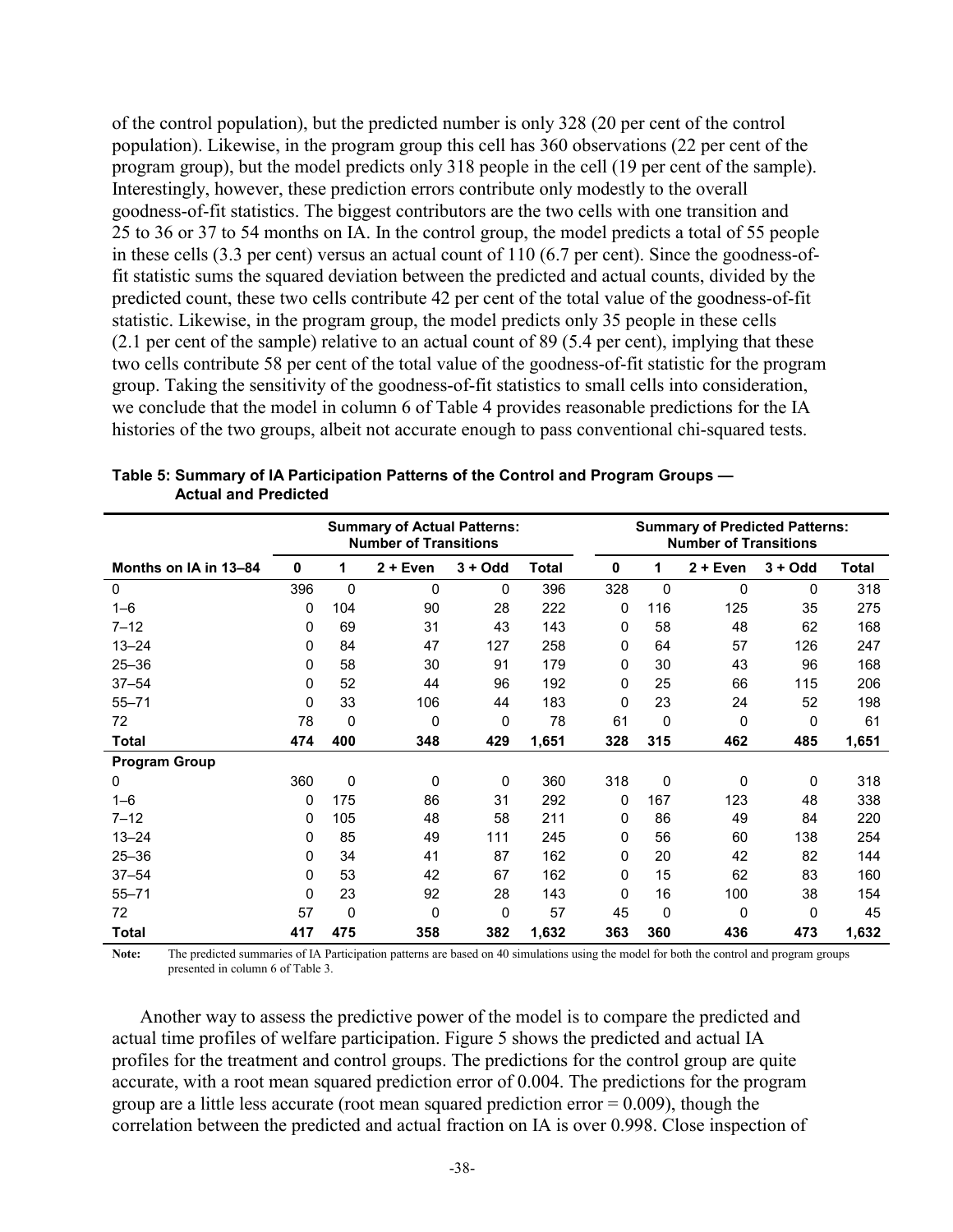of the control population), but the predicted number is only 328 (20 per cent of the control population). Likewise, in the program group this cell has 360 observations (22 per cent of the program group), but the model predicts only 318 people in the cell (19 per cent of the sample). Interestingly, however, these prediction errors contribute only modestly to the overall goodness-of-fit statistics. The biggest contributors are the two cells with one transition and 25 to 36 or 37 to 54 months on IA. In the control group, the model predicts a total of 55 people in these cells (3.3 per cent) versus an actual count of 110 (6.7 per cent). Since the goodness-offit statistic sums the squared deviation between the predicted and actual counts, divided by the predicted count, these two cells contribute 42 per cent of the total value of the goodness-of-fit statistic. Likewise, in the program group, the model predicts only 35 people in these cells (2.1 per cent of the sample) relative to an actual count of 89 (5.4 per cent), implying that these two cells contribute 58 per cent of the total value of the goodness-of-fit statistic for the program group. Taking the sensitivity of the goodness-of-fit statistics to small cells into consideration, we conclude that the model in column 6 of Table 4 provides reasonable predictions for the IA histories of the two groups, albeit not accurate enough to pass conventional chi-squared tests.

|                       |     |              | <b>Summary of Actual Patterns:</b><br><b>Number of Transitions</b> |           |       |     |     | <b>Summary of Predicted Patterns:</b><br><b>Number of Transitions</b> |              |              |
|-----------------------|-----|--------------|--------------------------------------------------------------------|-----------|-------|-----|-----|-----------------------------------------------------------------------|--------------|--------------|
| Months on IA in 13-84 | 0   | 1            | $2 + Even$                                                         | $3 +$ Odd | Total | 0   | 1   | $2 + Even$                                                            | $3 +$ Odd    | <b>Total</b> |
| $\mathbf{0}$          | 396 | 0            | 0                                                                  | 0         | 396   | 328 | 0   | 0                                                                     | 0            | 318          |
| $1 - 6$               | 0   | 104          | 90                                                                 | 28        | 222   | 0   | 116 | 125                                                                   | 35           | 275          |
| $7 - 12$              | 0   | 69           | 31                                                                 | 43        | 143   | 0   | 58  | 48                                                                    | 62           | 168          |
| $13 - 24$             | 0   | 84           | 47                                                                 | 127       | 258   | 0   | 64  | 57                                                                    | 126          | 247          |
| $25 - 36$             | 0   | 58           | 30                                                                 | 91        | 179   | 0   | 30  | 43                                                                    | 96           | 168          |
| $37 - 54$             | 0   | 52           | 44                                                                 | 96        | 192   | 0   | 25  | 66                                                                    | 115          | 206          |
| $55 - 71$             | 0   | 33           | 106                                                                | 44        | 183   | 0   | 23  | 24                                                                    | 52           | 198          |
| 72                    | 78  | 0            | 0                                                                  | 0         | 78    | 61  | 0   | $\Omega$                                                              | $\Omega$     | 61           |
| <b>Total</b>          | 474 | 400          | 348                                                                | 429       | 1,651 | 328 | 315 | 462                                                                   | 485          | 1,651        |
| <b>Program Group</b>  |     |              |                                                                    |           |       |     |     |                                                                       |              |              |
| 0                     | 360 | $\mathbf{0}$ | 0                                                                  | 0         | 360   | 318 | 0   | 0                                                                     | $\mathbf{0}$ | 318          |
| $1 - 6$               | 0   | 175          | 86                                                                 | 31        | 292   | 0   | 167 | 123                                                                   | 48           | 338          |
| $7 - 12$              | 0   | 105          | 48                                                                 | 58        | 211   | 0   | 86  | 49                                                                    | 84           | 220          |
| $13 - 24$             | 0   | 85           | 49                                                                 | 111       | 245   | 0   | 56  | 60                                                                    | 138          | 254          |
| $25 - 36$             | 0   | 34           | 41                                                                 | 87        | 162   | 0   | 20  | 42                                                                    | 82           | 144          |
| $37 - 54$             | 0   | 53           | 42                                                                 | 67        | 162   | 0   | 15  | 62                                                                    | 83           | 160          |
| $55 - 71$             | 0   | 23           | 92                                                                 | 28        | 143   | 0   | 16  | 100                                                                   | 38           | 154          |
| 72                    | 57  | 0            | 0                                                                  | 0         | 57    | 45  | 0   | 0                                                                     | 0            | 45           |
| Total                 | 417 | 475          | 358                                                                | 382       | 1,632 | 363 | 360 | 436                                                                   | 473          | 1,632        |

**Table 5: Summary of IA Participation Patterns of the Control and Program Groups — Actual and Predicted** 

**Note:** The predicted summaries of IA Participation patterns are based on 40 simulations using the model for both the control and program groups presented in column 6 of Table 3.

Another way to assess the predictive power of the model is to compare the predicted and actual time profiles of welfare participation. Figure 5 shows the predicted and actual IA profiles for the treatment and control groups. The predictions for the control group are quite accurate, with a root mean squared prediction error of 0.004. The predictions for the program group are a little less accurate (root mean squared prediction error  $= 0.009$ ), though the correlation between the predicted and actual fraction on IA is over 0.998. Close inspection of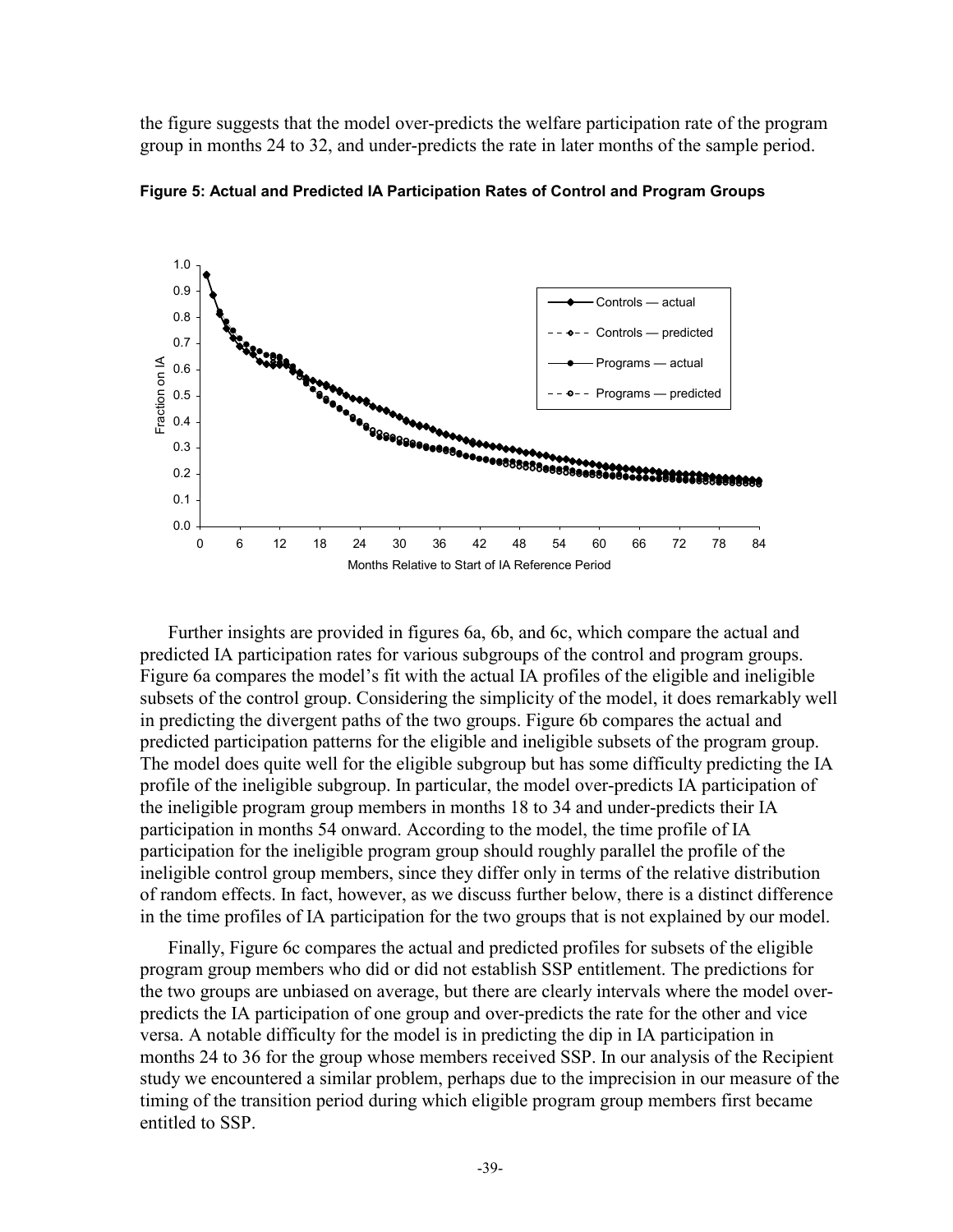the figure suggests that the model over-predicts the welfare participation rate of the program group in months 24 to 32, and under-predicts the rate in later months of the sample period.



**Figure 5: Actual and Predicted IA Participation Rates of Control and Program Groups** 

Further insights are provided in figures 6a, 6b, and 6c, which compare the actual and predicted IA participation rates for various subgroups of the control and program groups. Figure 6a compares the model's fit with the actual IA profiles of the eligible and ineligible subsets of the control group. Considering the simplicity of the model, it does remarkably well in predicting the divergent paths of the two groups. Figure 6b compares the actual and predicted participation patterns for the eligible and ineligible subsets of the program group. The model does quite well for the eligible subgroup but has some difficulty predicting the IA profile of the ineligible subgroup. In particular, the model over-predicts IA participation of the ineligible program group members in months 18 to 34 and under-predicts their IA participation in months 54 onward. According to the model, the time profile of IA participation for the ineligible program group should roughly parallel the profile of the ineligible control group members, since they differ only in terms of the relative distribution of random effects. In fact, however, as we discuss further below, there is a distinct difference in the time profiles of IA participation for the two groups that is not explained by our model.

Finally, Figure 6c compares the actual and predicted profiles for subsets of the eligible program group members who did or did not establish SSP entitlement. The predictions for the two groups are unbiased on average, but there are clearly intervals where the model overpredicts the IA participation of one group and over-predicts the rate for the other and vice versa. A notable difficulty for the model is in predicting the dip in IA participation in months 24 to 36 for the group whose members received SSP. In our analysis of the Recipient study we encountered a similar problem, perhaps due to the imprecision in our measure of the timing of the transition period during which eligible program group members first became entitled to SSP.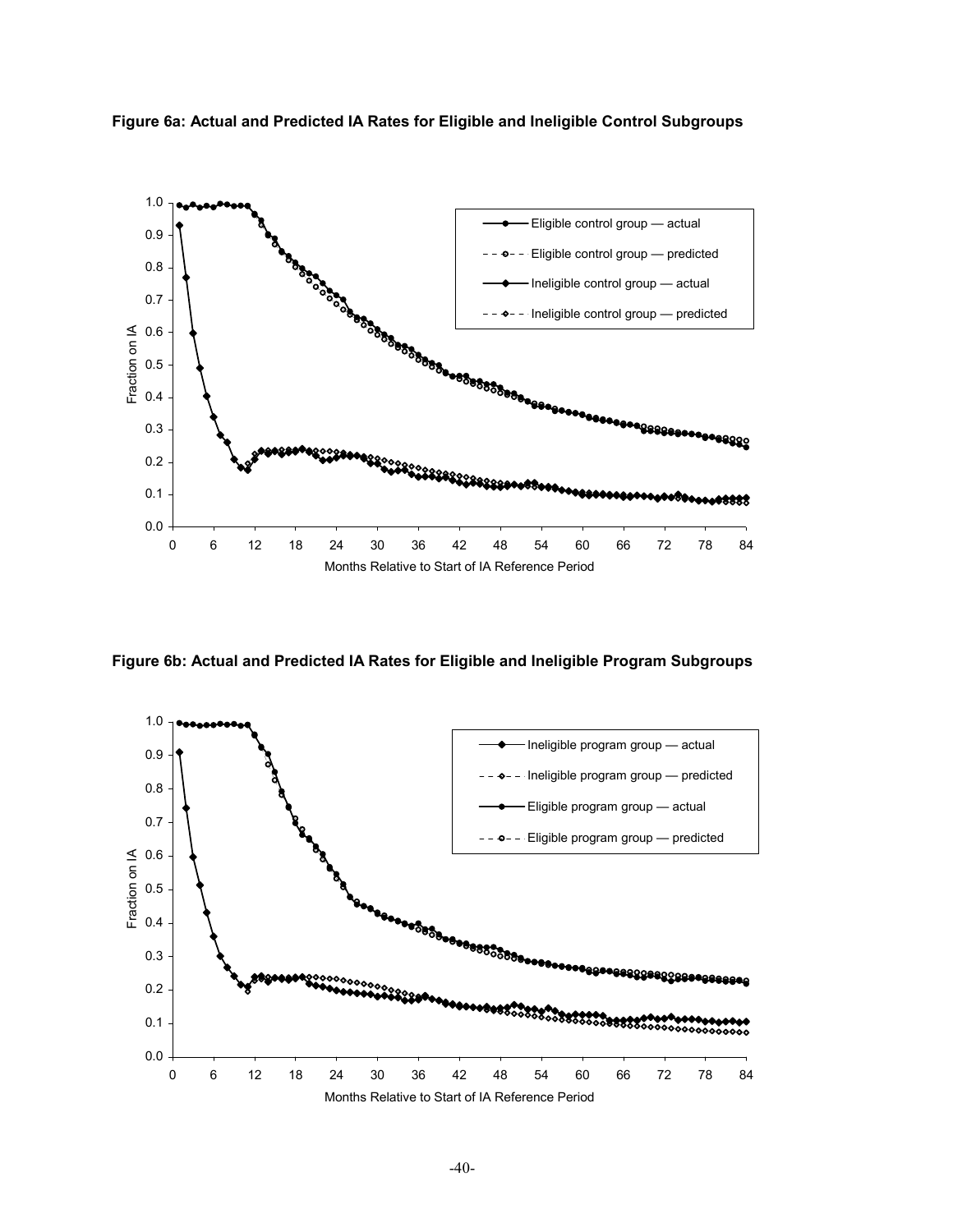

**Figure 6a: Actual and Predicted IA Rates for Eligible and Ineligible Control Subgroups** 

**Figure 6b: Actual and Predicted IA Rates for Eligible and Ineligible Program Subgroups** 

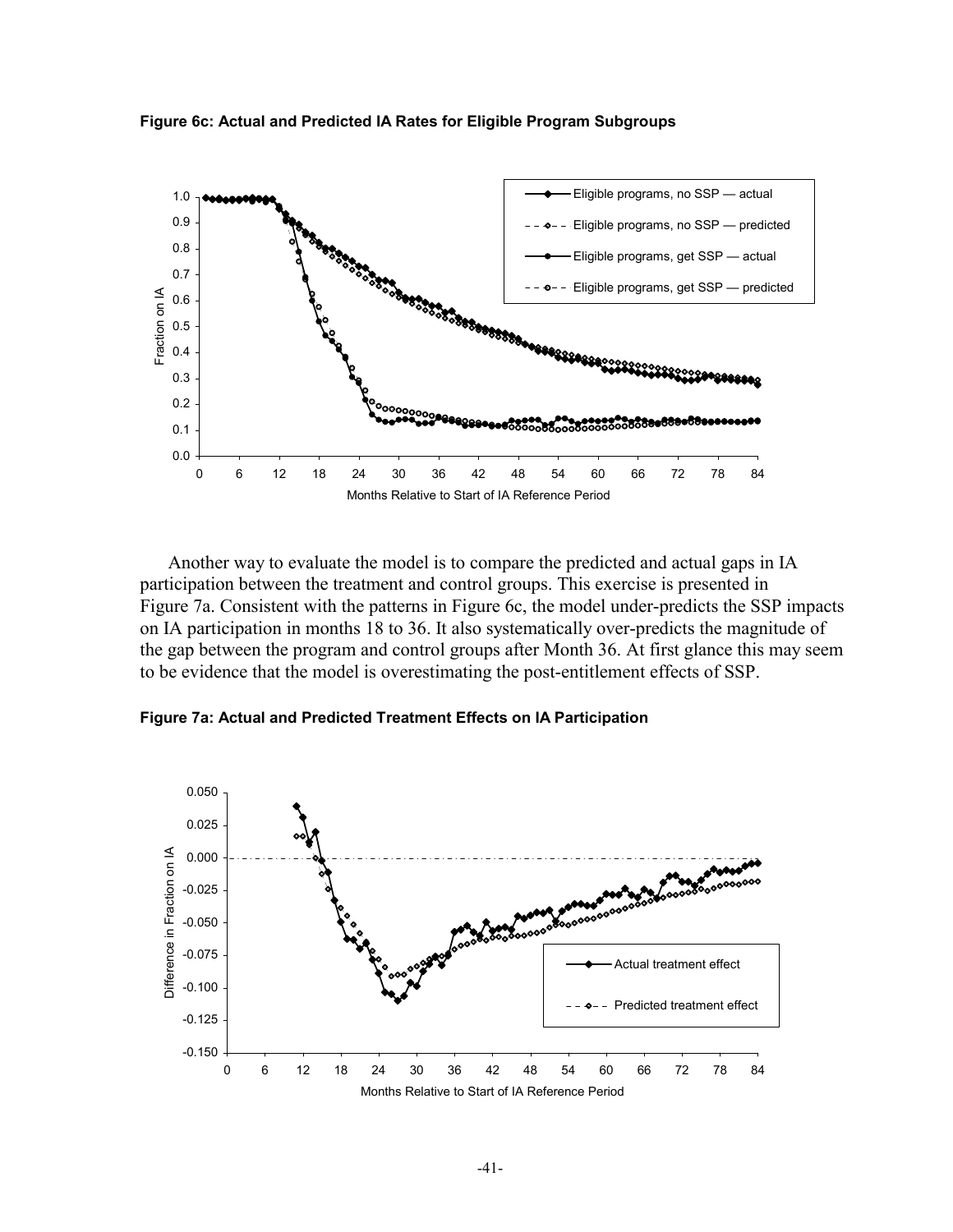

**Figure 6c: Actual and Predicted IA Rates for Eligible Program Subgroups** 

Another way to evaluate the model is to compare the predicted and actual gaps in IA participation between the treatment and control groups. This exercise is presented in Figure 7a. Consistent with the patterns in Figure 6c, the model under-predicts the SSP impacts on IA participation in months 18 to 36. It also systematically over-predicts the magnitude of the gap between the program and control groups after Month 36. At first glance this may seem to be evidence that the model is overestimating the post-entitlement effects of SSP.

**Figure 7a: Actual and Predicted Treatment Effects on IA Participation** 

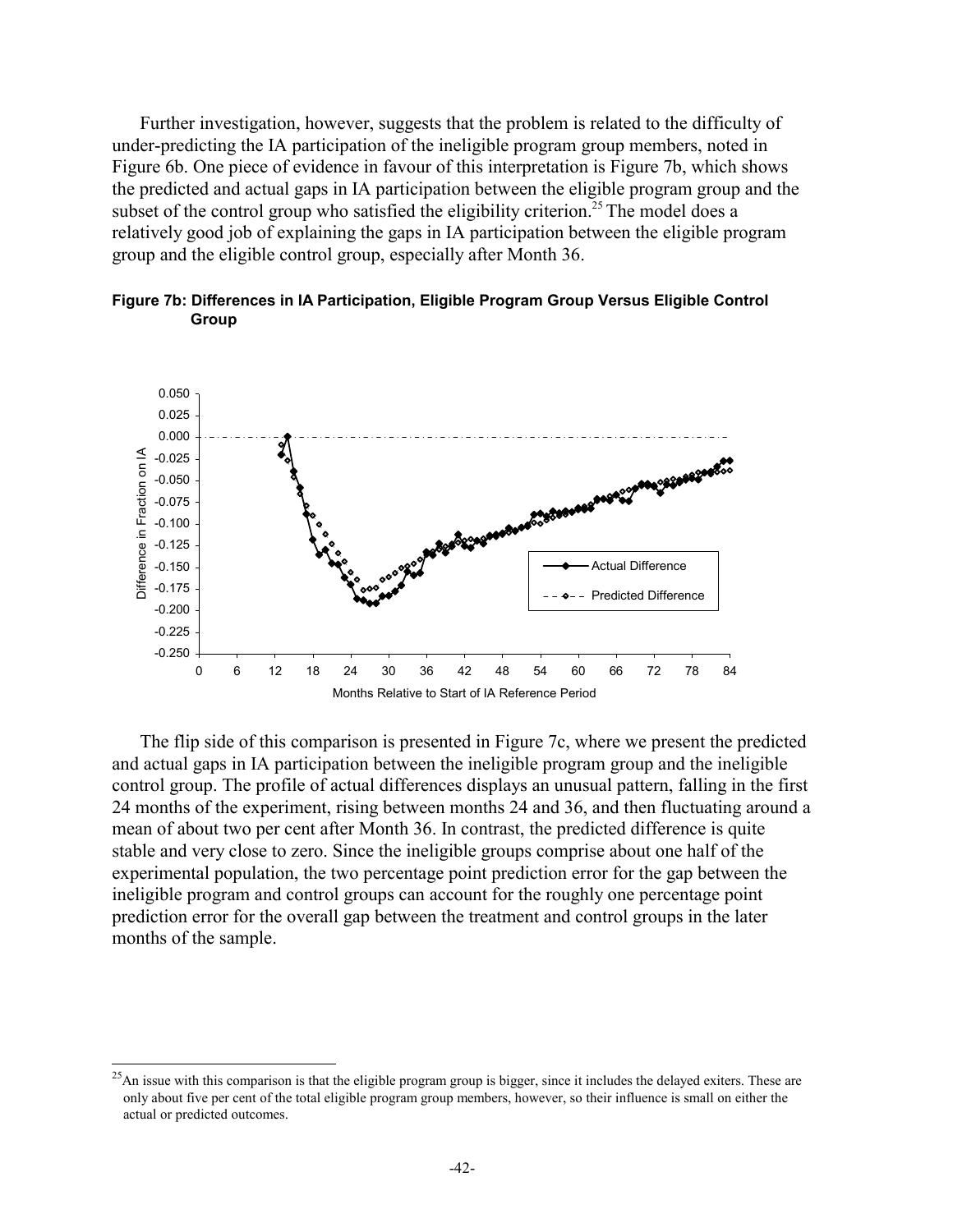Further investigation, however, suggests that the problem is related to the difficulty of under-predicting the IA participation of the ineligible program group members, noted in Figure 6b. One piece of evidence in favour of this interpretation is Figure 7b, which shows the predicted and actual gaps in IA participation between the eligible program group and the subset of the control group who satisfied the eligibility criterion.<sup>25</sup> The model does a relatively good job of explaining the gaps in IA participation between the eligible program group and the eligible control group, especially after Month 36.



**Figure 7b: Differences in IA Participation, Eligible Program Group Versus Eligible Control Group** 

The flip side of this comparison is presented in Figure 7c, where we present the predicted and actual gaps in IA participation between the ineligible program group and the ineligible control group. The profile of actual differences displays an unusual pattern, falling in the first 24 months of the experiment, rising between months 24 and 36, and then fluctuating around a mean of about two per cent after Month 36. In contrast, the predicted difference is quite stable and very close to zero. Since the ineligible groups comprise about one half of the experimental population, the two percentage point prediction error for the gap between the ineligible program and control groups can account for the roughly one percentage point prediction error for the overall gap between the treatment and control groups in the later months of the sample.

l

 $^{25}$ An issue with this comparison is that the eligible program group is bigger, since it includes the delayed exiters. These are only about five per cent of the total eligible program group members, however, so their influence is small on either the actual or predicted outcomes.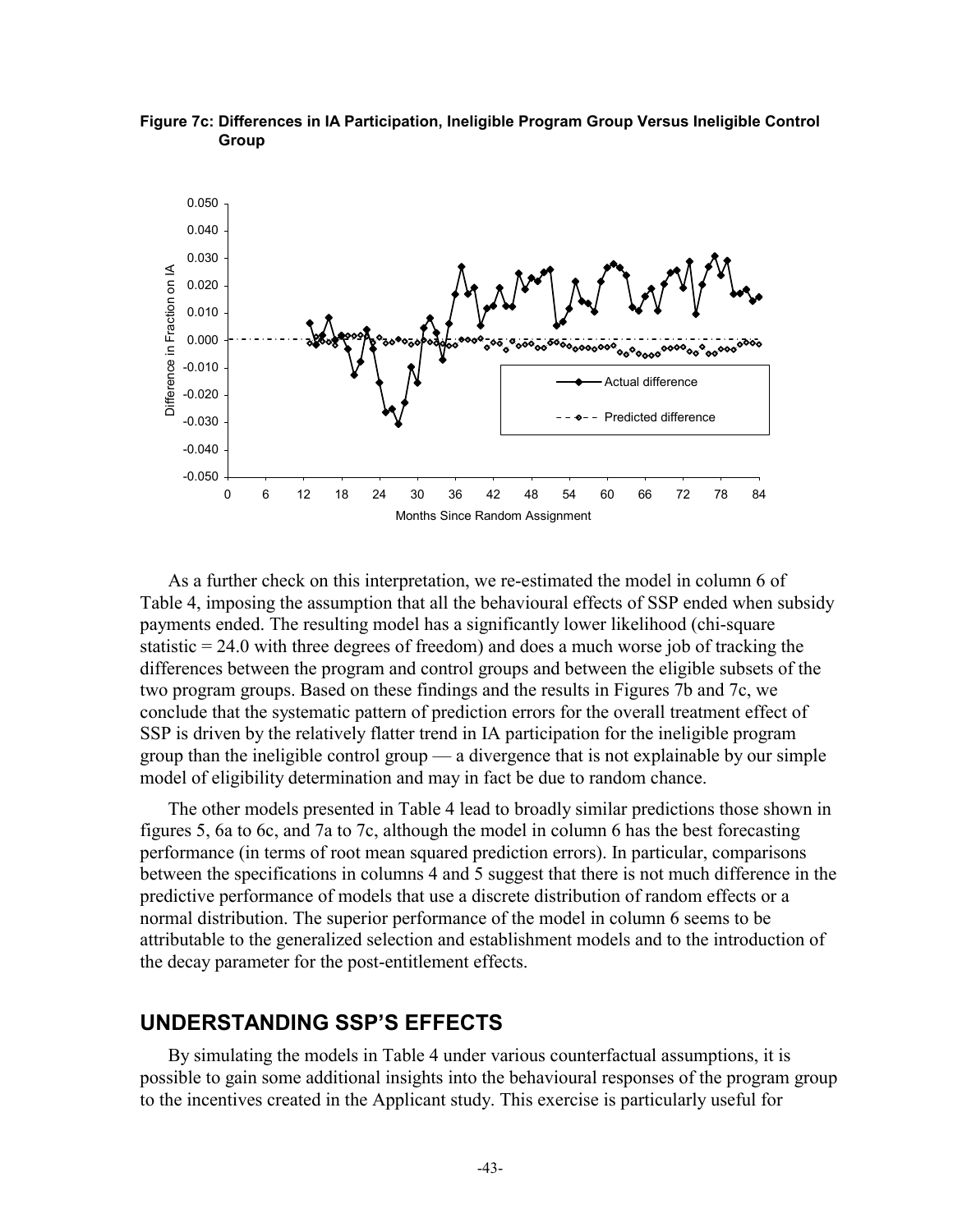

**Figure 7c: Differences in IA Participation, Ineligible Program Group Versus Ineligible Control Group** 

As a further check on this interpretation, we re-estimated the model in column 6 of Table 4, imposing the assumption that all the behavioural effects of SSP ended when subsidy payments ended. The resulting model has a significantly lower likelihood (chi-square statistic = 24.0 with three degrees of freedom) and does a much worse job of tracking the differences between the program and control groups and between the eligible subsets of the two program groups. Based on these findings and the results in Figures 7b and 7c, we conclude that the systematic pattern of prediction errors for the overall treatment effect of SSP is driven by the relatively flatter trend in IA participation for the ineligible program group than the ineligible control group — a divergence that is not explainable by our simple model of eligibility determination and may in fact be due to random chance.

The other models presented in Table 4 lead to broadly similar predictions those shown in figures 5, 6a to 6c, and 7a to 7c, although the model in column 6 has the best forecasting performance (in terms of root mean squared prediction errors). In particular, comparisons between the specifications in columns 4 and 5 suggest that there is not much difference in the predictive performance of models that use a discrete distribution of random effects or a normal distribution. The superior performance of the model in column 6 seems to be attributable to the generalized selection and establishment models and to the introduction of the decay parameter for the post-entitlement effects.

#### **UNDERSTANDING SSP'S EFFECTS**

By simulating the models in Table 4 under various counterfactual assumptions, it is possible to gain some additional insights into the behavioural responses of the program group to the incentives created in the Applicant study. This exercise is particularly useful for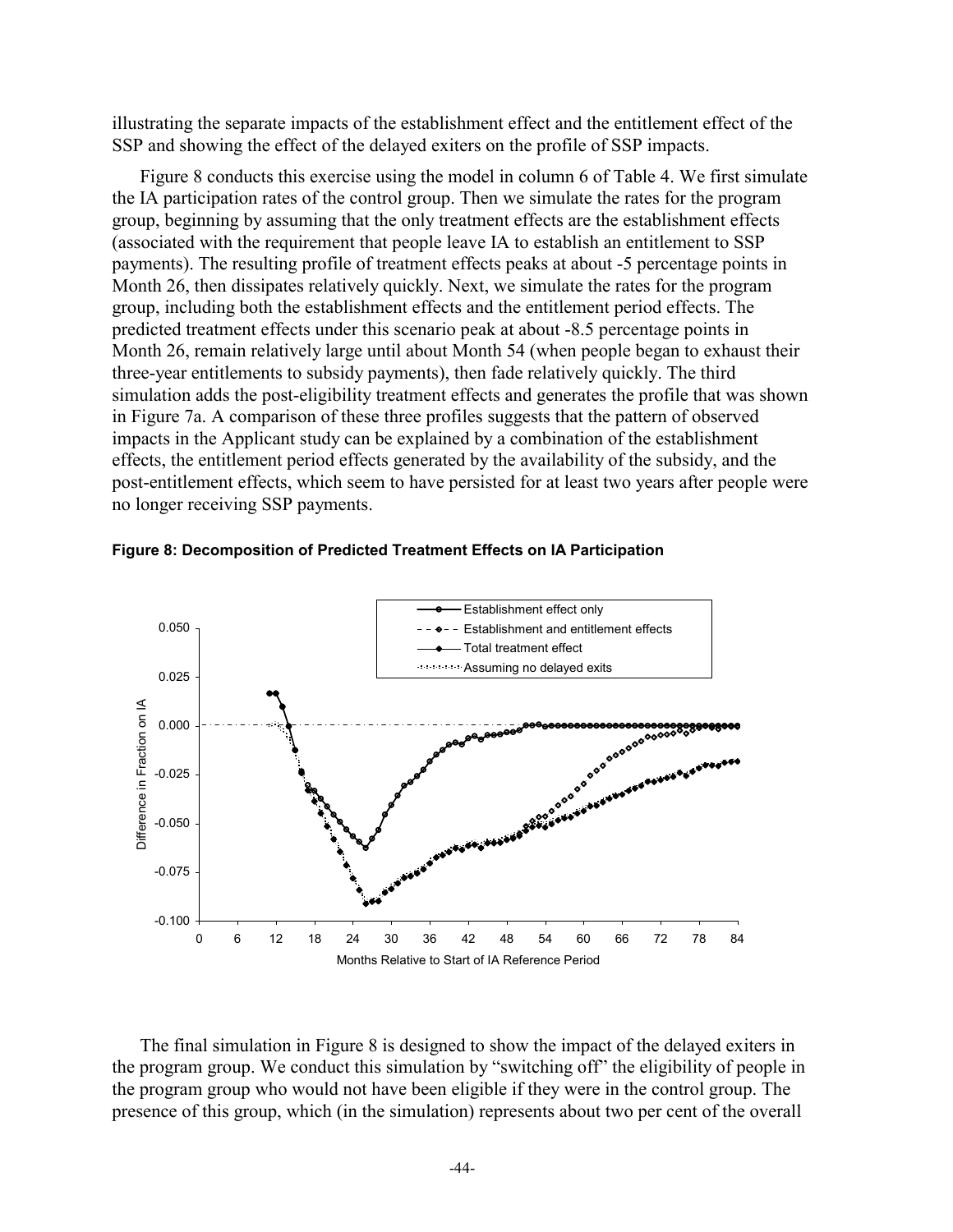illustrating the separate impacts of the establishment effect and the entitlement effect of the SSP and showing the effect of the delayed exiters on the profile of SSP impacts.

Figure 8 conducts this exercise using the model in column 6 of Table 4. We first simulate the IA participation rates of the control group. Then we simulate the rates for the program group, beginning by assuming that the only treatment effects are the establishment effects (associated with the requirement that people leave IA to establish an entitlement to SSP payments). The resulting profile of treatment effects peaks at about -5 percentage points in Month 26, then dissipates relatively quickly. Next, we simulate the rates for the program group, including both the establishment effects and the entitlement period effects. The predicted treatment effects under this scenario peak at about -8.5 percentage points in Month 26, remain relatively large until about Month 54 (when people began to exhaust their three-year entitlements to subsidy payments), then fade relatively quickly. The third simulation adds the post-eligibility treatment effects and generates the profile that was shown in Figure 7a. A comparison of these three profiles suggests that the pattern of observed impacts in the Applicant study can be explained by a combination of the establishment effects, the entitlement period effects generated by the availability of the subsidy, and the post-entitlement effects, which seem to have persisted for at least two years after people were no longer receiving SSP payments.





The final simulation in Figure 8 is designed to show the impact of the delayed exiters in the program group. We conduct this simulation by "switching off" the eligibility of people in the program group who would not have been eligible if they were in the control group. The presence of this group, which (in the simulation) represents about two per cent of the overall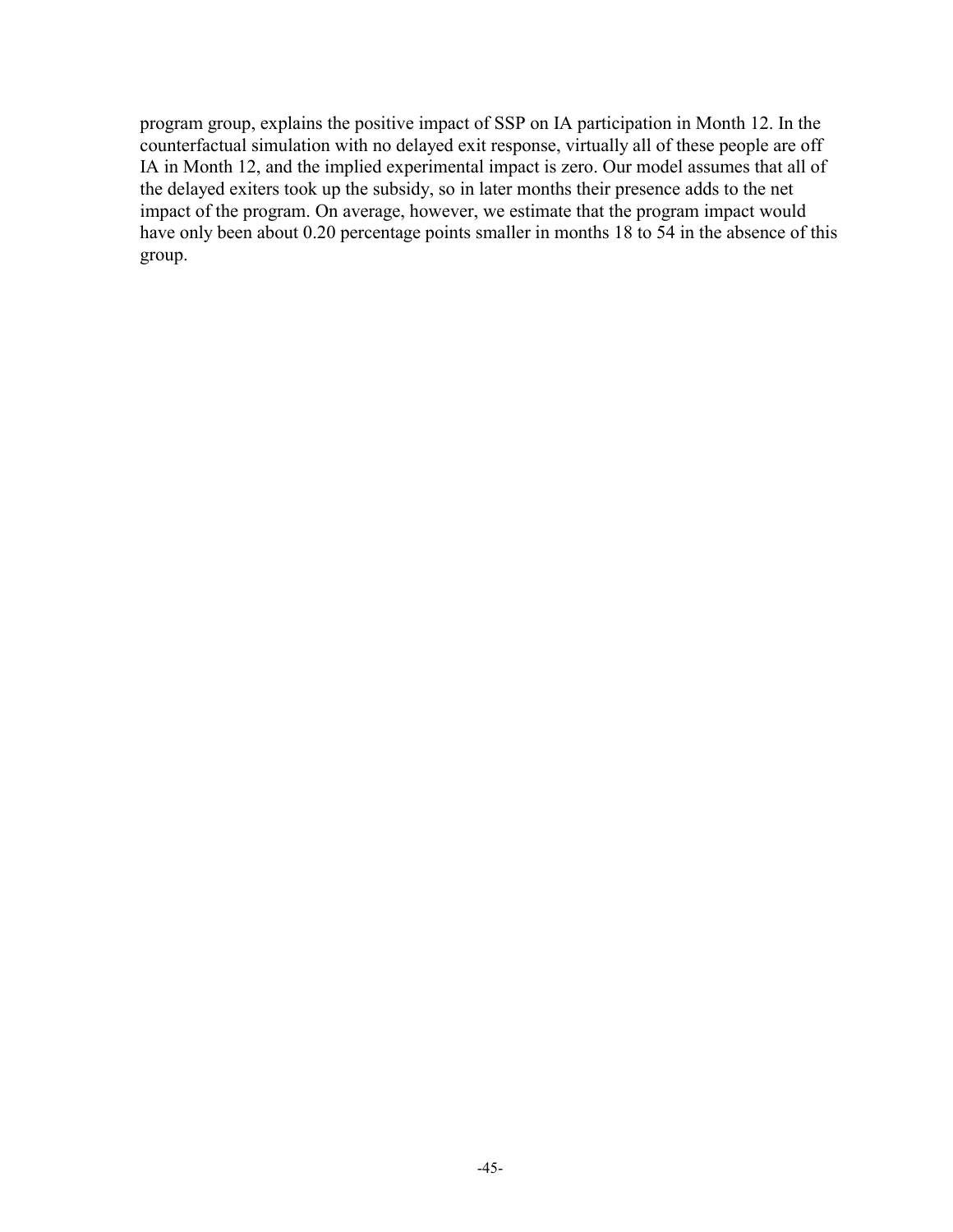program group, explains the positive impact of SSP on IA participation in Month 12. In the counterfactual simulation with no delayed exit response, virtually all of these people are off IA in Month 12, and the implied experimental impact is zero. Our model assumes that all of the delayed exiters took up the subsidy, so in later months their presence adds to the net impact of the program. On average, however, we estimate that the program impact would have only been about 0.20 percentage points smaller in months 18 to 54 in the absence of this group.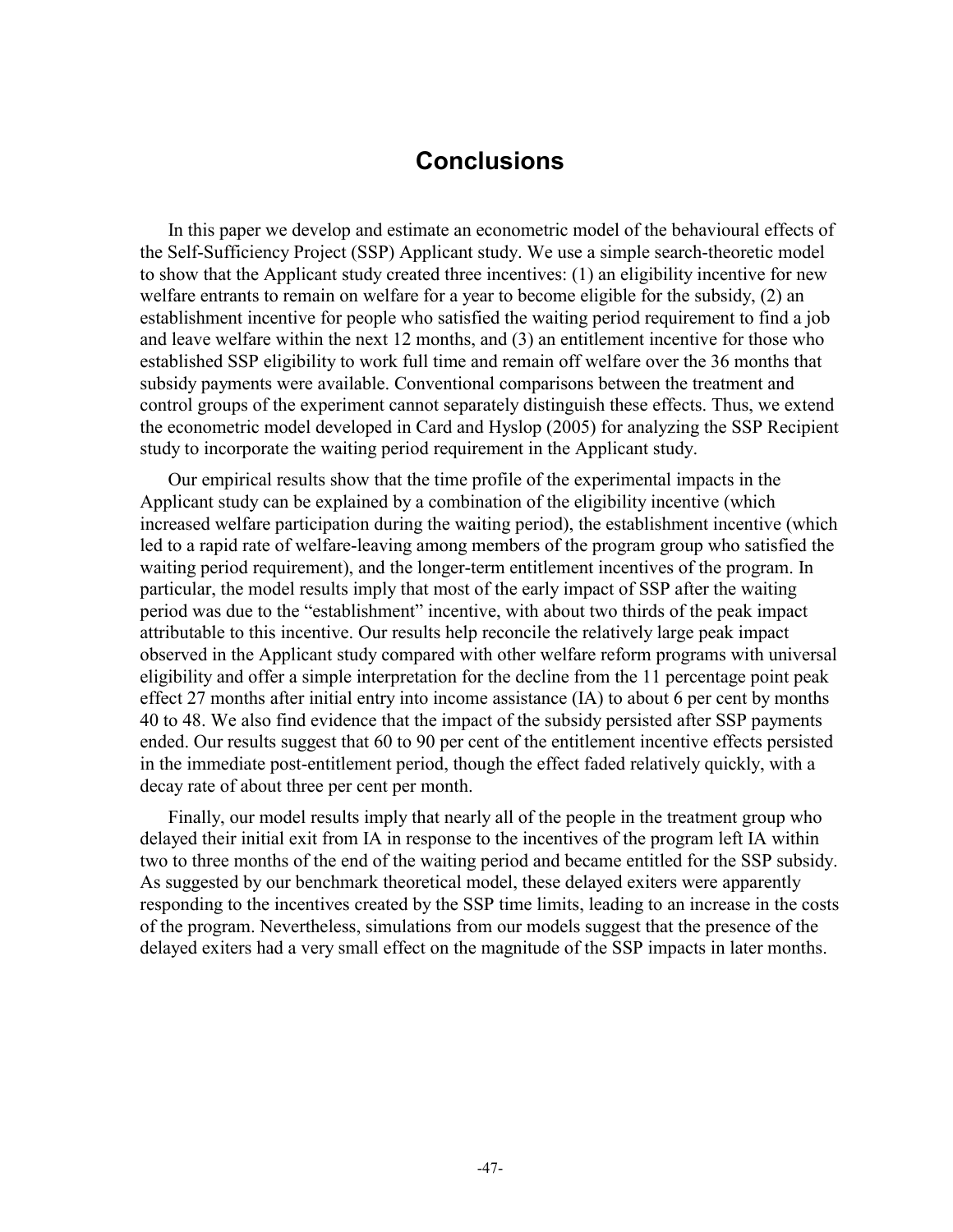## **Conclusions**

In this paper we develop and estimate an econometric model of the behavioural effects of the Self-Sufficiency Project (SSP) Applicant study. We use a simple search-theoretic model to show that the Applicant study created three incentives: (1) an eligibility incentive for new welfare entrants to remain on welfare for a year to become eligible for the subsidy, (2) an establishment incentive for people who satisfied the waiting period requirement to find a job and leave welfare within the next 12 months, and (3) an entitlement incentive for those who established SSP eligibility to work full time and remain off welfare over the 36 months that subsidy payments were available. Conventional comparisons between the treatment and control groups of the experiment cannot separately distinguish these effects. Thus, we extend the econometric model developed in Card and Hyslop (2005) for analyzing the SSP Recipient study to incorporate the waiting period requirement in the Applicant study.

Our empirical results show that the time profile of the experimental impacts in the Applicant study can be explained by a combination of the eligibility incentive (which increased welfare participation during the waiting period), the establishment incentive (which led to a rapid rate of welfare-leaving among members of the program group who satisfied the waiting period requirement), and the longer-term entitlement incentives of the program. In particular, the model results imply that most of the early impact of SSP after the waiting period was due to the "establishment" incentive, with about two thirds of the peak impact attributable to this incentive. Our results help reconcile the relatively large peak impact observed in the Applicant study compared with other welfare reform programs with universal eligibility and offer a simple interpretation for the decline from the 11 percentage point peak effect 27 months after initial entry into income assistance (IA) to about 6 per cent by months 40 to 48. We also find evidence that the impact of the subsidy persisted after SSP payments ended. Our results suggest that 60 to 90 per cent of the entitlement incentive effects persisted in the immediate post-entitlement period, though the effect faded relatively quickly, with a decay rate of about three per cent per month.

Finally, our model results imply that nearly all of the people in the treatment group who delayed their initial exit from IA in response to the incentives of the program left IA within two to three months of the end of the waiting period and became entitled for the SSP subsidy. As suggested by our benchmark theoretical model, these delayed exiters were apparently responding to the incentives created by the SSP time limits, leading to an increase in the costs of the program. Nevertheless, simulations from our models suggest that the presence of the delayed exiters had a very small effect on the magnitude of the SSP impacts in later months.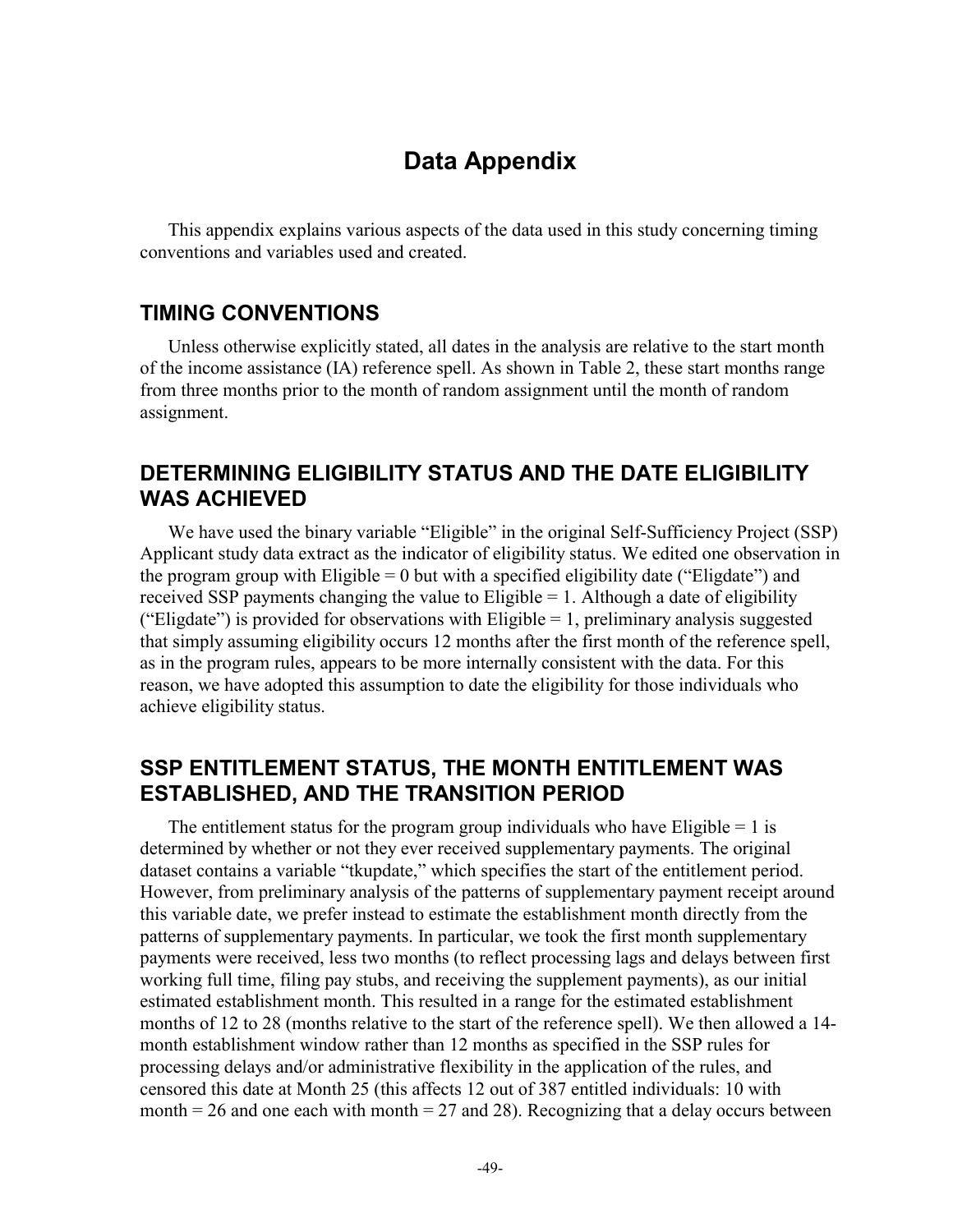## **Data Appendix**

This appendix explains various aspects of the data used in this study concerning timing conventions and variables used and created.

#### **TIMING CONVENTIONS**

Unless otherwise explicitly stated, all dates in the analysis are relative to the start month of the income assistance (IA) reference spell. As shown in Table 2, these start months range from three months prior to the month of random assignment until the month of random assignment.

## **DETERMINING ELIGIBILITY STATUS AND THE DATE ELIGIBILITY WAS ACHIEVED**

We have used the binary variable "Eligible" in the original Self-Sufficiency Project (SSP) Applicant study data extract as the indicator of eligibility status. We edited one observation in the program group with Eligible  $= 0$  but with a specified eligibility date ("Eligdate") and received SSP payments changing the value to Eligible  $= 1$ . Although a date of eligibility ("Eligdate") is provided for observations with Eligible  $= 1$ , preliminary analysis suggested that simply assuming eligibility occurs 12 months after the first month of the reference spell, as in the program rules, appears to be more internally consistent with the data. For this reason, we have adopted this assumption to date the eligibility for those individuals who achieve eligibility status.

### **SSP ENTITLEMENT STATUS, THE MONTH ENTITLEMENT WAS ESTABLISHED, AND THE TRANSITION PERIOD**

The entitlement status for the program group individuals who have Eligible  $= 1$  is determined by whether or not they ever received supplementary payments. The original dataset contains a variable "tkupdate," which specifies the start of the entitlement period. However, from preliminary analysis of the patterns of supplementary payment receipt around this variable date, we prefer instead to estimate the establishment month directly from the patterns of supplementary payments. In particular, we took the first month supplementary payments were received, less two months (to reflect processing lags and delays between first working full time, filing pay stubs, and receiving the supplement payments), as our initial estimated establishment month. This resulted in a range for the estimated establishment months of 12 to 28 (months relative to the start of the reference spell). We then allowed a 14 month establishment window rather than 12 months as specified in the SSP rules for processing delays and/or administrative flexibility in the application of the rules, and censored this date at Month 25 (this affects 12 out of 387 entitled individuals: 10 with month  $= 26$  and one each with month  $= 27$  and 28). Recognizing that a delay occurs between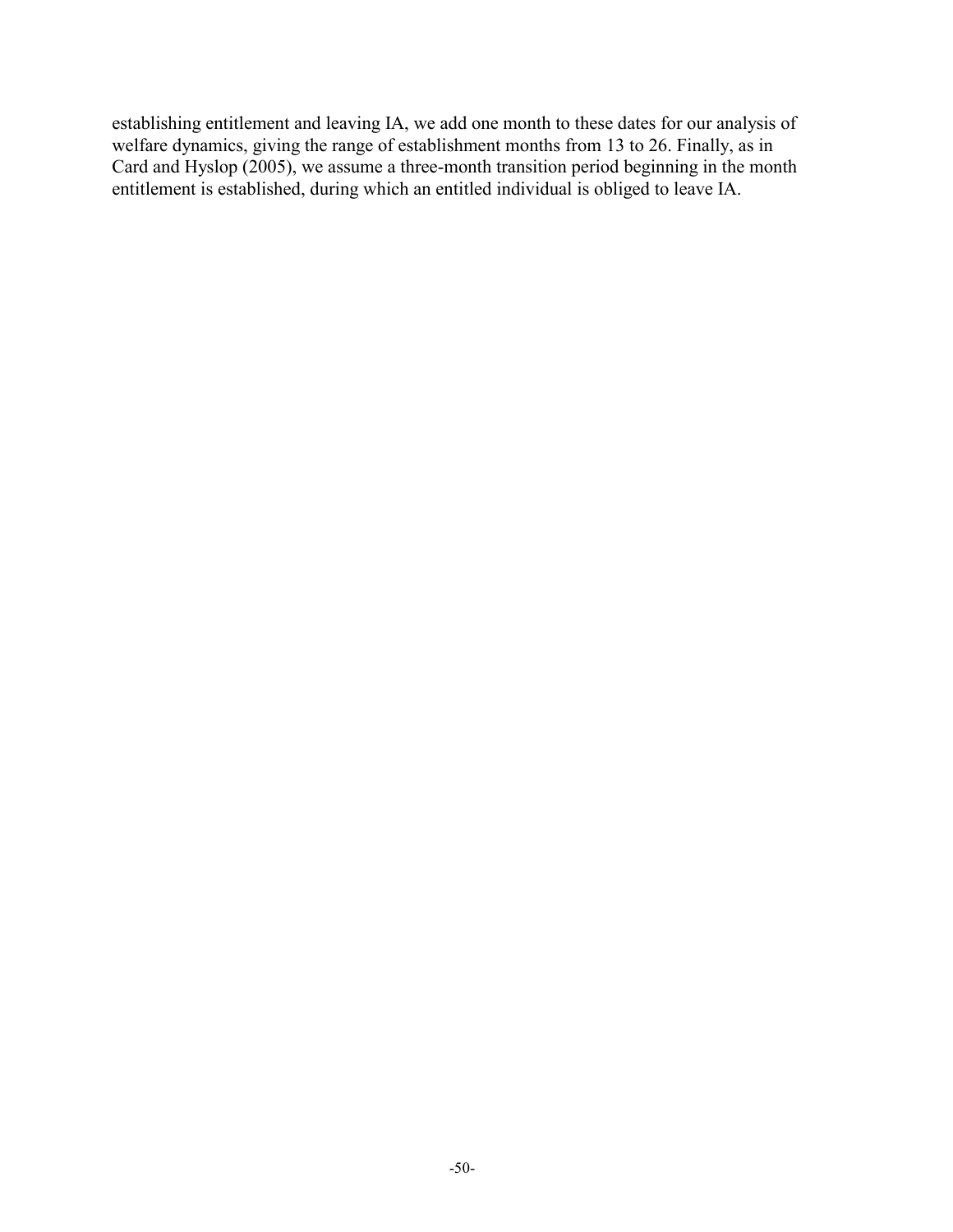establishing entitlement and leaving IA, we add one month to these dates for our analysis of welfare dynamics, giving the range of establishment months from 13 to 26. Finally, as in Card and Hyslop (2005), we assume a three-month transition period beginning in the month entitlement is established, during which an entitled individual is obliged to leave IA.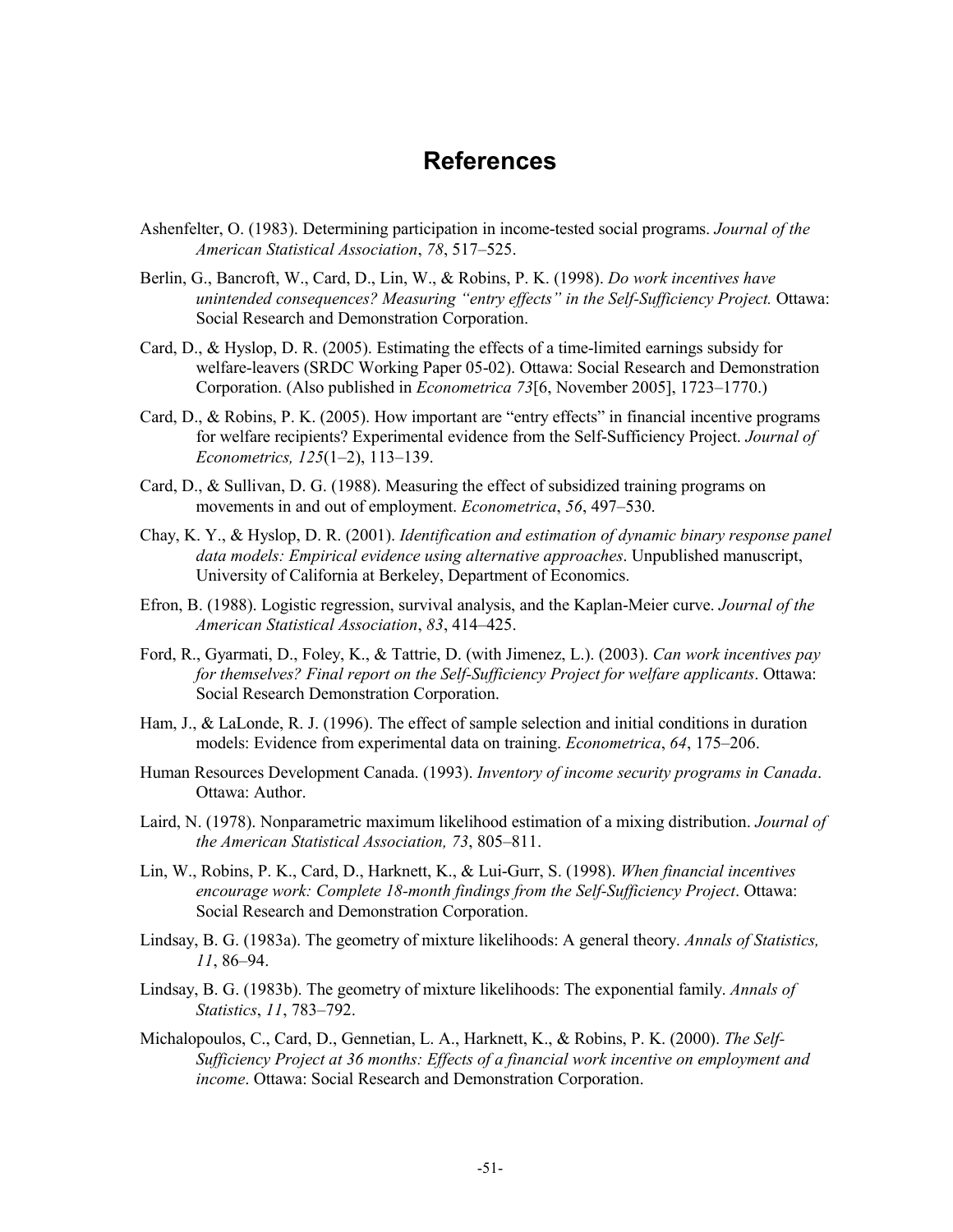## **References**

- Ashenfelter, O. (1983). Determining participation in income-tested social programs. *Journal of the American Statistical Association*, *78*, 517–525.
- Berlin, G., Bancroft, W., Card, D., Lin, W., & Robins, P. K. (1998). *Do work incentives have unintended consequences? Measuring "entry effects" in the Self-Sufficiency Project.* Ottawa: Social Research and Demonstration Corporation.
- Card, D., & Hyslop, D. R. (2005). Estimating the effects of a time-limited earnings subsidy for welfare-leavers (SRDC Working Paper 05-02). Ottawa: Social Research and Demonstration Corporation. (Also published in *Econometrica 73*[6, November 2005], 1723–1770.)
- Card, D., & Robins, P. K. (2005). How important are "entry effects" in financial incentive programs for welfare recipients? Experimental evidence from the Self-Sufficiency Project. *Journal of Econometrics, 125*(1–2), 113–139.
- Card, D., & Sullivan, D. G. (1988). Measuring the effect of subsidized training programs on movements in and out of employment. *Econometrica*, *56*, 497–530.
- Chay, K. Y., & Hyslop, D. R. (2001). *Identification and estimation of dynamic binary response panel data models: Empirical evidence using alternative approaches*. Unpublished manuscript, University of California at Berkeley, Department of Economics.
- Efron, B. (1988). Logistic regression, survival analysis, and the Kaplan-Meier curve. *Journal of the American Statistical Association*, *83*, 414–425.
- Ford, R., Gyarmati, D., Foley, K., & Tattrie, D. (with Jimenez, L.). (2003). *Can work incentives pay for themselves? Final report on the Self-Sufficiency Project for welfare applicants*. Ottawa: Social Research Demonstration Corporation.
- Ham, J., & LaLonde, R. J. (1996). The effect of sample selection and initial conditions in duration models: Evidence from experimental data on training. *Econometrica*, *64*, 175–206.
- Human Resources Development Canada. (1993). *Inventory of income security programs in Canada*. Ottawa: Author.
- Laird, N. (1978). Nonparametric maximum likelihood estimation of a mixing distribution. *Journal of the American Statistical Association, 73*, 805–811.
- Lin, W., Robins, P. K., Card, D., Harknett, K., & Lui-Gurr, S. (1998). *When financial incentives encourage work: Complete 18-month findings from the Self-Sufficiency Project*. Ottawa: Social Research and Demonstration Corporation.
- Lindsay, B. G. (1983a). The geometry of mixture likelihoods: A general theory. *Annals of Statistics, 11*, 86–94.
- Lindsay, B. G. (1983b). The geometry of mixture likelihoods: The exponential family. *Annals of Statistics*, *11*, 783–792.
- Michalopoulos, C., Card, D., Gennetian, L. A., Harknett, K., & Robins, P. K. (2000). *The Self-Sufficiency Project at 36 months: Effects of a financial work incentive on employment and income*. Ottawa: Social Research and Demonstration Corporation.